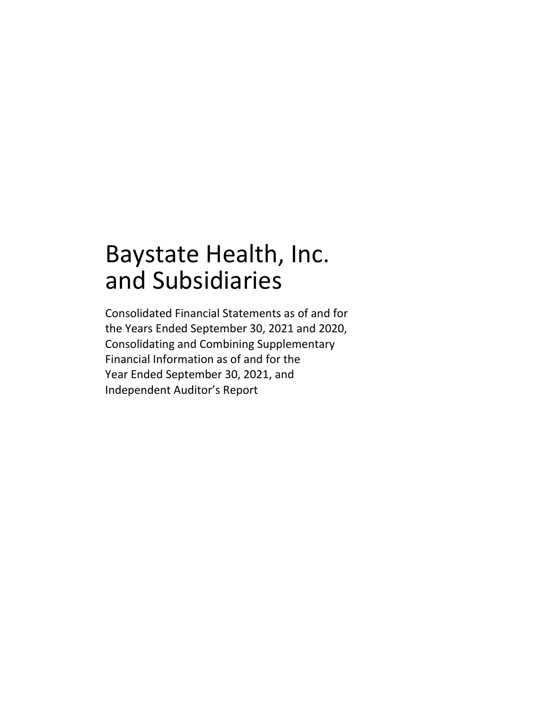## Baystate Health, Inc. and Subsidiaries

Consolidated Financial Statements as of and for the Years Ended September 30, 2021 and 2020, Consolidating and Combining Supplementary Financial Information as of and for the Year Ended September 30, 2021, and Independent Auditor's Report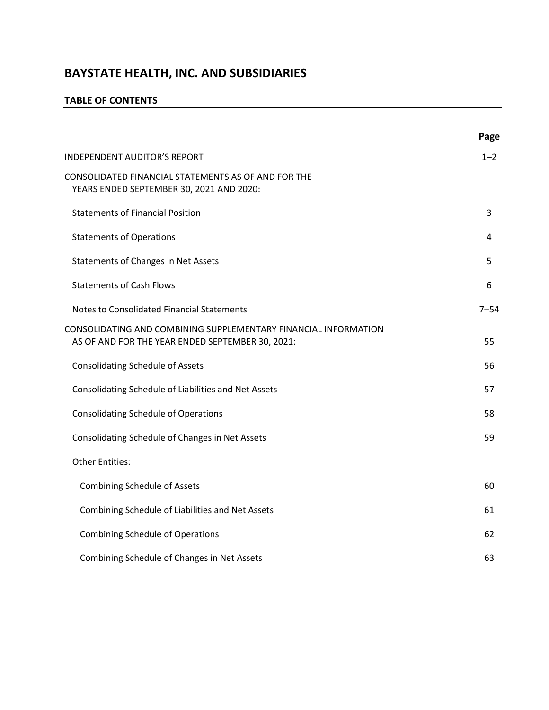#### **TABLE OF CONTENTS**

|                                                                                                                     | Page     |
|---------------------------------------------------------------------------------------------------------------------|----------|
| <b>INDEPENDENT AUDITOR'S REPORT</b>                                                                                 | $1 - 2$  |
| CONSOLIDATED FINANCIAL STATEMENTS AS OF AND FOR THE<br>YEARS ENDED SEPTEMBER 30, 2021 AND 2020:                     |          |
| <b>Statements of Financial Position</b>                                                                             | 3        |
| <b>Statements of Operations</b>                                                                                     | 4        |
| Statements of Changes in Net Assets                                                                                 | 5        |
| <b>Statements of Cash Flows</b>                                                                                     | 6        |
| Notes to Consolidated Financial Statements                                                                          | $7 - 54$ |
| CONSOLIDATING AND COMBINING SUPPLEMENTARY FINANCIAL INFORMATION<br>AS OF AND FOR THE YEAR ENDED SEPTEMBER 30, 2021: | 55       |
| <b>Consolidating Schedule of Assets</b>                                                                             | 56       |
| Consolidating Schedule of Liabilities and Net Assets                                                                | 57       |
| <b>Consolidating Schedule of Operations</b>                                                                         | 58       |
| Consolidating Schedule of Changes in Net Assets                                                                     | 59       |
| <b>Other Entities:</b>                                                                                              |          |
| <b>Combining Schedule of Assets</b>                                                                                 | 60       |
| Combining Schedule of Liabilities and Net Assets                                                                    | 61       |
| <b>Combining Schedule of Operations</b>                                                                             | 62       |
| Combining Schedule of Changes in Net Assets                                                                         | 63       |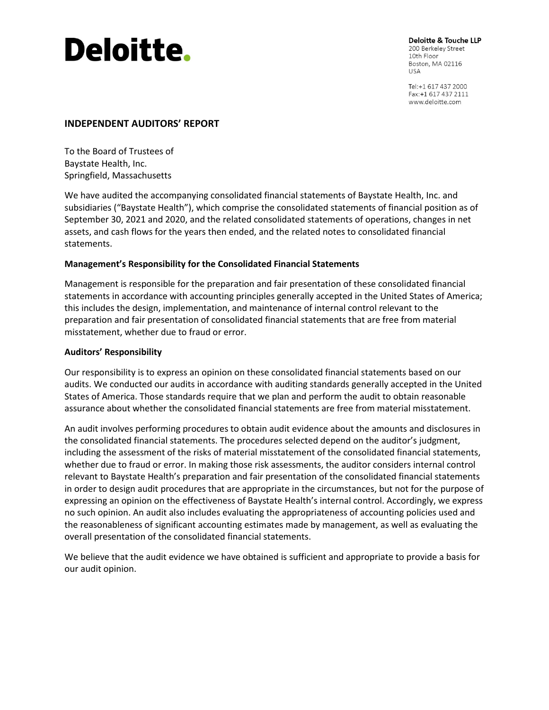# **Deloitte.**

Deloitte & Touche LLP 200 Berkeley Street 10th Floor Boston, MA 02116 **USA** 

Tel:+1 617 437 2000 Fax: +1 617 437 2111 www.deloitte.com

#### **INDEPENDENT AUDITORS' REPORT**

To the Board of Trustees of Baystate Health, Inc. Springfield, Massachusetts

We have audited the accompanying consolidated financial statements of Baystate Health, Inc. and subsidiaries ("Baystate Health"), which comprise the consolidated statements of financial position as of September 30, 2021 and 2020, and the related consolidated statements of operations, changes in net assets, and cash flows for the years then ended, and the related notes to consolidated financial statements.

#### **Management's Responsibility for the Consolidated Financial Statements**

Management is responsible for the preparation and fair presentation of these consolidated financial statements in accordance with accounting principles generally accepted in the United States of America; this includes the design, implementation, and maintenance of internal control relevant to the preparation and fair presentation of consolidated financial statements that are free from material misstatement, whether due to fraud or error.

#### **Auditors' Responsibility**

Our responsibility is to express an opinion on these consolidated financial statements based on our audits. We conducted our audits in accordance with auditing standards generally accepted in the United States of America. Those standards require that we plan and perform the audit to obtain reasonable assurance about whether the consolidated financial statements are free from material misstatement.

An audit involves performing procedures to obtain audit evidence about the amounts and disclosures in the consolidated financial statements. The procedures selected depend on the auditor's judgment, including the assessment of the risks of material misstatement of the consolidated financial statements, whether due to fraud or error. In making those risk assessments, the auditor considers internal control relevant to Baystate Health's preparation and fair presentation of the consolidated financial statements in order to design audit procedures that are appropriate in the circumstances, but not for the purpose of expressing an opinion on the effectiveness of Baystate Health's internal control. Accordingly, we express no such opinion. An audit also includes evaluating the appropriateness of accounting policies used and the reasonableness of significant accounting estimates made by management, as well as evaluating the overall presentation of the consolidated financial statements.

We believe that the audit evidence we have obtained is sufficient and appropriate to provide a basis for our audit opinion.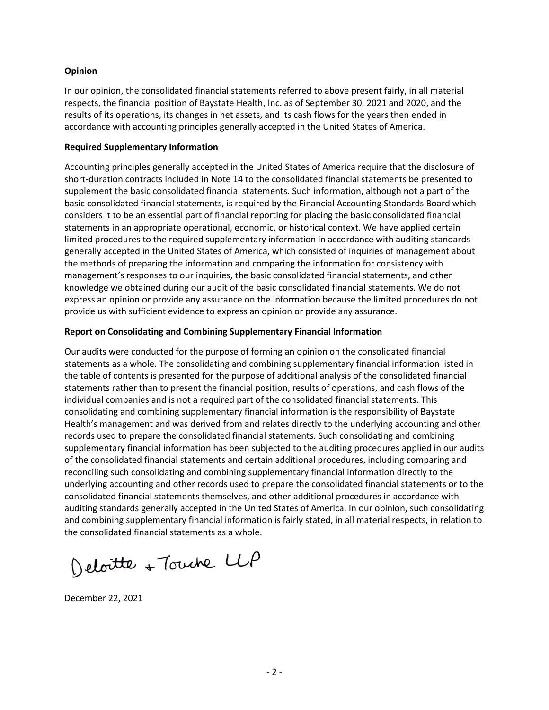#### **Opinion**

In our opinion, the consolidated financial statements referred to above present fairly, in all material respects, the financial position of Baystate Health, Inc. as of September 30, 2021 and 2020, and the results of its operations, its changes in net assets, and its cash flows for the years then ended in accordance with accounting principles generally accepted in the United States of America.

#### **Required Supplementary Information**

Accounting principles generally accepted in the United States of America require that the disclosure of short-duration contracts included in Note 14 to the consolidated financial statements be presented to supplement the basic consolidated financial statements. Such information, although not a part of the basic consolidated financial statements, is required by the Financial Accounting Standards Board which considers it to be an essential part of financial reporting for placing the basic consolidated financial statements in an appropriate operational, economic, or historical context. We have applied certain limited procedures to the required supplementary information in accordance with auditing standards generally accepted in the United States of America, which consisted of inquiries of management about the methods of preparing the information and comparing the information for consistency with management's responses to our inquiries, the basic consolidated financial statements, and other knowledge we obtained during our audit of the basic consolidated financial statements. We do not express an opinion or provide any assurance on the information because the limited procedures do not provide us with sufficient evidence to express an opinion or provide any assurance.

#### **Report on Consolidating and Combining Supplementary Financial Information**

Our audits were conducted for the purpose of forming an opinion on the consolidated financial statements as a whole. The consolidating and combining supplementary financial information listed in the table of contents is presented for the purpose of additional analysis of the consolidated financial statements rather than to present the financial position, results of operations, and cash flows of the individual companies and is not a required part of the consolidated financial statements. This consolidating and combining supplementary financial information is the responsibility of Baystate Health's management and was derived from and relates directly to the underlying accounting and other records used to prepare the consolidated financial statements. Such consolidating and combining supplementary financial information has been subjected to the auditing procedures applied in our audits of the consolidated financial statements and certain additional procedures, including comparing and reconciling such consolidating and combining supplementary financial information directly to the underlying accounting and other records used to prepare the consolidated financial statements or to the consolidated financial statements themselves, and other additional procedures in accordance with auditing standards generally accepted in the United States of America. In our opinion, such consolidating and combining supplementary financial information is fairly stated, in all material respects, in relation to the consolidated financial statements as a whole.

Deloitte + Touche LLP

December 22, 2021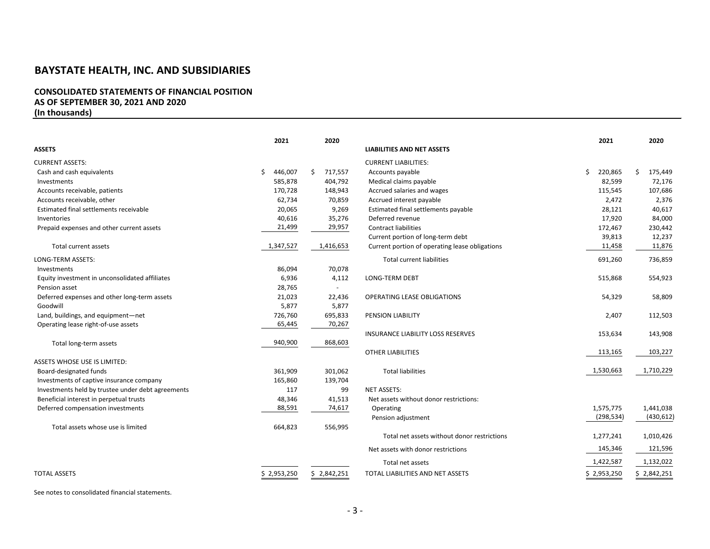#### **CONSOLIDATED STATEMENTS OF FINANCIAL POSITION AS OF SEPTEMBER 30, 2021 AND 2020 (In thousands)**

|                                                   | 2021          |    | 2020        |                                                |    | 2021        |    | 2020        |
|---------------------------------------------------|---------------|----|-------------|------------------------------------------------|----|-------------|----|-------------|
| <b>ASSETS</b>                                     |               |    |             | <b>LIABILITIES AND NET ASSETS</b>              |    |             |    |             |
| <b>CURRENT ASSETS:</b>                            |               |    |             | <b>CURRENT LIABILITIES:</b>                    |    |             |    |             |
| Cash and cash equivalents                         | \$<br>446,007 | Ŝ. | 717,557     | Accounts payable                               | Ś. | 220,865     | Ś. | 175,449     |
| Investments                                       | 585,878       |    | 404,792     | Medical claims payable                         |    | 82,599      |    | 72,176      |
| Accounts receivable, patients                     | 170,728       |    | 148,943     | Accrued salaries and wages                     |    | 115,545     |    | 107,686     |
| Accounts receivable, other                        | 62,734        |    | 70,859      | Accrued interest payable                       |    | 2,472       |    | 2,376       |
| Estimated final settlements receivable            | 20,065        |    | 9,269       | Estimated final settlements payable            |    | 28,121      |    | 40,617      |
| Inventories                                       | 40,616        |    | 35,276      | Deferred revenue                               |    | 17,920      |    | 84,000      |
| Prepaid expenses and other current assets         | 21,499        |    | 29,957      | <b>Contract liabilities</b>                    |    | 172,467     |    | 230,442     |
|                                                   |               |    |             | Current portion of long-term debt              |    | 39,813      |    | 12,237      |
| <b>Total current assets</b>                       | 1,347,527     |    | 1,416,653   | Current portion of operating lease obligations |    | 11,458      |    | 11,876      |
| <b>LONG-TERM ASSETS:</b>                          |               |    |             | <b>Total current liabilities</b>               |    | 691,260     |    | 736,859     |
| Investments                                       | 86,094        |    | 70,078      |                                                |    |             |    |             |
| Equity investment in unconsolidated affiliates    | 6,936         |    | 4,112       | <b>LONG-TERM DEBT</b>                          |    | 515,868     |    | 554,923     |
| Pension asset                                     | 28,765        |    |             |                                                |    |             |    |             |
| Deferred expenses and other long-term assets      | 21,023        |    | 22,436      | <b>OPERATING LEASE OBLIGATIONS</b>             |    | 54,329      |    | 58,809      |
| Goodwill                                          | 5,877         |    | 5,877       |                                                |    |             |    |             |
| Land, buildings, and equipment-net                | 726,760       |    | 695,833     | <b>PENSION LIABILITY</b>                       |    | 2,407       |    | 112,503     |
| Operating lease right-of-use assets               | 65,445        |    | 70,267      |                                                |    |             |    |             |
|                                                   |               |    |             | INSURANCE LIABILITY LOSS RESERVES              |    | 153,634     |    | 143,908     |
| Total long-term assets                            | 940,900       |    | 868,603     |                                                |    |             |    |             |
|                                                   |               |    |             | <b>OTHER LIABILITIES</b>                       |    | 113,165     |    | 103,227     |
| ASSETS WHOSE USE IS LIMITED:                      |               |    |             |                                                |    |             |    |             |
| Board-designated funds                            | 361,909       |    | 301,062     | <b>Total liabilities</b>                       |    | 1,530,663   |    | 1,710,229   |
| Investments of captive insurance company          | 165,860       |    | 139,704     |                                                |    |             |    |             |
| Investments held by trustee under debt agreements | 117           |    | 99          | <b>NET ASSETS:</b>                             |    |             |    |             |
| Beneficial interest in perpetual trusts           | 48,346        |    | 41,513      | Net assets without donor restrictions:         |    |             |    |             |
| Deferred compensation investments                 | 88,591        |    | 74,617      | Operating                                      |    | 1,575,775   |    | 1,441,038   |
|                                                   |               |    |             | Pension adjustment                             |    | (298, 534)  |    | (430, 612)  |
| Total assets whose use is limited                 | 664,823       |    | 556,995     |                                                |    |             |    |             |
|                                                   |               |    |             | Total net assets without donor restrictions    |    | 1,277,241   |    | 1,010,426   |
|                                                   |               |    |             | Net assets with donor restrictions             |    | 145,346     |    | 121,596     |
|                                                   |               |    |             | Total net assets                               |    | 1,422,587   |    | 1,132,022   |
| <b>TOTAL ASSETS</b>                               | \$2,953,250   |    | \$2,842,251 | TOTAL LIABILITIES AND NET ASSETS               |    | \$2,953,250 |    | \$2,842,251 |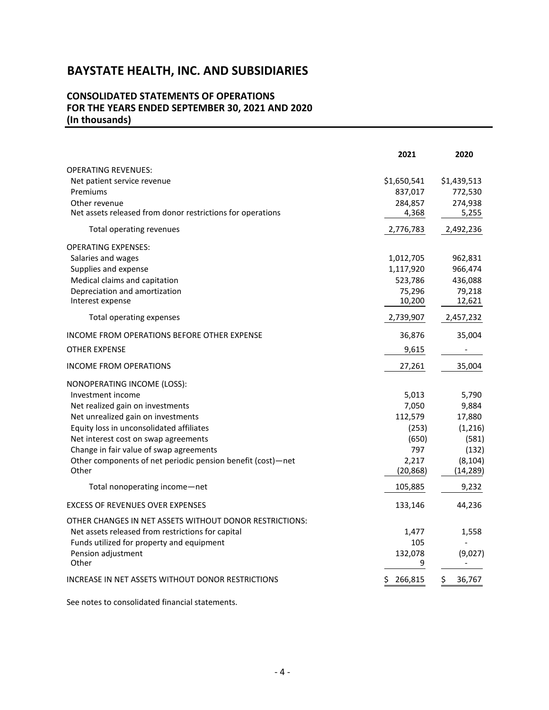#### **CONSOLIDATED STATEMENTS OF OPERATIONS FOR THE YEARS ENDED SEPTEMBER 30, 2021 AND 2020 (In thousands)**

|                                                             | 2021          | 2020         |
|-------------------------------------------------------------|---------------|--------------|
| <b>OPERATING REVENUES:</b>                                  |               |              |
| Net patient service revenue                                 | \$1,650,541   | \$1,439,513  |
| Premiums                                                    | 837,017       | 772,530      |
| Other revenue                                               | 284,857       | 274,938      |
| Net assets released from donor restrictions for operations  | 4,368         | 5,255        |
| Total operating revenues                                    | 2,776,783     | 2,492,236    |
| <b>OPERATING EXPENSES:</b>                                  |               |              |
| Salaries and wages                                          | 1,012,705     | 962,831      |
| Supplies and expense                                        | 1,117,920     | 966,474      |
| Medical claims and capitation                               | 523,786       | 436,088      |
| Depreciation and amortization                               | 75,296        | 79,218       |
| Interest expense                                            | 10,200        | 12,621       |
| Total operating expenses                                    | 2,739,907     | 2,457,232    |
| INCOME FROM OPERATIONS BEFORE OTHER EXPENSE                 | 36,876        | 35,004       |
| <b>OTHER EXPENSE</b>                                        | 9,615         |              |
| <b>INCOME FROM OPERATIONS</b>                               | 27,261        | 35,004       |
| NONOPERATING INCOME (LOSS):                                 |               |              |
| Investment income                                           | 5,013         | 5,790        |
| Net realized gain on investments                            | 7,050         | 9,884        |
| Net unrealized gain on investments                          | 112,579       | 17,880       |
| Equity loss in unconsolidated affiliates                    | (253)         | (1, 216)     |
| Net interest cost on swap agreements                        | (650)         | (581)        |
| Change in fair value of swap agreements                     | 797           | (132)        |
| Other components of net periodic pension benefit (cost)-net | 2,217         | (8, 104)     |
| Other                                                       | (20, 868)     | (14, 289)    |
| Total nonoperating income-net                               | 105,885       | 9,232        |
| <b>EXCESS OF REVENUES OVER EXPENSES</b>                     | 133,146       | 44,236       |
| OTHER CHANGES IN NET ASSETS WITHOUT DONOR RESTRICTIONS:     |               |              |
| Net assets released from restrictions for capital           | 1,477         | 1,558        |
| Funds utilized for property and equipment                   | 105           |              |
| Pension adjustment                                          | 132,078       | (9,027)      |
| Other                                                       | 9             |              |
| INCREASE IN NET ASSETS WITHOUT DONOR RESTRICTIONS           | \$<br>266,815 | \$<br>36,767 |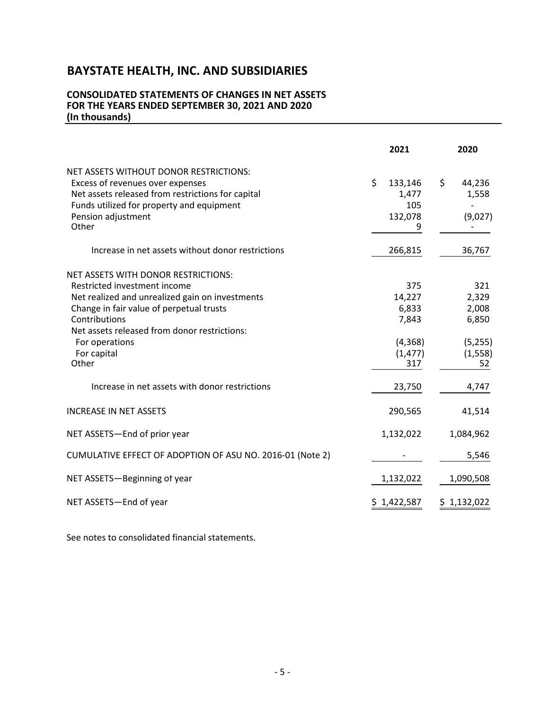#### **CONSOLIDATED STATEMENTS OF CHANGES IN NET ASSETS FOR THE YEARS ENDED SEPTEMBER 30, 2021 AND 2020 (In thousands)**

|                                                                                                                                                                                                                                                                               | 2021                                                          | 2020                                                        |
|-------------------------------------------------------------------------------------------------------------------------------------------------------------------------------------------------------------------------------------------------------------------------------|---------------------------------------------------------------|-------------------------------------------------------------|
| NET ASSETS WITHOUT DONOR RESTRICTIONS:<br>Excess of revenues over expenses<br>Net assets released from restrictions for capital<br>Funds utilized for property and equipment<br>Pension adjustment<br>Other                                                                   | \$<br>133,146<br>1,477<br>105<br>132,078<br>9                 | \$<br>44,236<br>1,558<br>(9,027)                            |
| Increase in net assets without donor restrictions                                                                                                                                                                                                                             | 266,815                                                       | 36,767                                                      |
| NET ASSETS WITH DONOR RESTRICTIONS:<br>Restricted investment income<br>Net realized and unrealized gain on investments<br>Change in fair value of perpetual trusts<br>Contributions<br>Net assets released from donor restrictions:<br>For operations<br>For capital<br>Other | 375<br>14,227<br>6,833<br>7,843<br>(4,368)<br>(1, 477)<br>317 | 321<br>2,329<br>2,008<br>6,850<br>(5,255)<br>(1, 558)<br>52 |
| Increase in net assets with donor restrictions                                                                                                                                                                                                                                | 23,750                                                        | 4,747                                                       |
| <b>INCREASE IN NET ASSETS</b>                                                                                                                                                                                                                                                 | 290,565                                                       | 41,514                                                      |
| NET ASSETS-End of prior year                                                                                                                                                                                                                                                  | 1,132,022                                                     | 1,084,962                                                   |
| CUMULATIVE EFFECT OF ADOPTION OF ASU NO. 2016-01 (Note 2)                                                                                                                                                                                                                     |                                                               | 5,546                                                       |
| NET ASSETS-Beginning of year                                                                                                                                                                                                                                                  | 1,132,022                                                     | 1,090,508                                                   |
| NET ASSETS-End of year                                                                                                                                                                                                                                                        | \$1,422,587                                                   | \$1,132,022                                                 |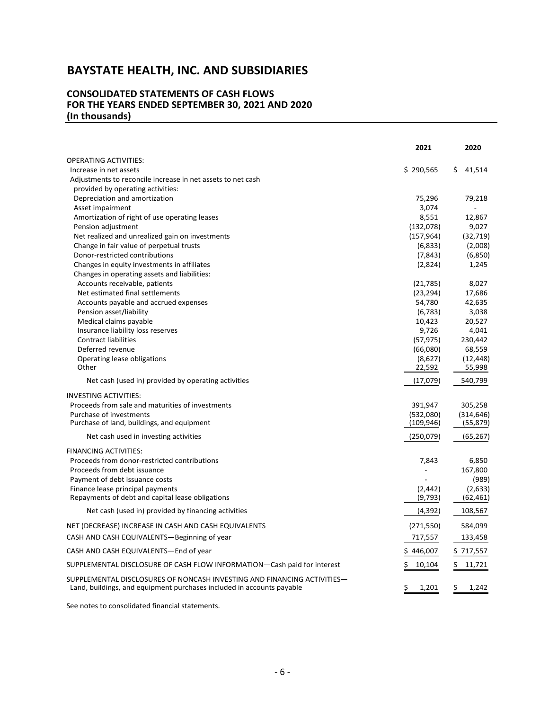#### **CONSOLIDATED STATEMENTS OF CASH FLOWS FOR THE YEARS ENDED SEPTEMBER 30, 2021 AND 2020 (In thousands)**

|                                                                                                                                                  | 2021         | 2020         |
|--------------------------------------------------------------------------------------------------------------------------------------------------|--------------|--------------|
| <b>OPERATING ACTIVITIES:</b>                                                                                                                     |              |              |
| Increase in net assets                                                                                                                           | \$290,565    | \$<br>41,514 |
| Adjustments to reconcile increase in net assets to net cash                                                                                      |              |              |
| provided by operating activities:                                                                                                                |              |              |
| Depreciation and amortization                                                                                                                    | 75,296       | 79,218       |
| Asset impairment                                                                                                                                 | 3,074        |              |
| Amortization of right of use operating leases                                                                                                    | 8,551        | 12,867       |
| Pension adjustment                                                                                                                               | (132,078)    | 9,027        |
| Net realized and unrealized gain on investments                                                                                                  | (157, 964)   | (32, 719)    |
| Change in fair value of perpetual trusts                                                                                                         | (6,833)      | (2,008)      |
| Donor-restricted contributions                                                                                                                   | (7, 843)     | (6,850)      |
| Changes in equity investments in affiliates                                                                                                      | (2,824)      | 1,245        |
| Changes in operating assets and liabilities:                                                                                                     |              |              |
| Accounts receivable, patients                                                                                                                    | (21, 785)    | 8,027        |
| Net estimated final settlements                                                                                                                  | (23, 294)    | 17,686       |
| Accounts payable and accrued expenses                                                                                                            | 54,780       | 42,635       |
| Pension asset/liability                                                                                                                          | (6, 783)     | 3,038        |
| Medical claims payable                                                                                                                           | 10,423       | 20,527       |
| Insurance liability loss reserves                                                                                                                | 9,726        | 4,041        |
| <b>Contract liabilities</b>                                                                                                                      | (57, 975)    | 230,442      |
| Deferred revenue                                                                                                                                 | (66,080)     | 68,559       |
| Operating lease obligations                                                                                                                      | (8,627)      | (12, 448)    |
| Other                                                                                                                                            | 22,592       | 55,998       |
| Net cash (used in) provided by operating activities                                                                                              | (17,079)     | 540,799      |
| <b>INVESTING ACTIVITIES:</b>                                                                                                                     |              |              |
| Proceeds from sale and maturities of investments                                                                                                 | 391,947      | 305,258      |
| Purchase of investments                                                                                                                          | (532,080)    | (314, 646)   |
| Purchase of land, buildings, and equipment                                                                                                       | (109, 946)   | (55, 879)    |
| Net cash used in investing activities                                                                                                            | (250,079)    | (65, 267)    |
| <b>FINANCING ACTIVITIES:</b>                                                                                                                     |              |              |
| Proceeds from donor-restricted contributions                                                                                                     | 7,843        | 6,850        |
| Proceeds from debt issuance                                                                                                                      | $\sim$       | 167,800      |
| Payment of debt issuance costs                                                                                                                   |              | (989)        |
| Finance lease principal payments                                                                                                                 | (2, 442)     | (2,633)      |
| Repayments of debt and capital lease obligations                                                                                                 | (9, 793)     | (62, 461)    |
| Net cash (used in) provided by financing activities                                                                                              | (4, 392)     | 108,567      |
| NET (DECREASE) INCREASE IN CASH AND CASH EQUIVALENTS                                                                                             | (271, 550)   | 584,099      |
| CASH AND CASH EQUIVALENTS-Beginning of year                                                                                                      | 717,557      | 133,458      |
| CASH AND CASH EQUIVALENTS-End of year                                                                                                            | \$446,007    | \$717,557    |
| SUPPLEMENTAL DISCLOSURE OF CASH FLOW INFORMATION-Cash paid for interest                                                                          | \$<br>10,104 | \$<br>11,721 |
|                                                                                                                                                  |              |              |
| SUPPLEMENTAL DISCLOSURES OF NONCASH INVESTING AND FINANCING ACTIVITIES-<br>Land, buildings, and equipment purchases included in accounts payable | \$<br>1,201  | \$.<br>1,242 |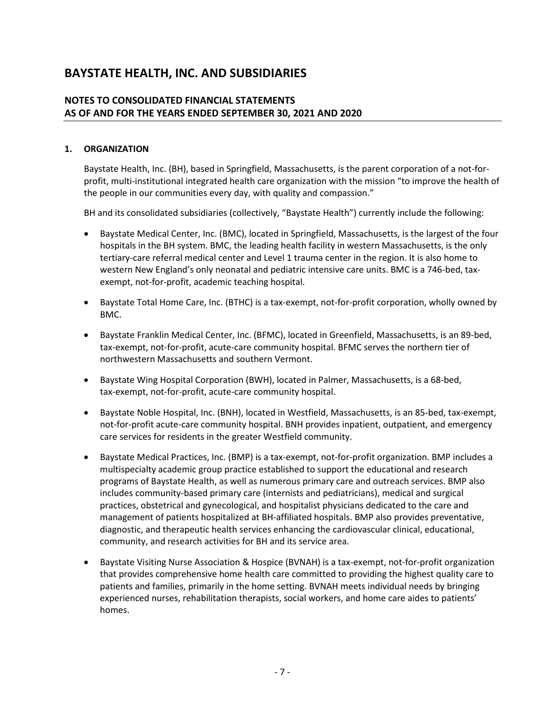#### **NOTES TO CONSOLIDATED FINANCIAL STATEMENTS AS OF AND FOR THE YEARS ENDED SEPTEMBER 30, 2021 AND 2020**

#### **1. ORGANIZATION**

Baystate Health, Inc. (BH), based in Springfield, Massachusetts, is the parent corporation of a not-forprofit, multi-institutional integrated health care organization with the mission "to improve the health of the people in our communities every day, with quality and compassion."

BH and its consolidated subsidiaries (collectively, "Baystate Health") currently include the following:

- Baystate Medical Center, Inc. (BMC), located in Springfield, Massachusetts, is the largest of the four hospitals in the BH system. BMC, the leading health facility in western Massachusetts, is the only tertiary-care referral medical center and Level 1 trauma center in the region. It is also home to western New England's only neonatal and pediatric intensive care units. BMC is a 746-bed, taxexempt, not-for-profit, academic teaching hospital.
- Baystate Total Home Care, Inc. (BTHC) is a tax-exempt, not-for-profit corporation, wholly owned by BMC.
- Baystate Franklin Medical Center, Inc. (BFMC), located in Greenfield, Massachusetts, is an 89-bed, tax-exempt, not-for-profit, acute-care community hospital. BFMC serves the northern tier of northwestern Massachusetts and southern Vermont.
- Baystate Wing Hospital Corporation (BWH), located in Palmer, Massachusetts, is a 68-bed, tax-exempt, not-for-profit, acute-care community hospital.
- Baystate Noble Hospital, Inc. (BNH), located in Westfield, Massachusetts, is an 85-bed, tax-exempt, not-for-profit acute-care community hospital. BNH provides inpatient, outpatient, and emergency care services for residents in the greater Westfield community.
- Baystate Medical Practices, Inc. (BMP) is a tax-exempt, not-for-profit organization. BMP includes a multispecialty academic group practice established to support the educational and research programs of Baystate Health, as well as numerous primary care and outreach services. BMP also includes community-based primary care (internists and pediatricians), medical and surgical practices, obstetrical and gynecological, and hospitalist physicians dedicated to the care and management of patients hospitalized at BH-affiliated hospitals. BMP also provides preventative, diagnostic, and therapeutic health services enhancing the cardiovascular clinical, educational, community, and research activities for BH and its service area.
- Baystate Visiting Nurse Association & Hospice (BVNAH) is a tax-exempt, not-for-profit organization that provides comprehensive home health care committed to providing the highest quality care to patients and families, primarily in the home setting. BVNAH meets individual needs by bringing experienced nurses, rehabilitation therapists, social workers, and home care aides to patients' homes.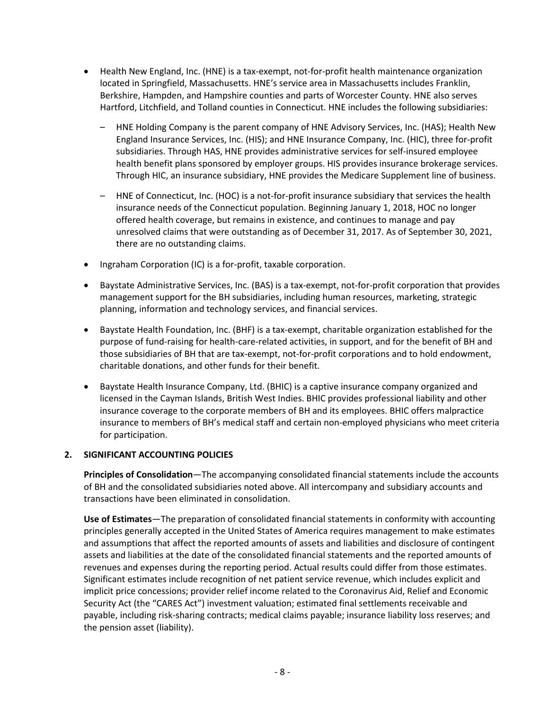- Health New England, Inc. (HNE) is a tax-exempt, not-for-profit health maintenance organization located in Springfield, Massachusetts. HNE's service area in Massachusetts includes Franklin, Berkshire, Hampden, and Hampshire counties and parts of Worcester County. HNE also serves Hartford, Litchfield, and Tolland counties in Connecticut. HNE includes the following subsidiaries:
	- HNE Holding Company is the parent company of HNE Advisory Services, Inc. (HAS); Health New England Insurance Services, Inc. (HIS); and HNE Insurance Company, Inc. (HIC), three for-profit subsidiaries. Through HAS, HNE provides administrative services for self-insured employee health benefit plans sponsored by employer groups. HIS provides insurance brokerage services. Through HIC, an insurance subsidiary, HNE provides the Medicare Supplement line of business.
	- HNE of Connecticut, Inc. (HOC) is a not-for-profit insurance subsidiary that services the health insurance needs of the Connecticut population. Beginning January 1, 2018, HOC no longer offered health coverage, but remains in existence, and continues to manage and pay unresolved claims that were outstanding as of December 31, 2017. As of September 30, 2021, there are no outstanding claims.
- Ingraham Corporation (IC) is a for-profit, taxable corporation.
- Baystate Administrative Services, Inc. (BAS) is a tax-exempt, not-for-profit corporation that provides management support for the BH subsidiaries, including human resources, marketing, strategic planning, information and technology services, and financial services.
- Baystate Health Foundation, Inc. (BHF) is a tax-exempt, charitable organization established for the purpose of fund-raising for health-care-related activities, in support, and for the benefit of BH and those subsidiaries of BH that are tax-exempt, not-for-profit corporations and to hold endowment, charitable donations, and other funds for their benefit.
- Baystate Health Insurance Company, Ltd. (BHIC) is a captive insurance company organized and licensed in the Cayman Islands, British West Indies. BHIC provides professional liability and other insurance coverage to the corporate members of BH and its employees. BHIC offers malpractice insurance to members of BH's medical staff and certain non-employed physicians who meet criteria for participation.

#### **2. SIGNIFICANT ACCOUNTING POLICIES**

**Principles of Consolidation**—The accompanying consolidated financial statements include the accounts of BH and the consolidated subsidiaries noted above. All intercompany and subsidiary accounts and transactions have been eliminated in consolidation.

**Use of Estimates**—The preparation of consolidated financial statements in conformity with accounting principles generally accepted in the United States of America requires management to make estimates and assumptions that affect the reported amounts of assets and liabilities and disclosure of contingent assets and liabilities at the date of the consolidated financial statements and the reported amounts of revenues and expenses during the reporting period. Actual results could differ from those estimates. Significant estimates include recognition of net patient service revenue, which includes explicit and implicit price concessions; provider relief income related to the Coronavirus Aid, Relief and Economic Security Act (the "CARES Act") investment valuation; estimated final settlements receivable and payable, including risk-sharing contracts; medical claims payable; insurance liability loss reserves; and the pension asset (liability).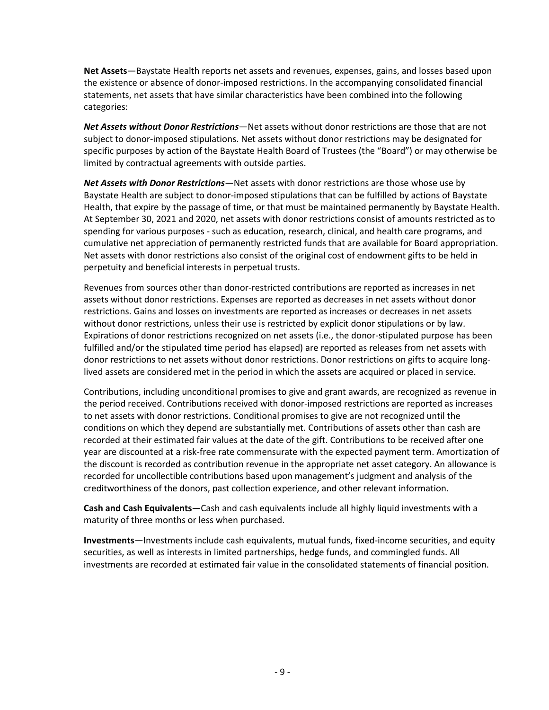**Net Assets**—Baystate Health reports net assets and revenues, expenses, gains, and losses based upon the existence or absence of donor-imposed restrictions. In the accompanying consolidated financial statements, net assets that have similar characteristics have been combined into the following categories:

*Net Assets without Donor Restrictions*—Net assets without donor restrictions are those that are not subject to donor-imposed stipulations. Net assets without donor restrictions may be designated for specific purposes by action of the Baystate Health Board of Trustees (the "Board") or may otherwise be limited by contractual agreements with outside parties.

*Net Assets with Donor Restrictions*—Net assets with donor restrictions are those whose use by Baystate Health are subject to donor-imposed stipulations that can be fulfilled by actions of Baystate Health, that expire by the passage of time, or that must be maintained permanently by Baystate Health. At September 30, 2021 and 2020, net assets with donor restrictions consist of amounts restricted as to spending for various purposes - such as education, research, clinical, and health care programs, and cumulative net appreciation of permanently restricted funds that are available for Board appropriation. Net assets with donor restrictions also consist of the original cost of endowment gifts to be held in perpetuity and beneficial interests in perpetual trusts.

Revenues from sources other than donor-restricted contributions are reported as increases in net assets without donor restrictions. Expenses are reported as decreases in net assets without donor restrictions. Gains and losses on investments are reported as increases or decreases in net assets without donor restrictions, unless their use is restricted by explicit donor stipulations or by law. Expirations of donor restrictions recognized on net assets (i.e., the donor-stipulated purpose has been fulfilled and/or the stipulated time period has elapsed) are reported as releases from net assets with donor restrictions to net assets without donor restrictions. Donor restrictions on gifts to acquire longlived assets are considered met in the period in which the assets are acquired or placed in service.

Contributions, including unconditional promises to give and grant awards, are recognized as revenue in the period received. Contributions received with donor-imposed restrictions are reported as increases to net assets with donor restrictions. Conditional promises to give are not recognized until the conditions on which they depend are substantially met. Contributions of assets other than cash are recorded at their estimated fair values at the date of the gift. Contributions to be received after one year are discounted at a risk-free rate commensurate with the expected payment term. Amortization of the discount is recorded as contribution revenue in the appropriate net asset category. An allowance is recorded for uncollectible contributions based upon management's judgment and analysis of the creditworthiness of the donors, past collection experience, and other relevant information.

**Cash and Cash Equivalents**—Cash and cash equivalents include all highly liquid investments with a maturity of three months or less when purchased.

**Investments**—Investments include cash equivalents, mutual funds, fixed-income securities, and equity securities, as well as interests in limited partnerships, hedge funds, and commingled funds. All investments are recorded at estimated fair value in the consolidated statements of financial position.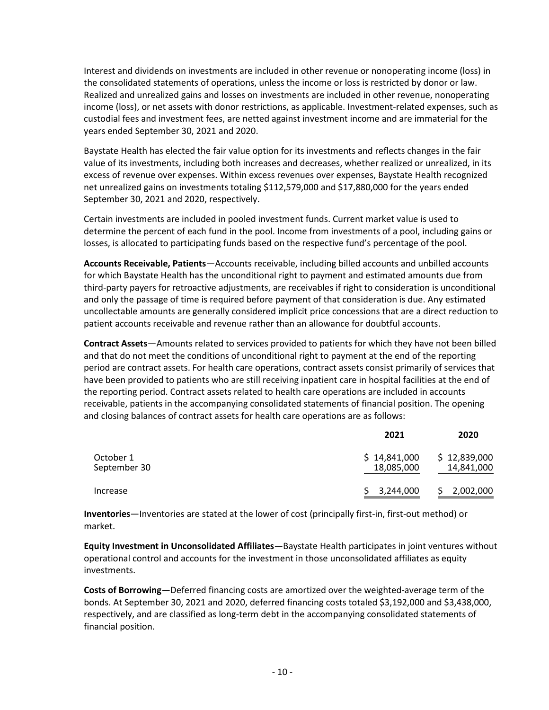Interest and dividends on investments are included in other revenue or nonoperating income (loss) in the consolidated statements of operations, unless the income or loss is restricted by donor or law. Realized and unrealized gains and losses on investments are included in other revenue, nonoperating income (loss), or net assets with donor restrictions, as applicable. Investment-related expenses, such as custodial fees and investment fees, are netted against investment income and are immaterial for the years ended September 30, 2021 and 2020.

Baystate Health has elected the fair value option for its investments and reflects changes in the fair value of its investments, including both increases and decreases, whether realized or unrealized, in its excess of revenue over expenses. Within excess revenues over expenses, Baystate Health recognized net unrealized gains on investments totaling \$112,579,000 and \$17,880,000 for the years ended September 30, 2021 and 2020, respectively.

Certain investments are included in pooled investment funds. Current market value is used to determine the percent of each fund in the pool. Income from investments of a pool, including gains or losses, is allocated to participating funds based on the respective fund's percentage of the pool.

**Accounts Receivable, Patients**—Accounts receivable, including billed accounts and unbilled accounts for which Baystate Health has the unconditional right to payment and estimated amounts due from third-party payers for retroactive adjustments, are receivables if right to consideration is unconditional and only the passage of time is required before payment of that consideration is due. Any estimated uncollectable amounts are generally considered implicit price concessions that are a direct reduction to patient accounts receivable and revenue rather than an allowance for doubtful accounts.

**Contract Assets**—Amounts related to services provided to patients for which they have not been billed and that do not meet the conditions of unconditional right to payment at the end of the reporting period are contract assets. For health care operations, contract assets consist primarily of services that have been provided to patients who are still receiving inpatient care in hospital facilities at the end of the reporting period. Contract assets related to health care operations are included in accounts receivable, patients in the accompanying consolidated statements of financial position. The opening and closing balances of contract assets for health care operations are as follows:

| 2021                       | 2020                       |
|----------------------------|----------------------------|
| \$14,841,000<br>18,085,000 | \$12,839,000<br>14,841,000 |
| 3,244,000                  | 2,002,000                  |
|                            |                            |

**Inventories**—Inventories are stated at the lower of cost (principally first-in, first-out method) or market.

**Equity Investment in Unconsolidated Affiliates**—Baystate Health participates in joint ventures without operational control and accounts for the investment in those unconsolidated affiliates as equity investments.

**Costs of Borrowing**—Deferred financing costs are amortized over the weighted-average term of the bonds. At September 30, 2021 and 2020, deferred financing costs totaled \$3,192,000 and \$3,438,000, respectively, and are classified as long-term debt in the accompanying consolidated statements of financial position.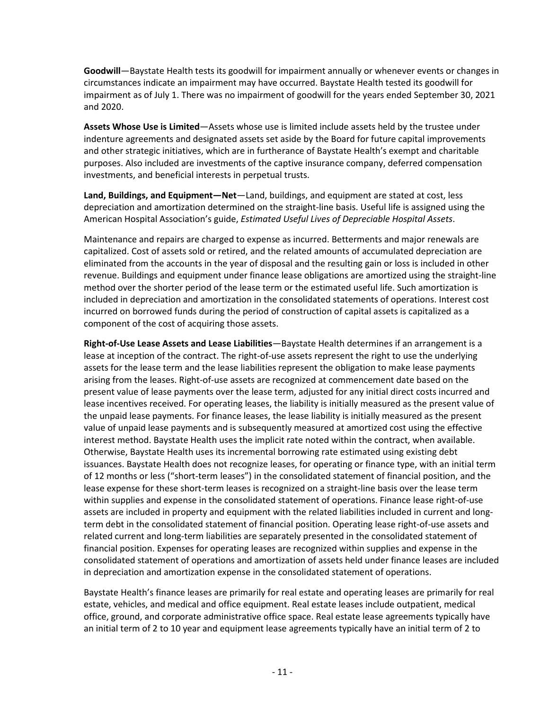**Goodwill**—Baystate Health tests its goodwill for impairment annually or whenever events or changes in circumstances indicate an impairment may have occurred. Baystate Health tested its goodwill for impairment as of July 1. There was no impairment of goodwill for the years ended September 30, 2021 and 2020.

**Assets Whose Use is Limited**—Assets whose use is limited include assets held by the trustee under indenture agreements and designated assets set aside by the Board for future capital improvements and other strategic initiatives, which are in furtherance of Baystate Health's exempt and charitable purposes. Also included are investments of the captive insurance company, deferred compensation investments, and beneficial interests in perpetual trusts.

**Land, Buildings, and Equipment—Net**—Land, buildings, and equipment are stated at cost, less depreciation and amortization determined on the straight-line basis. Useful life is assigned using the American Hospital Association's guide, *Estimated Useful Lives of Depreciable Hospital Assets*.

Maintenance and repairs are charged to expense as incurred. Betterments and major renewals are capitalized. Cost of assets sold or retired, and the related amounts of accumulated depreciation are eliminated from the accounts in the year of disposal and the resulting gain or loss is included in other revenue. Buildings and equipment under finance lease obligations are amortized using the straight-line method over the shorter period of the lease term or the estimated useful life. Such amortization is included in depreciation and amortization in the consolidated statements of operations. Interest cost incurred on borrowed funds during the period of construction of capital assets is capitalized as a component of the cost of acquiring those assets.

**Right-of-Use Lease Assets and Lease Liabilities**—Baystate Health determines if an arrangement is a lease at inception of the contract. The right-of-use assets represent the right to use the underlying assets for the lease term and the lease liabilities represent the obligation to make lease payments arising from the leases. Right-of-use assets are recognized at commencement date based on the present value of lease payments over the lease term, adjusted for any initial direct costs incurred and lease incentives received. For operating leases, the liability is initially measured as the present value of the unpaid lease payments. For finance leases, the lease liability is initially measured as the present value of unpaid lease payments and is subsequently measured at amortized cost using the effective interest method. Baystate Health uses the implicit rate noted within the contract, when available. Otherwise, Baystate Health uses its incremental borrowing rate estimated using existing debt issuances. Baystate Health does not recognize leases, for operating or finance type, with an initial term of 12 months or less ("short-term leases") in the consolidated statement of financial position, and the lease expense for these short-term leases is recognized on a straight-line basis over the lease term within supplies and expense in the consolidated statement of operations. Finance lease right-of-use assets are included in property and equipment with the related liabilities included in current and longterm debt in the consolidated statement of financial position. Operating lease right-of-use assets and related current and long-term liabilities are separately presented in the consolidated statement of financial position. Expenses for operating leases are recognized within supplies and expense in the consolidated statement of operations and amortization of assets held under finance leases are included in depreciation and amortization expense in the consolidated statement of operations.

Baystate Health's finance leases are primarily for real estate and operating leases are primarily for real estate, vehicles, and medical and office equipment. Real estate leases include outpatient, medical office, ground, and corporate administrative office space. Real estate lease agreements typically have an initial term of 2 to 10 year and equipment lease agreements typically have an initial term of 2 to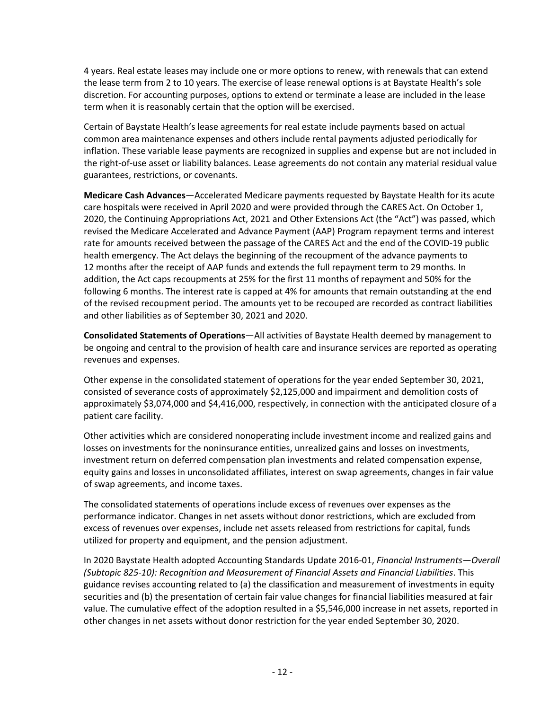4 years. Real estate leases may include one or more options to renew, with renewals that can extend the lease term from 2 to 10 years. The exercise of lease renewal options is at Baystate Health's sole discretion. For accounting purposes, options to extend or terminate a lease are included in the lease term when it is reasonably certain that the option will be exercised.

Certain of Baystate Health's lease agreements for real estate include payments based on actual common area maintenance expenses and others include rental payments adjusted periodically for inflation. These variable lease payments are recognized in supplies and expense but are not included in the right-of-use asset or liability balances. Lease agreements do not contain any material residual value guarantees, restrictions, or covenants.

**Medicare Cash Advances**—Accelerated Medicare payments requested by Baystate Health for its acute care hospitals were received in April 2020 and were provided through the CARES Act. On October 1, 2020, the Continuing Appropriations Act, 2021 and Other Extensions Act (the "Act") was passed, which revised the Medicare Accelerated and Advance Payment (AAP) Program repayment terms and interest rate for amounts received between the passage of the CARES Act and the end of the COVID-19 public health emergency. The Act delays the beginning of the recoupment of the advance payments to 12 months after the receipt of AAP funds and extends the full repayment term to 29 months. In addition, the Act caps recoupments at 25% for the first 11 months of repayment and 50% for the following 6 months. The interest rate is capped at 4% for amounts that remain outstanding at the end of the revised recoupment period. The amounts yet to be recouped are recorded as contract liabilities and other liabilities as of September 30, 2021 and 2020.

**Consolidated Statements of Operations**—All activities of Baystate Health deemed by management to be ongoing and central to the provision of health care and insurance services are reported as operating revenues and expenses.

Other expense in the consolidated statement of operations for the year ended September 30, 2021, consisted of severance costs of approximately \$2,125,000 and impairment and demolition costs of approximately \$3,074,000 and \$4,416,000, respectively, in connection with the anticipated closure of a patient care facility.

Other activities which are considered nonoperating include investment income and realized gains and losses on investments for the noninsurance entities, unrealized gains and losses on investments, investment return on deferred compensation plan investments and related compensation expense, equity gains and losses in unconsolidated affiliates, interest on swap agreements, changes in fair value of swap agreements, and income taxes.

The consolidated statements of operations include excess of revenues over expenses as the performance indicator. Changes in net assets without donor restrictions, which are excluded from excess of revenues over expenses, include net assets released from restrictions for capital, funds utilized for property and equipment, and the pension adjustment.

In 2020 Baystate Health adopted Accounting Standards Update 2016-01, *Financial Instruments—Overall (Subtopic 825‐10): Recognition and Measurement of Financial Assets and Financial Liabilities*. This guidance revises accounting related to (a) the classification and measurement of investments in equity securities and (b) the presentation of certain fair value changes for financial liabilities measured at fair value. The cumulative effect of the adoption resulted in a \$5,546,000 increase in net assets, reported in other changes in net assets without donor restriction for the year ended September 30, 2020.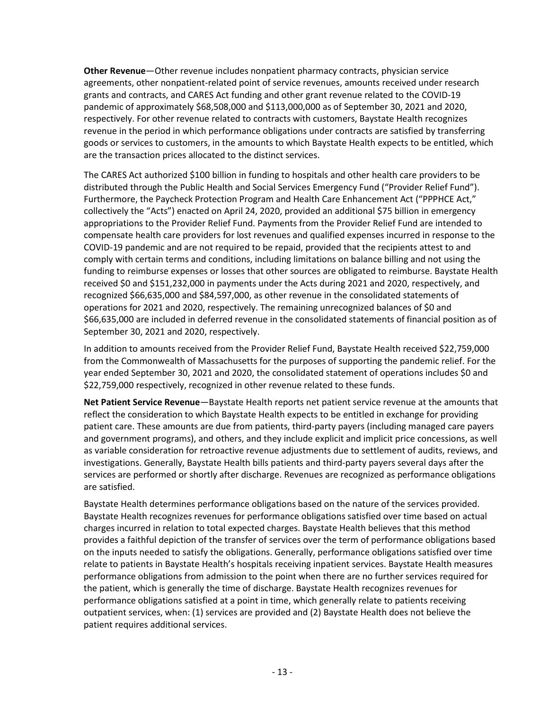**Other Revenue**—Other revenue includes nonpatient pharmacy contracts, physician service agreements, other nonpatient-related point of service revenues, amounts received under research grants and contracts, and CARES Act funding and other grant revenue related to the COVID-19 pandemic of approximately \$68,508,000 and \$113,000,000 as of September 30, 2021 and 2020, respectively. For other revenue related to contracts with customers, Baystate Health recognizes revenue in the period in which performance obligations under contracts are satisfied by transferring goods or services to customers, in the amounts to which Baystate Health expects to be entitled, which are the transaction prices allocated to the distinct services.

The CARES Act authorized \$100 billion in funding to hospitals and other health care providers to be distributed through the Public Health and Social Services Emergency Fund ("Provider Relief Fund"). Furthermore, the Paycheck Protection Program and Health Care Enhancement Act ("PPPHCE Act," collectively the "Acts") enacted on April 24, 2020, provided an additional \$75 billion in emergency appropriations to the Provider Relief Fund. Payments from the Provider Relief Fund are intended to compensate health care providers for lost revenues and qualified expenses incurred in response to the COVID-19 pandemic and are not required to be repaid, provided that the recipients attest to and comply with certain terms and conditions, including limitations on balance billing and not using the funding to reimburse expenses or losses that other sources are obligated to reimburse. Baystate Health received \$0 and \$151,232,000 in payments under the Acts during 2021 and 2020, respectively, and recognized \$66,635,000 and \$84,597,000, as other revenue in the consolidated statements of operations for 2021 and 2020, respectively. The remaining unrecognized balances of \$0 and \$66,635,000 are included in deferred revenue in the consolidated statements of financial position as of September 30, 2021 and 2020, respectively.

In addition to amounts received from the Provider Relief Fund, Baystate Health received \$22,759,000 from the Commonwealth of Massachusetts for the purposes of supporting the pandemic relief. For the year ended September 30, 2021 and 2020, the consolidated statement of operations includes \$0 and \$22,759,000 respectively, recognized in other revenue related to these funds.

**Net Patient Service Revenue**—Baystate Health reports net patient service revenue at the amounts that reflect the consideration to which Baystate Health expects to be entitled in exchange for providing patient care. These amounts are due from patients, third-party payers (including managed care payers and government programs), and others, and they include explicit and implicit price concessions, as well as variable consideration for retroactive revenue adjustments due to settlement of audits, reviews, and investigations. Generally, Baystate Health bills patients and third-party payers several days after the services are performed or shortly after discharge. Revenues are recognized as performance obligations are satisfied.

Baystate Health determines performance obligations based on the nature of the services provided. Baystate Health recognizes revenues for performance obligations satisfied over time based on actual charges incurred in relation to total expected charges. Baystate Health believes that this method provides a faithful depiction of the transfer of services over the term of performance obligations based on the inputs needed to satisfy the obligations. Generally, performance obligations satisfied over time relate to patients in Baystate Health's hospitals receiving inpatient services. Baystate Health measures performance obligations from admission to the point when there are no further services required for the patient, which is generally the time of discharge. Baystate Health recognizes revenues for performance obligations satisfied at a point in time, which generally relate to patients receiving outpatient services, when: (1) services are provided and (2) Baystate Health does not believe the patient requires additional services.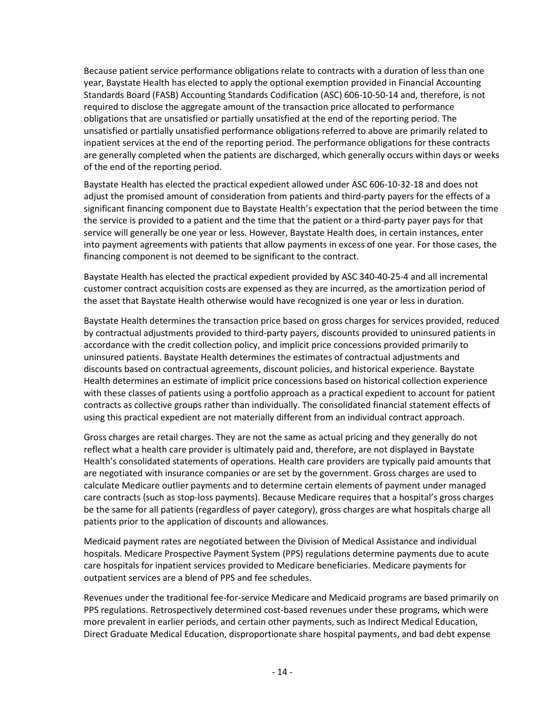Because patient service performance obligations relate to contracts with a duration of less than one year, Baystate Health has elected to apply the optional exemption provided in Financial Accounting Standards Board (FASB) Accounting Standards Codification (ASC) 606-10-50-14 and, therefore, is not required to disclose the aggregate amount of the transaction price allocated to performance obligations that are unsatisfied or partially unsatisfied at the end of the reporting period. The unsatisfied or partially unsatisfied performance obligations referred to above are primarily related to inpatient services at the end of the reporting period. The performance obligations for these contracts are generally completed when the patients are discharged, which generally occurs within days or weeks of the end of the reporting period.

Baystate Health has elected the practical expedient allowed under ASC 606-10-32-18 and does not adjust the promised amount of consideration from patients and third-party payers for the effects of a significant financing component due to Baystate Health's expectation that the period between the time the service is provided to a patient and the time that the patient or a third-party payer pays for that service will generally be one year or less. However, Baystate Health does, in certain instances, enter into payment agreements with patients that allow payments in excess of one year. For those cases, the financing component is not deemed to be significant to the contract.

Baystate Health has elected the practical expedient provided by ASC 340-40-25-4 and all incremental customer contract acquisition costs are expensed as they are incurred, as the amortization period of the asset that Baystate Health otherwise would have recognized is one year or less in duration.

Baystate Health determines the transaction price based on gross charges for services provided, reduced by contractual adjustments provided to third-party payers, discounts provided to uninsured patients in accordance with the credit collection policy, and implicit price concessions provided primarily to uninsured patients. Baystate Health determines the estimates of contractual adjustments and discounts based on contractual agreements, discount policies, and historical experience. Baystate Health determines an estimate of implicit price concessions based on historical collection experience with these classes of patients using a portfolio approach as a practical expedient to account for patient contracts as collective groups rather than individually. The consolidated financial statement effects of using this practical expedient are not materially different from an individual contract approach.

Gross charges are retail charges. They are not the same as actual pricing and they generally do not reflect what a health care provider is ultimately paid and, therefore, are not displayed in Baystate Health's consolidated statements of operations. Health care providers are typically paid amounts that are negotiated with insurance companies or are set by the government. Gross charges are used to calculate Medicare outlier payments and to determine certain elements of payment under managed care contracts (such as stop-loss payments). Because Medicare requires that a hospital's gross charges be the same for all patients (regardless of payer category), gross charges are what hospitals charge all patients prior to the application of discounts and allowances.

Medicaid payment rates are negotiated between the Division of Medical Assistance and individual hospitals. Medicare Prospective Payment System (PPS) regulations determine payments due to acute care hospitals for inpatient services provided to Medicare beneficiaries. Medicare payments for outpatient services are a blend of PPS and fee schedules.

Revenues under the traditional fee-for-service Medicare and Medicaid programs are based primarily on PPS regulations. Retrospectively determined cost-based revenues under these programs, which were more prevalent in earlier periods, and certain other payments, such as Indirect Medical Education, Direct Graduate Medical Education, disproportionate share hospital payments, and bad debt expense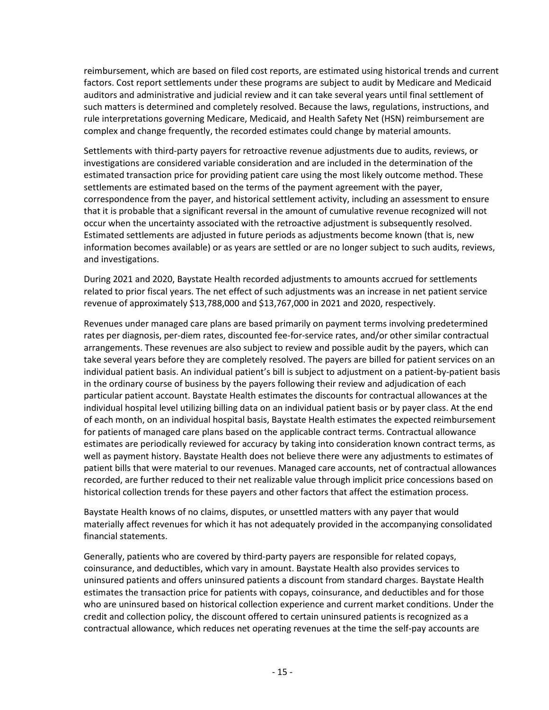reimbursement, which are based on filed cost reports, are estimated using historical trends and current factors. Cost report settlements under these programs are subject to audit by Medicare and Medicaid auditors and administrative and judicial review and it can take several years until final settlement of such matters is determined and completely resolved. Because the laws, regulations, instructions, and rule interpretations governing Medicare, Medicaid, and Health Safety Net (HSN) reimbursement are complex and change frequently, the recorded estimates could change by material amounts.

Settlements with third-party payers for retroactive revenue adjustments due to audits, reviews, or investigations are considered variable consideration and are included in the determination of the estimated transaction price for providing patient care using the most likely outcome method. These settlements are estimated based on the terms of the payment agreement with the payer, correspondence from the payer, and historical settlement activity, including an assessment to ensure that it is probable that a significant reversal in the amount of cumulative revenue recognized will not occur when the uncertainty associated with the retroactive adjustment is subsequently resolved. Estimated settlements are adjusted in future periods as adjustments become known (that is, new information becomes available) or as years are settled or are no longer subject to such audits, reviews, and investigations.

During 2021 and 2020, Baystate Health recorded adjustments to amounts accrued for settlements related to prior fiscal years. The net effect of such adjustments was an increase in net patient service revenue of approximately \$13,788,000 and \$13,767,000 in 2021 and 2020, respectively.

Revenues under managed care plans are based primarily on payment terms involving predetermined rates per diagnosis, per-diem rates, discounted fee-for-service rates, and/or other similar contractual arrangements. These revenues are also subject to review and possible audit by the payers, which can take several years before they are completely resolved. The payers are billed for patient services on an individual patient basis. An individual patient's bill is subject to adjustment on a patient-by-patient basis in the ordinary course of business by the payers following their review and adjudication of each particular patient account. Baystate Health estimates the discounts for contractual allowances at the individual hospital level utilizing billing data on an individual patient basis or by payer class. At the end of each month, on an individual hospital basis, Baystate Health estimates the expected reimbursement for patients of managed care plans based on the applicable contract terms. Contractual allowance estimates are periodically reviewed for accuracy by taking into consideration known contract terms, as well as payment history. Baystate Health does not believe there were any adjustments to estimates of patient bills that were material to our revenues. Managed care accounts, net of contractual allowances recorded, are further reduced to their net realizable value through implicit price concessions based on historical collection trends for these payers and other factors that affect the estimation process.

Baystate Health knows of no claims, disputes, or unsettled matters with any payer that would materially affect revenues for which it has not adequately provided in the accompanying consolidated financial statements.

Generally, patients who are covered by third-party payers are responsible for related copays, coinsurance, and deductibles, which vary in amount. Baystate Health also provides services to uninsured patients and offers uninsured patients a discount from standard charges. Baystate Health estimates the transaction price for patients with copays, coinsurance, and deductibles and for those who are uninsured based on historical collection experience and current market conditions. Under the credit and collection policy, the discount offered to certain uninsured patients is recognized as a contractual allowance, which reduces net operating revenues at the time the self-pay accounts are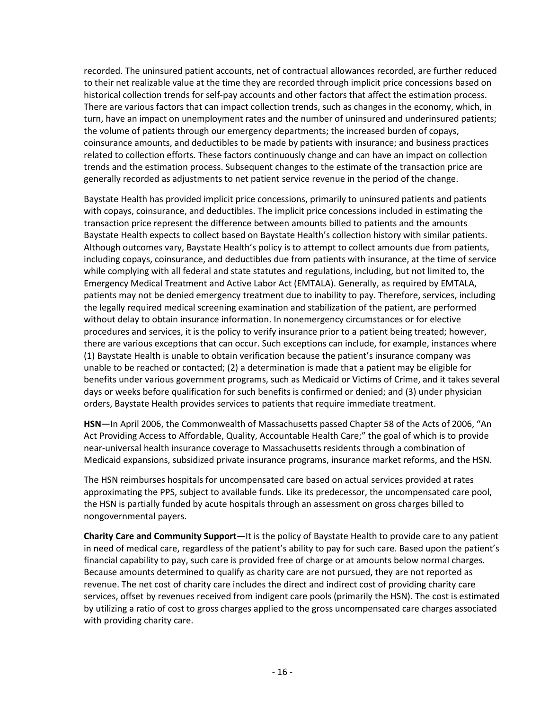recorded. The uninsured patient accounts, net of contractual allowances recorded, are further reduced to their net realizable value at the time they are recorded through implicit price concessions based on historical collection trends for self-pay accounts and other factors that affect the estimation process. There are various factors that can impact collection trends, such as changes in the economy, which, in turn, have an impact on unemployment rates and the number of uninsured and underinsured patients; the volume of patients through our emergency departments; the increased burden of copays, coinsurance amounts, and deductibles to be made by patients with insurance; and business practices related to collection efforts. These factors continuously change and can have an impact on collection trends and the estimation process. Subsequent changes to the estimate of the transaction price are generally recorded as adjustments to net patient service revenue in the period of the change.

Baystate Health has provided implicit price concessions, primarily to uninsured patients and patients with copays, coinsurance, and deductibles. The implicit price concessions included in estimating the transaction price represent the difference between amounts billed to patients and the amounts Baystate Health expects to collect based on Baystate Health's collection history with similar patients. Although outcomes vary, Baystate Health's policy is to attempt to collect amounts due from patients, including copays, coinsurance, and deductibles due from patients with insurance, at the time of service while complying with all federal and state statutes and regulations, including, but not limited to, the Emergency Medical Treatment and Active Labor Act (EMTALA). Generally, as required by EMTALA, patients may not be denied emergency treatment due to inability to pay. Therefore, services, including the legally required medical screening examination and stabilization of the patient, are performed without delay to obtain insurance information. In nonemergency circumstances or for elective procedures and services, it is the policy to verify insurance prior to a patient being treated; however, there are various exceptions that can occur. Such exceptions can include, for example, instances where (1) Baystate Health is unable to obtain verification because the patient's insurance company was unable to be reached or contacted; (2) a determination is made that a patient may be eligible for benefits under various government programs, such as Medicaid or Victims of Crime, and it takes several days or weeks before qualification for such benefits is confirmed or denied; and (3) under physician orders, Baystate Health provides services to patients that require immediate treatment.

**HSN**—In April 2006, the Commonwealth of Massachusetts passed Chapter 58 of the Acts of 2006, "An Act Providing Access to Affordable, Quality, Accountable Health Care;" the goal of which is to provide near-universal health insurance coverage to Massachusetts residents through a combination of Medicaid expansions, subsidized private insurance programs, insurance market reforms, and the HSN.

The HSN reimburses hospitals for uncompensated care based on actual services provided at rates approximating the PPS, subject to available funds. Like its predecessor, the uncompensated care pool, the HSN is partially funded by acute hospitals through an assessment on gross charges billed to nongovernmental payers.

**Charity Care and Community Support**—It is the policy of Baystate Health to provide care to any patient in need of medical care, regardless of the patient's ability to pay for such care. Based upon the patient's financial capability to pay, such care is provided free of charge or at amounts below normal charges. Because amounts determined to qualify as charity care are not pursued, they are not reported as revenue. The net cost of charity care includes the direct and indirect cost of providing charity care services, offset by revenues received from indigent care pools (primarily the HSN). The cost is estimated by utilizing a ratio of cost to gross charges applied to the gross uncompensated care charges associated with providing charity care.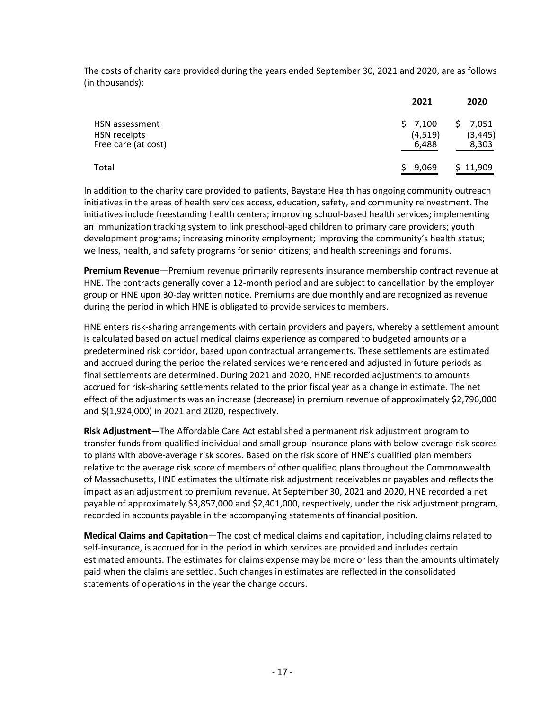The costs of charity care provided during the years ended September 30, 2021 and 2020, are as follows (in thousands):

|                                       | 2021               | 2020                |
|---------------------------------------|--------------------|---------------------|
| HSN assessment<br><b>HSN</b> receipts | \$7,100<br>(4,519) | \$7,051<br>(3, 445) |
| Free care (at cost)                   | 6,488              | 8,303               |
| Total                                 | \$9,069            | \$11,909            |

In addition to the charity care provided to patients, Baystate Health has ongoing community outreach initiatives in the areas of health services access, education, safety, and community reinvestment. The initiatives include freestanding health centers; improving school-based health services; implementing an immunization tracking system to link preschool-aged children to primary care providers; youth development programs; increasing minority employment; improving the community's health status; wellness, health, and safety programs for senior citizens; and health screenings and forums.

**Premium Revenue**—Premium revenue primarily represents insurance membership contract revenue at HNE. The contracts generally cover a 12-month period and are subject to cancellation by the employer group or HNE upon 30-day written notice. Premiums are due monthly and are recognized as revenue during the period in which HNE is obligated to provide services to members.

HNE enters risk-sharing arrangements with certain providers and payers, whereby a settlement amount is calculated based on actual medical claims experience as compared to budgeted amounts or a predetermined risk corridor, based upon contractual arrangements. These settlements are estimated and accrued during the period the related services were rendered and adjusted in future periods as final settlements are determined. During 2021 and 2020, HNE recorded adjustments to amounts accrued for risk-sharing settlements related to the prior fiscal year as a change in estimate. The net effect of the adjustments was an increase (decrease) in premium revenue of approximately \$2,796,000 and \$(1,924,000) in 2021 and 2020, respectively.

**Risk Adjustment**—The Affordable Care Act established a permanent risk adjustment program to transfer funds from qualified individual and small group insurance plans with below-average risk scores to plans with above-average risk scores. Based on the risk score of HNE's qualified plan members relative to the average risk score of members of other qualified plans throughout the Commonwealth of Massachusetts, HNE estimates the ultimate risk adjustment receivables or payables and reflects the impact as an adjustment to premium revenue. At September 30, 2021 and 2020, HNE recorded a net payable of approximately \$3,857,000 and \$2,401,000, respectively, under the risk adjustment program, recorded in accounts payable in the accompanying statements of financial position.

**Medical Claims and Capitation**—The cost of medical claims and capitation, including claims related to self-insurance, is accrued for in the period in which services are provided and includes certain estimated amounts. The estimates for claims expense may be more or less than the amounts ultimately paid when the claims are settled. Such changes in estimates are reflected in the consolidated statements of operations in the year the change occurs.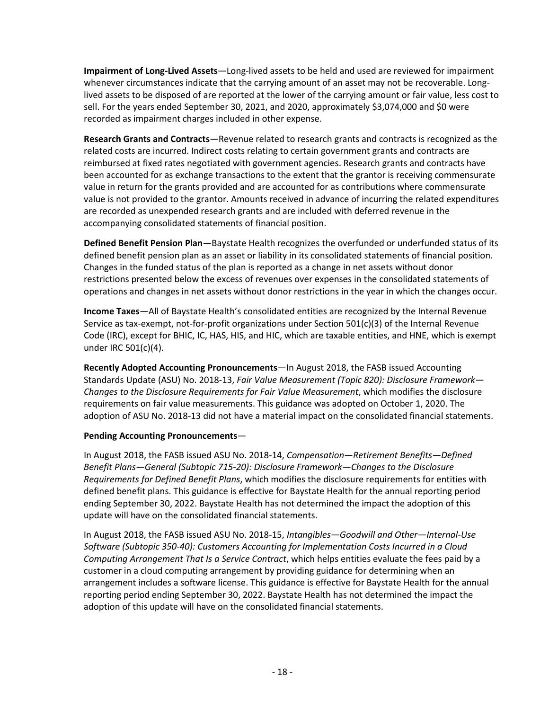**Impairment of Long-Lived Assets**—Long-lived assets to be held and used are reviewed for impairment whenever circumstances indicate that the carrying amount of an asset may not be recoverable. Longlived assets to be disposed of are reported at the lower of the carrying amount or fair value, less cost to sell. For the years ended September 30, 2021, and 2020, approximately \$3,074,000 and \$0 were recorded as impairment charges included in other expense.

**Research Grants and Contracts**—Revenue related to research grants and contracts is recognized as the related costs are incurred. Indirect costs relating to certain government grants and contracts are reimbursed at fixed rates negotiated with government agencies. Research grants and contracts have been accounted for as exchange transactions to the extent that the grantor is receiving commensurate value in return for the grants provided and are accounted for as contributions where commensurate value is not provided to the grantor. Amounts received in advance of incurring the related expenditures are recorded as unexpended research grants and are included with deferred revenue in the accompanying consolidated statements of financial position.

**Defined Benefit Pension Plan**—Baystate Health recognizes the overfunded or underfunded status of its defined benefit pension plan as an asset or liability in its consolidated statements of financial position. Changes in the funded status of the plan is reported as a change in net assets without donor restrictions presented below the excess of revenues over expenses in the consolidated statements of operations and changes in net assets without donor restrictions in the year in which the changes occur.

**Income Taxes**—All of Baystate Health's consolidated entities are recognized by the Internal Revenue Service as tax-exempt, not-for-profit organizations under Section 501(c)(3) of the Internal Revenue Code (IRC), except for BHIC, IC, HAS, HIS, and HIC, which are taxable entities, and HNE, which is exempt under IRC 501(c)(4).

**Recently Adopted Accounting Pronouncements**—In August 2018, the FASB issued Accounting Standards Update (ASU) No. 2018-13, *Fair Value Measurement (Topic 820): Disclosure Framework— Changes to the Disclosure Requirements for Fair Value Measurement*, which modifies the disclosure requirements on fair value measurements. This guidance was adopted on October 1, 2020. The adoption of ASU No. 2018-13 did not have a material impact on the consolidated financial statements.

#### **Pending Accounting Pronouncements**—

In August 2018, the FASB issued ASU No. 2018-14, *Compensation—Retirement Benefits—Defined Benefit Plans—General (Subtopic 715-20): Disclosure Framework—Changes to the Disclosure Requirements for Defined Benefit Plans*, which modifies the disclosure requirements for entities with defined benefit plans. This guidance is effective for Baystate Health for the annual reporting period ending September 30, 2022. Baystate Health has not determined the impact the adoption of this update will have on the consolidated financial statements.

In August 2018, the FASB issued ASU No. 2018-15, *Intangibles—Goodwill and Other—Internal-Use Software (Subtopic 350-40): Customers Accounting for Implementation Costs Incurred in a Cloud Computing Arrangement That Is a Service Contract*, which helps entities evaluate the fees paid by a customer in a cloud computing arrangement by providing guidance for determining when an arrangement includes a software license. This guidance is effective for Baystate Health for the annual reporting period ending September 30, 2022. Baystate Health has not determined the impact the adoption of this update will have on the consolidated financial statements.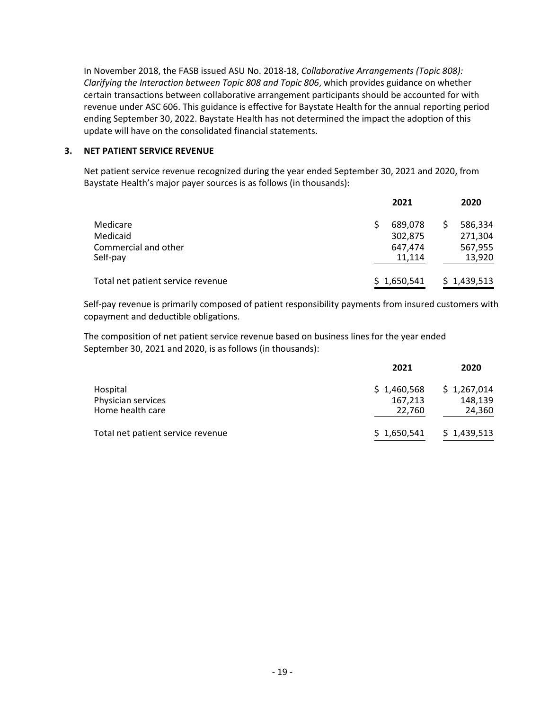In November 2018, the FASB issued ASU No. 2018-18, *Collaborative Arrangements (Topic 808): Clarifying the Interaction between Topic 808 and Topic 806*, which provides guidance on whether certain transactions between collaborative arrangement participants should be accounted for with revenue under ASC 606. This guidance is effective for Baystate Health for the annual reporting period ending September 30, 2022. Baystate Health has not determined the impact the adoption of this update will have on the consolidated financial statements.

#### **3. NET PATIENT SERVICE REVENUE**

Net patient service revenue recognized during the year ended September 30, 2021 and 2020, from Baystate Health's major payer sources is as follows (in thousands):

|                                   | 2021        | 2020        |
|-----------------------------------|-------------|-------------|
| Medicare                          | 689,078     | 586,334     |
| Medicaid                          | 302,875     | 271,304     |
| Commercial and other              | 647,474     | 567,955     |
| Self-pay                          | 11.114      | 13,920      |
| Total net patient service revenue | \$1,650,541 | \$1,439,513 |

Self-pay revenue is primarily composed of patient responsibility payments from insured customers with copayment and deductible obligations.

The composition of net patient service revenue based on business lines for the year ended September 30, 2021 and 2020, is as follows (in thousands):

|                                   | 2021        | 2020        |
|-----------------------------------|-------------|-------------|
| Hospital                          | \$1,460,568 | \$1,267,014 |
| Physician services                | 167,213     | 148.139     |
| Home health care                  | 22,760      | 24,360      |
| Total net patient service revenue | \$1,650,541 | \$1,439,513 |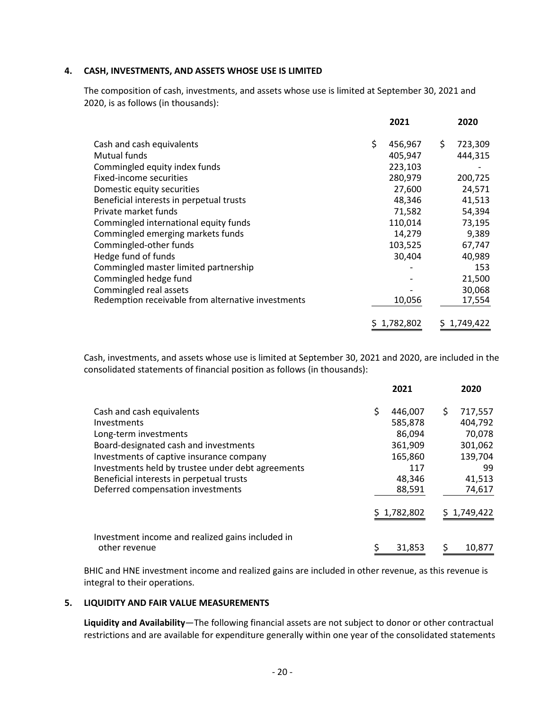#### **4. CASH, INVESTMENTS, AND ASSETS WHOSE USE IS LIMITED**

The composition of cash, investments, and assets whose use is limited at September 30, 2021 and 2020, is as follows (in thousands):

|                                                    |    | 2021        | 2020          |
|----------------------------------------------------|----|-------------|---------------|
| Cash and cash equivalents                          | Ś. | 456,967     | \$<br>723,309 |
| Mutual funds                                       |    | 405,947     | 444,315       |
| Commingled equity index funds                      |    | 223,103     |               |
| Fixed-income securities                            |    | 280,979     | 200,725       |
| Domestic equity securities                         |    | 27,600      | 24,571        |
| Beneficial interests in perpetual trusts           |    | 48,346      | 41,513        |
| Private market funds                               |    | 71,582      | 54,394        |
| Commingled international equity funds              |    | 110,014     | 73,195        |
| Commingled emerging markets funds                  |    | 14,279      | 9,389         |
| Commingled-other funds                             |    | 103,525     | 67,747        |
| Hedge fund of funds                                |    | 30,404      | 40,989        |
| Commingled master limited partnership              |    |             | 153           |
| Commingled hedge fund                              |    |             | 21,500        |
| Commingled real assets                             |    |             | 30,068        |
| Redemption receivable from alternative investments |    | 10,056      | 17,554        |
|                                                    |    | \$1,782,802 | \$1,749,422   |

Cash, investments, and assets whose use is limited at September 30, 2021 and 2020, are included in the consolidated statements of financial position as follows (in thousands):

|                                                   |    | 2021        |   | 2020        |
|---------------------------------------------------|----|-------------|---|-------------|
| Cash and cash equivalents                         | \$ | 446,007     | Ś | 717,557     |
| Investments                                       |    | 585,878     |   | 404,792     |
| Long-term investments                             |    | 86,094      |   | 70,078      |
| Board-designated cash and investments             |    | 361,909     |   | 301,062     |
| Investments of captive insurance company          |    | 165,860     |   | 139,704     |
| Investments held by trustee under debt agreements |    | 117         |   | 99          |
| Beneficial interests in perpetual trusts          |    | 48,346      |   | 41,513      |
| Deferred compensation investments                 |    | 88,591      |   | 74,617      |
|                                                   |    | \$1,782,802 |   | \$1,749,422 |
| Investment income and realized gains included in  |    |             |   |             |
| other revenue                                     | S  | 31.853      | S | 10.877      |

BHIC and HNE investment income and realized gains are included in other revenue, as this revenue is integral to their operations.

#### **5. LIQUIDITY AND FAIR VALUE MEASUREMENTS**

**Liquidity and Availability**—The following financial assets are not subject to donor or other contractual restrictions and are available for expenditure generally within one year of the consolidated statements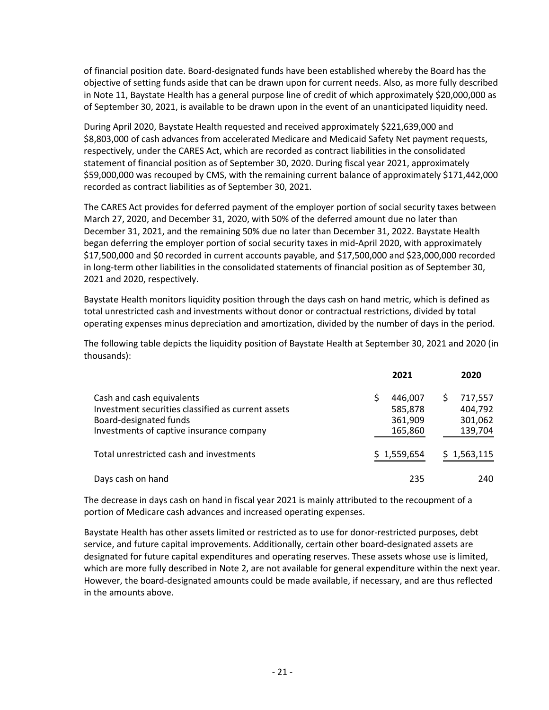of financial position date. Board-designated funds have been established whereby the Board has the objective of setting funds aside that can be drawn upon for current needs. Also, as more fully described in Note 11, Baystate Health has a general purpose line of credit of which approximately \$20,000,000 as of September 30, 2021, is available to be drawn upon in the event of an unanticipated liquidity need.

During April 2020, Baystate Health requested and received approximately \$221,639,000 and \$8,803,000 of cash advances from accelerated Medicare and Medicaid Safety Net payment requests, respectively, under the CARES Act, which are recorded as contract liabilities in the consolidated statement of financial position as of September 30, 2020. During fiscal year 2021, approximately \$59,000,000 was recouped by CMS, with the remaining current balance of approximately \$171,442,000 recorded as contract liabilities as of September 30, 2021.

The CARES Act provides for deferred payment of the employer portion of social security taxes between March 27, 2020, and December 31, 2020, with 50% of the deferred amount due no later than December 31, 2021, and the remaining 50% due no later than December 31, 2022. Baystate Health began deferring the employer portion of social security taxes in mid-April 2020, with approximately \$17,500,000 and \$0 recorded in current accounts payable, and \$17,500,000 and \$23,000,000 recorded in long-term other liabilities in the consolidated statements of financial position as of September 30, 2021 and 2020, respectively.

Baystate Health monitors liquidity position through the days cash on hand metric, which is defined as total unrestricted cash and investments without donor or contractual restrictions, divided by total operating expenses minus depreciation and amortization, divided by the number of days in the period.

The following table depicts the liquidity position of Baystate Health at September 30, 2021 and 2020 (in thousands):

|                                                                                                                                                       | 2021                                     | 2020                                     |
|-------------------------------------------------------------------------------------------------------------------------------------------------------|------------------------------------------|------------------------------------------|
| Cash and cash equivalents<br>Investment securities classified as current assets<br>Board-designated funds<br>Investments of captive insurance company | 446,007<br>585,878<br>361,909<br>165,860 | 717,557<br>404,792<br>301,062<br>139,704 |
| Total unrestricted cash and investments                                                                                                               | \$1,559,654                              | \$1,563,115                              |
| Days cash on hand                                                                                                                                     | 235                                      | 240                                      |

The decrease in days cash on hand in fiscal year 2021 is mainly attributed to the recoupment of a portion of Medicare cash advances and increased operating expenses.

Baystate Health has other assets limited or restricted as to use for donor-restricted purposes, debt service, and future capital improvements. Additionally, certain other board-designated assets are designated for future capital expenditures and operating reserves. These assets whose use is limited, which are more fully described in Note 2, are not available for general expenditure within the next year. However, the board-designated amounts could be made available, if necessary, and are thus reflected in the amounts above.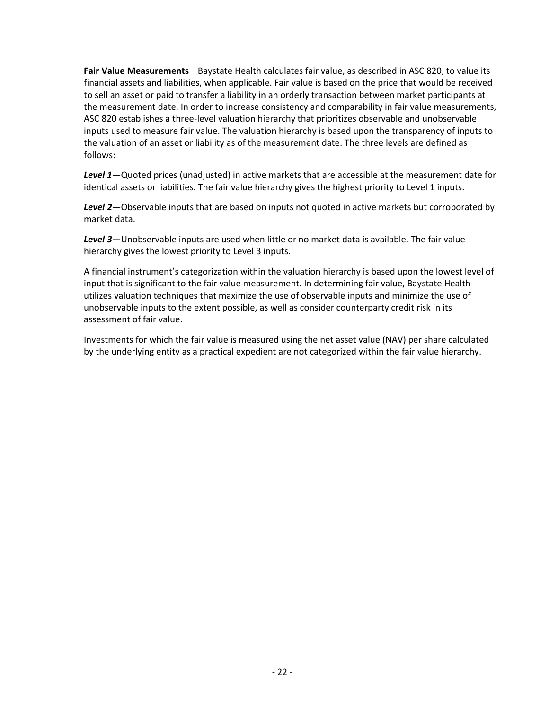**Fair Value Measurements**—Baystate Health calculates fair value, as described in ASC 820, to value its financial assets and liabilities, when applicable. Fair value is based on the price that would be received to sell an asset or paid to transfer a liability in an orderly transaction between market participants at the measurement date. In order to increase consistency and comparability in fair value measurements, ASC 820 establishes a three-level valuation hierarchy that prioritizes observable and unobservable inputs used to measure fair value. The valuation hierarchy is based upon the transparency of inputs to the valuation of an asset or liability as of the measurement date. The three levels are defined as follows:

*Level 1*—Quoted prices (unadjusted) in active markets that are accessible at the measurement date for identical assets or liabilities. The fair value hierarchy gives the highest priority to Level 1 inputs.

*Level 2*—Observable inputs that are based on inputs not quoted in active markets but corroborated by market data.

*Level 3*—Unobservable inputs are used when little or no market data is available. The fair value hierarchy gives the lowest priority to Level 3 inputs.

A financial instrument's categorization within the valuation hierarchy is based upon the lowest level of input that is significant to the fair value measurement. In determining fair value, Baystate Health utilizes valuation techniques that maximize the use of observable inputs and minimize the use of unobservable inputs to the extent possible, as well as consider counterparty credit risk in its assessment of fair value.

Investments for which the fair value is measured using the net asset value (NAV) per share calculated by the underlying entity as a practical expedient are not categorized within the fair value hierarchy.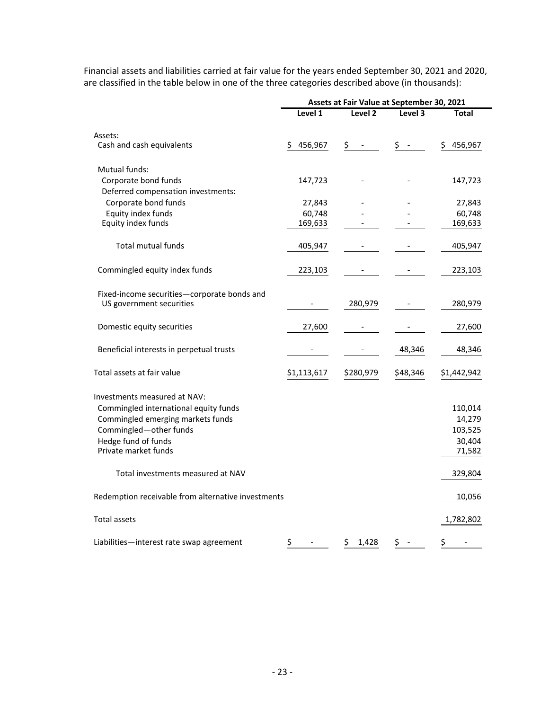|                                                                         | Assets at Fair Value at September 30, 2021 |                                    |                  |             |
|-------------------------------------------------------------------------|--------------------------------------------|------------------------------------|------------------|-------------|
|                                                                         | Level 1                                    | Level <sub>2</sub>                 | Level 3          | Total       |
| Assets:                                                                 |                                            |                                    |                  |             |
| Cash and cash equivalents                                               | \$<br>456,967                              | \$<br>$\qquad \qquad \blacksquare$ | \$<br>$\sim$ $-$ | \$456,967   |
| Mutual funds:                                                           |                                            |                                    |                  |             |
| Corporate bond funds                                                    | 147,723                                    |                                    |                  | 147,723     |
| Deferred compensation investments:                                      |                                            |                                    |                  |             |
| Corporate bond funds                                                    | 27,843                                     |                                    |                  | 27,843      |
| Equity index funds                                                      | 60,748                                     |                                    |                  | 60,748      |
| Equity index funds                                                      | 169,633                                    |                                    |                  | 169,633     |
| <b>Total mutual funds</b>                                               | 405,947                                    |                                    |                  | 405,947     |
| Commingled equity index funds                                           | 223,103                                    |                                    |                  | 223,103     |
| Fixed-income securities-corporate bonds and<br>US government securities | $\overline{\phantom{0}}$                   | 280,979                            |                  | 280,979     |
|                                                                         |                                            |                                    |                  |             |
| Domestic equity securities                                              | 27,600                                     |                                    |                  | 27,600      |
| Beneficial interests in perpetual trusts                                |                                            |                                    | 48,346           | 48,346      |
| Total assets at fair value                                              | \$1,113,617                                | \$280,979                          | \$48,346         | \$1,442,942 |
| Investments measured at NAV:                                            |                                            |                                    |                  |             |
| Commingled international equity funds                                   |                                            |                                    |                  | 110,014     |
| Commingled emerging markets funds                                       |                                            |                                    |                  | 14,279      |
| Commingled-other funds                                                  |                                            |                                    |                  | 103,525     |
| Hedge fund of funds                                                     |                                            |                                    |                  | 30,404      |
| Private market funds                                                    |                                            |                                    |                  | 71,582      |
| Total investments measured at NAV                                       |                                            |                                    |                  | 329,804     |
| Redemption receivable from alternative investments                      |                                            |                                    |                  | 10,056      |
| <b>Total assets</b>                                                     |                                            |                                    |                  | 1,782,802   |
| Liabilities-interest rate swap agreement                                | \$                                         | 1,428<br>\$.                       | \$               | \$          |

Financial assets and liabilities carried at fair value for the years ended September 30, 2021 and 2020, are classified in the table below in one of the three categories described above (in thousands):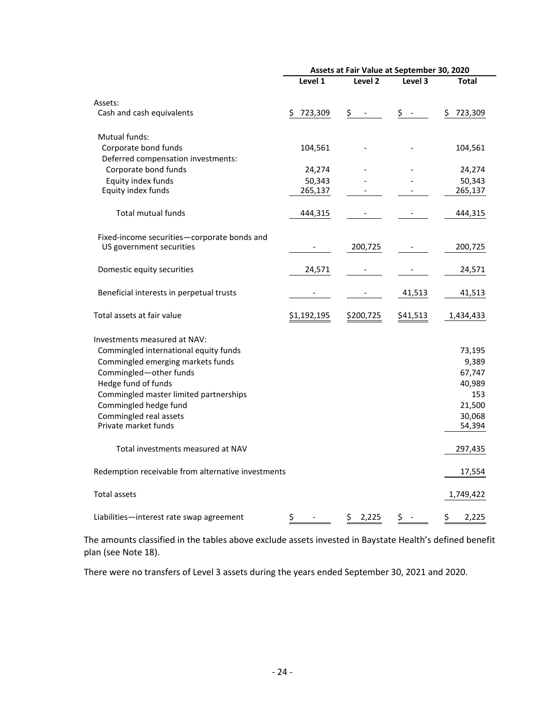|                                                            | Assets at Fair Value at September 30, 2020 |                                |          |               |
|------------------------------------------------------------|--------------------------------------------|--------------------------------|----------|---------------|
|                                                            | Level 1                                    | Level 2                        | Level 3  | Total         |
| Assets:                                                    |                                            |                                |          |               |
| Cash and cash equivalents                                  | 723,309<br>\$.                             | \$<br>$\overline{\phantom{a}}$ | \$ -     | 723,309<br>\$ |
| Mutual funds:                                              |                                            |                                |          |               |
| Corporate bond funds<br>Deferred compensation investments: | 104,561                                    |                                |          | 104,561       |
| Corporate bond funds                                       | 24,274                                     |                                |          | 24,274        |
| Equity index funds                                         | 50,343                                     |                                |          | 50,343        |
| Equity index funds                                         | 265,137                                    |                                |          | 265,137       |
| <b>Total mutual funds</b>                                  | 444,315                                    |                                |          | 444,315       |
| Fixed-income securities-corporate bonds and                |                                            |                                |          |               |
| US government securities                                   | -                                          | 200,725                        |          | 200,725       |
| Domestic equity securities                                 | 24,571                                     |                                |          | 24,571        |
| Beneficial interests in perpetual trusts                   |                                            |                                | 41,513   | 41,513        |
| Total assets at fair value                                 | \$1,192,195                                | \$200,725                      | \$41,513 | 1,434,433     |
| Investments measured at NAV:                               |                                            |                                |          |               |
| Commingled international equity funds                      |                                            |                                |          | 73,195        |
| Commingled emerging markets funds                          |                                            |                                |          | 9,389         |
| Commingled-other funds                                     |                                            |                                |          | 67,747        |
| Hedge fund of funds                                        |                                            |                                |          | 40,989        |
| Commingled master limited partnerships                     |                                            |                                |          | 153           |
| Commingled hedge fund                                      |                                            |                                |          | 21,500        |
| Commingled real assets                                     |                                            |                                |          | 30,068        |
| Private market funds                                       |                                            |                                |          | 54,394        |
|                                                            |                                            |                                |          |               |
| Total investments measured at NAV                          |                                            |                                |          | 297,435       |
| Redemption receivable from alternative investments         |                                            |                                |          | 17,554        |
| <b>Total assets</b>                                        |                                            |                                |          | 1,749,422     |
| Liabilities—interest rate swap agreement                   | \$                                         | \$<br>2,225                    | \$       | \$<br>2,225   |

The amounts classified in the tables above exclude assets invested in Baystate Health's defined benefit plan (see Note 18).

There were no transfers of Level 3 assets during the years ended September 30, 2021 and 2020.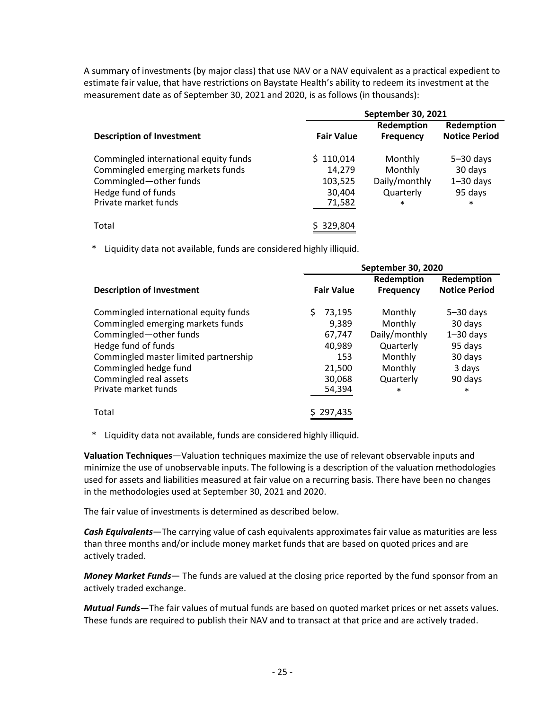A summary of investments (by major class) that use NAV or a NAV equivalent as a practical expedient to estimate fair value, that have restrictions on Baystate Health's ability to redeem its investment at the measurement date as of September 30, 2021 and 2020, is as follows (in thousands):

|                                                                                                                                                     | <b>September 30, 2021</b>                          |                                                            |                                                                |  |
|-----------------------------------------------------------------------------------------------------------------------------------------------------|----------------------------------------------------|------------------------------------------------------------|----------------------------------------------------------------|--|
| <b>Description of Investment</b>                                                                                                                    | <b>Fair Value</b>                                  | Redemption<br><b>Frequency</b>                             | Redemption<br><b>Notice Period</b>                             |  |
| Commingled international equity funds<br>Commingled emerging markets funds<br>Commingled-other funds<br>Hedge fund of funds<br>Private market funds | \$110,014<br>14,279<br>103,525<br>30,404<br>71,582 | Monthly<br>Monthly<br>Daily/monthly<br>Quarterly<br>$\ast$ | $5 - 30$ days<br>30 days<br>$1 - 30$ days<br>95 days<br>$\ast$ |  |
| Total                                                                                                                                               | 329,804                                            |                                                            |                                                                |  |

Liquidity data not available, funds are considered highly illiquid.

|                                       | September 30, 2020 |                                |                                    |
|---------------------------------------|--------------------|--------------------------------|------------------------------------|
| <b>Description of Investment</b>      | <b>Fair Value</b>  | Redemption<br><b>Frequency</b> | Redemption<br><b>Notice Period</b> |
| Commingled international equity funds | 73,195<br>S.       | Monthly                        | $5 - 30$ days                      |
| Commingled emerging markets funds     | 9.389              | Monthly                        | 30 days                            |
| Commingled-other funds                | 67,747             | Daily/monthly                  | $1 - 30$ days                      |
| Hedge fund of funds                   | 40,989             | Quarterly                      | 95 days                            |
| Commingled master limited partnership | 153                | Monthly                        | 30 days                            |
| Commingled hedge fund                 | 21,500             | Monthly                        | 3 days                             |
| Commingled real assets                | 30,068             | Quarterly                      | 90 days                            |
| Private market funds                  | 54,394             | $\ast$                         | $\ast$                             |
| Total                                 | \$297,435          |                                |                                    |

\* Liquidity data not available, funds are considered highly illiquid.

**Valuation Techniques**—Valuation techniques maximize the use of relevant observable inputs and minimize the use of unobservable inputs. The following is a description of the valuation methodologies used for assets and liabilities measured at fair value on a recurring basis. There have been no changes in the methodologies used at September 30, 2021 and 2020.

The fair value of investments is determined as described below.

*Cash Equivalents*—The carrying value of cash equivalents approximates fair value as maturities are less than three months and/or include money market funds that are based on quoted prices and are actively traded.

*Money Market Funds*— The funds are valued at the closing price reported by the fund sponsor from an actively traded exchange.

*Mutual Funds*—The fair values of mutual funds are based on quoted market prices or net assets values. These funds are required to publish their NAV and to transact at that price and are actively traded.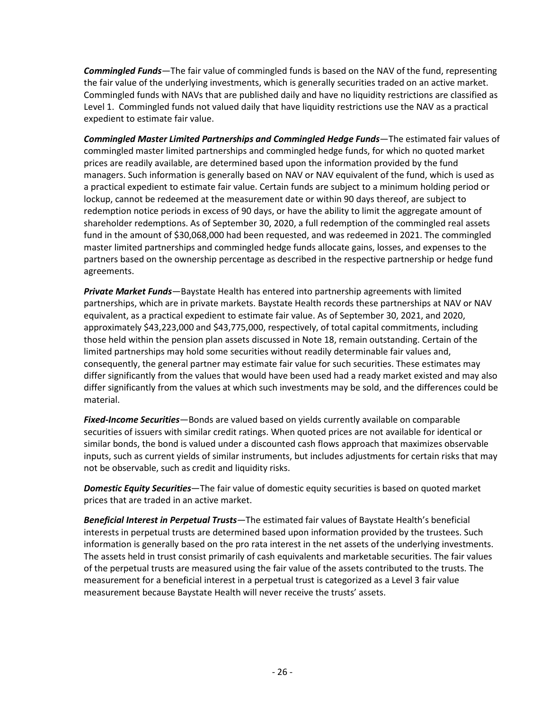*Commingled Funds*—The fair value of commingled funds is based on the NAV of the fund, representing the fair value of the underlying investments, which is generally securities traded on an active market. Commingled funds with NAVs that are published daily and have no liquidity restrictions are classified as Level 1. Commingled funds not valued daily that have liquidity restrictions use the NAV as a practical expedient to estimate fair value.

*Commingled Master Limited Partnerships and Commingled Hedge Funds*—The estimated fair values of commingled master limited partnerships and commingled hedge funds, for which no quoted market prices are readily available, are determined based upon the information provided by the fund managers. Such information is generally based on NAV or NAV equivalent of the fund, which is used as a practical expedient to estimate fair value. Certain funds are subject to a minimum holding period or lockup, cannot be redeemed at the measurement date or within 90 days thereof, are subject to redemption notice periods in excess of 90 days, or have the ability to limit the aggregate amount of shareholder redemptions. As of September 30, 2020, a full redemption of the commingled real assets fund in the amount of \$30,068,000 had been requested, and was redeemed in 2021. The commingled master limited partnerships and commingled hedge funds allocate gains, losses, and expenses to the partners based on the ownership percentage as described in the respective partnership or hedge fund agreements.

*Private Market Funds*—Baystate Health has entered into partnership agreements with limited partnerships, which are in private markets. Baystate Health records these partnerships at NAV or NAV equivalent, as a practical expedient to estimate fair value. As of September 30, 2021, and 2020, approximately \$43,223,000 and \$43,775,000, respectively, of total capital commitments, including those held within the pension plan assets discussed in Note 18, remain outstanding. Certain of the limited partnerships may hold some securities without readily determinable fair values and, consequently, the general partner may estimate fair value for such securities. These estimates may differ significantly from the values that would have been used had a ready market existed and may also differ significantly from the values at which such investments may be sold, and the differences could be material.

*Fixed-Income Securities*—Bonds are valued based on yields currently available on comparable securities of issuers with similar credit ratings. When quoted prices are not available for identical or similar bonds, the bond is valued under a discounted cash flows approach that maximizes observable inputs, such as current yields of similar instruments, but includes adjustments for certain risks that may not be observable, such as credit and liquidity risks.

*Domestic Equity Securities*—The fair value of domestic equity securities is based on quoted market prices that are traded in an active market.

*Beneficial Interest in Perpetual Trusts*—The estimated fair values of Baystate Health's beneficial interests in perpetual trusts are determined based upon information provided by the trustees. Such information is generally based on the pro rata interest in the net assets of the underlying investments. The assets held in trust consist primarily of cash equivalents and marketable securities. The fair values of the perpetual trusts are measured using the fair value of the assets contributed to the trusts. The measurement for a beneficial interest in a perpetual trust is categorized as a Level 3 fair value measurement because Baystate Health will never receive the trusts' assets.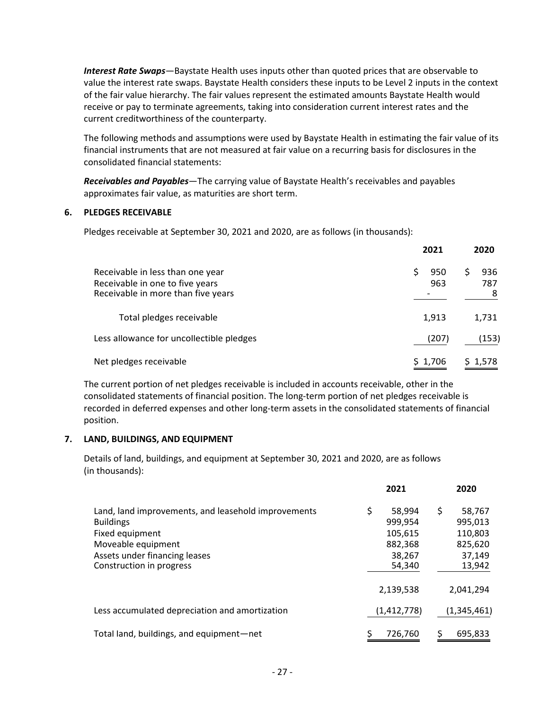*Interest Rate Swaps*—Baystate Health uses inputs other than quoted prices that are observable to value the interest rate swaps. Baystate Health considers these inputs to be Level 2 inputs in the context of the fair value hierarchy. The fair values represent the estimated amounts Baystate Health would receive or pay to terminate agreements, taking into consideration current interest rates and the current creditworthiness of the counterparty.

The following methods and assumptions were used by Baystate Health in estimating the fair value of its financial instruments that are not measured at fair value on a recurring basis for disclosures in the consolidated financial statements:

*Receivables and Payables*—The carrying value of Baystate Health's receivables and payables approximates fair value, as maturities are short term.

#### **6. PLEDGES RECEIVABLE**

Pledges receivable at September 30, 2021 and 2020, are as follows (in thousands):

|                                                                                                           | 2021       | 2020                 |  |
|-----------------------------------------------------------------------------------------------------------|------------|----------------------|--|
| Receivable in less than one year<br>Receivable in one to five years<br>Receivable in more than five years | 950<br>963 | 936<br>S<br>787<br>8 |  |
| Total pledges receivable                                                                                  | 1,913      | 1,731                |  |
| Less allowance for uncollectible pledges                                                                  | (207)      | (153)                |  |
| Net pledges receivable                                                                                    | \$1,706    | \$1,578              |  |

The current portion of net pledges receivable is included in accounts receivable, other in the consolidated statements of financial position. The long-term portion of net pledges receivable is recorded in deferred expenses and other long-term assets in the consolidated statements of financial position.

#### **7. LAND, BUILDINGS, AND EQUIPMENT**

Details of land, buildings, and equipment at September 30, 2021 and 2020, are as follows (in thousands):

|                                                                                                                                                                               |    | 2021                                                        | 2020                                                              |
|-------------------------------------------------------------------------------------------------------------------------------------------------------------------------------|----|-------------------------------------------------------------|-------------------------------------------------------------------|
| Land, land improvements, and leasehold improvements<br><b>Buildings</b><br>Fixed equipment<br>Moveable equipment<br>Assets under financing leases<br>Construction in progress | \$ | 58,994<br>999,954<br>105,615<br>882,368<br>38,267<br>54,340 | \$<br>58,767<br>995,013<br>110,803<br>825,620<br>37,149<br>13,942 |
|                                                                                                                                                                               |    | 2,139,538                                                   | 2,041,294                                                         |
| Less accumulated depreciation and amortization                                                                                                                                |    | (1,412,778)                                                 | (1,345,461)                                                       |
| Total land, buildings, and equipment-net                                                                                                                                      | S  | 726.760                                                     | 695.833                                                           |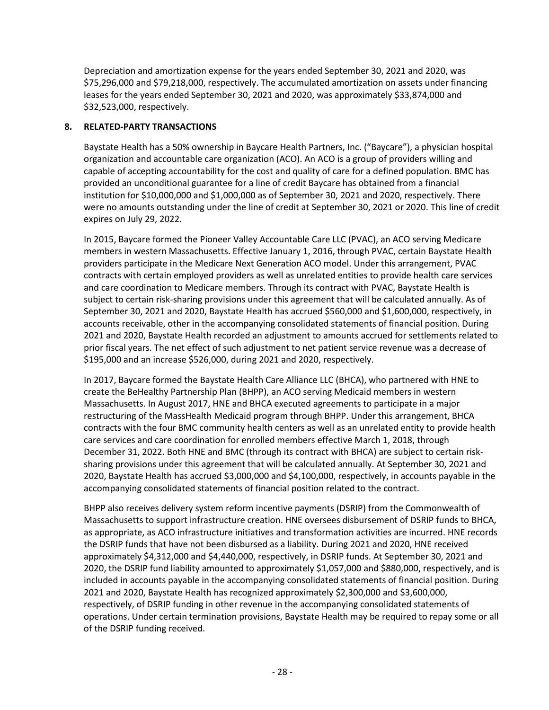Depreciation and amortization expense for the years ended September 30, 2021 and 2020, was \$75,296,000 and \$79,218,000, respectively. The accumulated amortization on assets under financing leases for the years ended September 30, 2021 and 2020, was approximately \$33,874,000 and \$32,523,000, respectively.

#### **8. RELATED-PARTY TRANSACTIONS**

Baystate Health has a 50% ownership in Baycare Health Partners, Inc. ("Baycare"), a physician hospital organization and accountable care organization (ACO). An ACO is a group of providers willing and capable of accepting accountability for the cost and quality of care for a defined population. BMC has provided an unconditional guarantee for a line of credit Baycare has obtained from a financial institution for \$10,000,000 and \$1,000,000 as of September 30, 2021 and 2020, respectively. There were no amounts outstanding under the line of credit at September 30, 2021 or 2020. This line of credit expires on July 29, 2022.

In 2015, Baycare formed the Pioneer Valley Accountable Care LLC (PVAC), an ACO serving Medicare members in western Massachusetts. Effective January 1, 2016, through PVAC, certain Baystate Health providers participate in the Medicare Next Generation ACO model. Under this arrangement, PVAC contracts with certain employed providers as well as unrelated entities to provide health care services and care coordination to Medicare members. Through its contract with PVAC, Baystate Health is subject to certain risk-sharing provisions under this agreement that will be calculated annually. As of September 30, 2021 and 2020, Baystate Health has accrued \$560,000 and \$1,600,000, respectively, in accounts receivable, other in the accompanying consolidated statements of financial position. During 2021 and 2020, Baystate Health recorded an adjustment to amounts accrued for settlements related to prior fiscal years. The net effect of such adjustment to net patient service revenue was a decrease of \$195,000 and an increase \$526,000, during 2021 and 2020, respectively.

In 2017, Baycare formed the Baystate Health Care Alliance LLC (BHCA), who partnered with HNE to create the BeHealthy Partnership Plan (BHPP), an ACO serving Medicaid members in western Massachusetts. In August 2017, HNE and BHCA executed agreements to participate in a major restructuring of the MassHealth Medicaid program through BHPP. Under this arrangement, BHCA contracts with the four BMC community health centers as well as an unrelated entity to provide health care services and care coordination for enrolled members effective March 1, 2018, through December 31, 2022. Both HNE and BMC (through its contract with BHCA) are subject to certain risksharing provisions under this agreement that will be calculated annually. At September 30, 2021 and 2020, Baystate Health has accrued \$3,000,000 and \$4,100,000, respectively, in accounts payable in the accompanying consolidated statements of financial position related to the contract.

BHPP also receives delivery system reform incentive payments (DSRIP) from the Commonwealth of Massachusetts to support infrastructure creation. HNE oversees disbursement of DSRIP funds to BHCA, as appropriate, as ACO infrastructure initiatives and transformation activities are incurred. HNE records the DSRIP funds that have not been disbursed as a liability. During 2021 and 2020, HNE received approximately \$4,312,000 and \$4,440,000, respectively, in DSRIP funds. At September 30, 2021 and 2020, the DSRIP fund liability amounted to approximately \$1,057,000 and \$880,000, respectively, and is included in accounts payable in the accompanying consolidated statements of financial position. During 2021 and 2020, Baystate Health has recognized approximately \$2,300,000 and \$3,600,000, respectively, of DSRIP funding in other revenue in the accompanying consolidated statements of operations. Under certain termination provisions, Baystate Health may be required to repay some or all of the DSRIP funding received.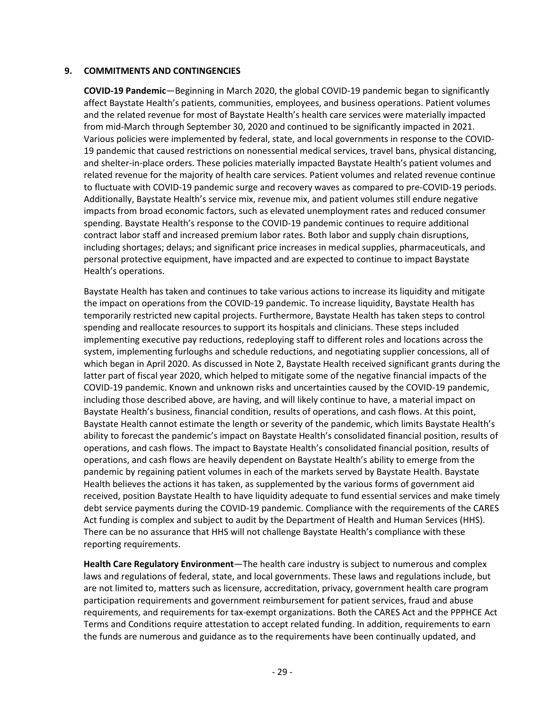#### **9. COMMITMENTS AND CONTINGENCIES**

**COVID-19 Pandemic**—Beginning in March 2020, the global COVID-19 pandemic began to significantly affect Baystate Health's patients, communities, employees, and business operations. Patient volumes and the related revenue for most of Baystate Health's health care services were materially impacted from mid-March through September 30, 2020 and continued to be significantly impacted in 2021. Various policies were implemented by federal, state, and local governments in response to the COVID-19 pandemic that caused restrictions on nonessential medical services, travel bans, physical distancing, and shelter-in-place orders. These policies materially impacted Baystate Health's patient volumes and related revenue for the majority of health care services. Patient volumes and related revenue continue to fluctuate with COVID-19 pandemic surge and recovery waves as compared to pre-COVID-19 periods. Additionally, Baystate Health's service mix, revenue mix, and patient volumes still endure negative impacts from broad economic factors, such as elevated unemployment rates and reduced consumer spending. Baystate Health's response to the COVID-19 pandemic continues to require additional contract labor staff and increased premium labor rates. Both labor and supply chain disruptions, including shortages; delays; and significant price increases in medical supplies, pharmaceuticals, and personal protective equipment, have impacted and are expected to continue to impact Baystate Health's operations.

Baystate Health has taken and continues to take various actions to increase its liquidity and mitigate the impact on operations from the COVID-19 pandemic. To increase liquidity, Baystate Health has temporarily restricted new capital projects. Furthermore, Baystate Health has taken steps to control spending and reallocate resources to support its hospitals and clinicians. These steps included implementing executive pay reductions, redeploying staff to different roles and locations across the system, implementing furloughs and schedule reductions, and negotiating supplier concessions, all of which began in April 2020. As discussed in Note 2, Baystate Health received significant grants during the latter part of fiscal year 2020, which helped to mitigate some of the negative financial impacts of the COVID-19 pandemic. Known and unknown risks and uncertainties caused by the COVID-19 pandemic, including those described above, are having, and will likely continue to have, a material impact on Baystate Health's business, financial condition, results of operations, and cash flows. At this point, Baystate Health cannot estimate the length or severity of the pandemic, which limits Baystate Health's ability to forecast the pandemic's impact on Baystate Health's consolidated financial position, results of operations, and cash flows. The impact to Baystate Health's consolidated financial position, results of operations, and cash flows are heavily dependent on Baystate Health's ability to emerge from the pandemic by regaining patient volumes in each of the markets served by Baystate Health. Baystate Health believes the actions it has taken, as supplemented by the various forms of government aid received, position Baystate Health to have liquidity adequate to fund essential services and make timely debt service payments during the COVID-19 pandemic. Compliance with the requirements of the CARES Act funding is complex and subject to audit by the Department of Health and Human Services (HHS). There can be no assurance that HHS will not challenge Baystate Health's compliance with these reporting requirements.

**Health Care Regulatory Environment**—The health care industry is subject to numerous and complex laws and regulations of federal, state, and local governments. These laws and regulations include, but are not limited to, matters such as licensure, accreditation, privacy, government health care program participation requirements and government reimbursement for patient services, fraud and abuse requirements, and requirements for tax-exempt organizations. Both the CARES Act and the PPPHCE Act Terms and Conditions require attestation to accept related funding. In addition, requirements to earn the funds are numerous and guidance as to the requirements have been continually updated, and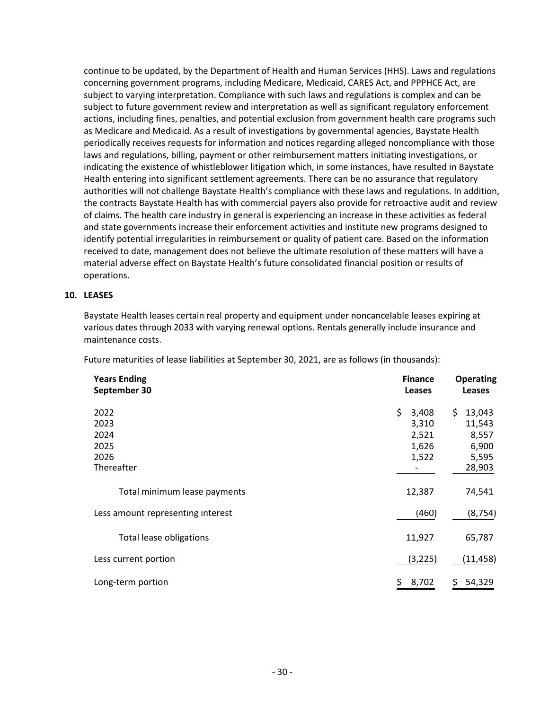continue to be updated, by the Department of Health and Human Services (HHS). Laws and regulations concerning government programs, including Medicare, Medicaid, CARES Act, and PPPHCE Act, are subject to varying interpretation. Compliance with such laws and regulations is complex and can be subject to future government review and interpretation as well as significant regulatory enforcement actions, including fines, penalties, and potential exclusion from government health care programs such as Medicare and Medicaid. As a result of investigations by governmental agencies, Baystate Health periodically receives requests for information and notices regarding alleged noncompliance with those laws and regulations, billing, payment or other reimbursement matters initiating investigations, or indicating the existence of whistleblower litigation which, in some instances, have resulted in Baystate Health entering into significant settlement agreements. There can be no assurance that regulatory authorities will not challenge Baystate Health's compliance with these laws and regulations. In addition, the contracts Baystate Health has with commercial payers also provide for retroactive audit and review of claims. The health care industry in general is experiencing an increase in these activities as federal and state governments increase their enforcement activities and institute new programs designed to identify potential irregularities in reimbursement or quality of patient care. Based on the information received to date, management does not believe the ultimate resolution of these matters will have a material adverse effect on Baystate Health's future consolidated financial position or results of operations.

#### **10. LEASES**

Baystate Health leases certain real property and equipment under noncancelable leases expiring at various dates through 2033 with varying renewal options. Rentals generally include insurance and maintenance costs.

Future maturities of lease liabilities at September 30, 2021, are as follows (in thousands):

| <b>Years Ending</b><br>September 30                | <b>Finance</b><br><b>Leases</b>                  | <b>Operating</b><br><b>Leases</b>                            |
|----------------------------------------------------|--------------------------------------------------|--------------------------------------------------------------|
| 2022<br>2023<br>2024<br>2025<br>2026<br>Thereafter | \$.<br>3,408<br>3,310<br>2,521<br>1,626<br>1,522 | \$.<br>13,043<br>11,543<br>8,557<br>6,900<br>5,595<br>28,903 |
| Total minimum lease payments                       | 12,387                                           | 74,541                                                       |
| Less amount representing interest                  | (460)                                            | (8, 754)                                                     |
| Total lease obligations                            | 11,927                                           | 65,787                                                       |
| Less current portion                               | (3, 225)                                         | (11, 458)                                                    |
| Long-term portion                                  | 8,702<br>Ş.                                      | 54,329<br>\$.                                                |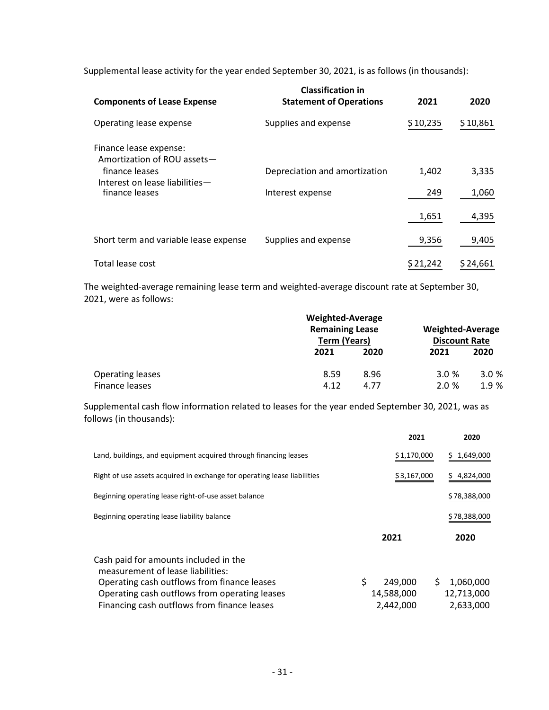Supplemental lease activity for the year ended September 30, 2021, is as follows (in thousands):

| <b>Components of Lease Expense</b>                    | <b>Classification in</b><br><b>Statement of Operations</b> | 2021     | 2020     |
|-------------------------------------------------------|------------------------------------------------------------|----------|----------|
| Operating lease expense                               | Supplies and expense                                       | \$10,235 | \$10,861 |
| Finance lease expense:<br>Amortization of ROU assets- |                                                            |          |          |
| finance leases                                        | Depreciation and amortization                              | 1,402    | 3,335    |
| Interest on lease liabilities-<br>finance leases      | Interest expense                                           | 249      | 1,060    |
|                                                       |                                                            | 1,651    | 4,395    |
| Short term and variable lease expense                 | Supplies and expense                                       | 9,356    | 9,405    |
| Total lease cost                                      |                                                            | \$21,242 | \$24,661 |

The weighted-average remaining lease term and weighted-average discount rate at September 30, 2021, were as follows:

|                         |      | <b>Weighted-Average</b><br><b>Remaining Lease</b><br><b>Term (Years)</b> |      | <b>Weighted-Average</b><br><b>Discount Rate</b> |  |
|-------------------------|------|--------------------------------------------------------------------------|------|-------------------------------------------------|--|
|                         | 2021 | 2020                                                                     | 2021 | 2020                                            |  |
| <b>Operating leases</b> | 8.59 | 8.96                                                                     | 3.0% | 3.0 %                                           |  |
| Finance leases          | 4.12 | 4.77                                                                     | 2.0% | 1.9 %                                           |  |

Supplemental cash flow information related to leases for the year ended September 30, 2021, was as follows (in thousands):

|                                                                            | 2021          | 2020            |
|----------------------------------------------------------------------------|---------------|-----------------|
| Land, buildings, and equipment acquired through financing leases           | \$1,170,000   | \$1,649,000     |
| Right of use assets acquired in exchange for operating lease liabilities   | \$3,167,000   | \$4,824,000     |
| Beginning operating lease right-of-use asset balance                       |               | \$78,388,000    |
| Beginning operating lease liability balance                                |               | \$78,388,000    |
|                                                                            | 2021          | 2020            |
| Cash paid for amounts included in the<br>measurement of lease liabilities: |               |                 |
| Operating cash outflows from finance leases                                | \$<br>249,000 | \$<br>1,060,000 |
| Operating cash outflows from operating leases                              | 14,588,000    | 12,713,000      |
| Financing cash outflows from finance leases                                | 2,442,000     | 2,633,000       |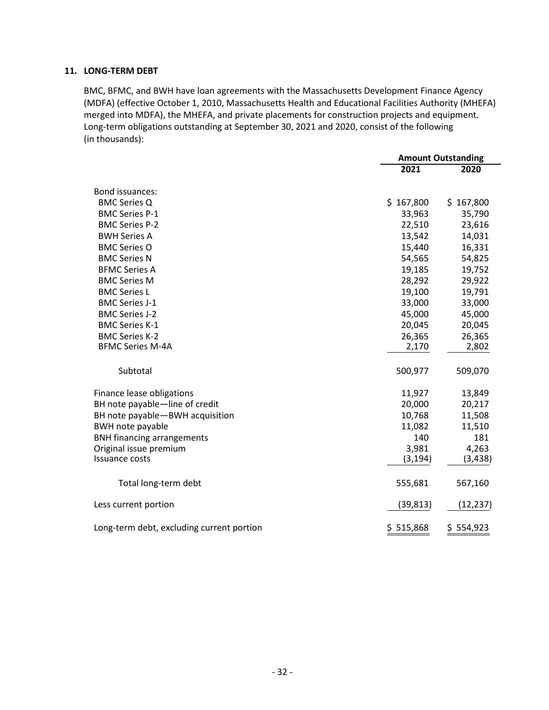#### **11. LONG-TERM DEBT**

BMC, BFMC, and BWH have loan agreements with the Massachusetts Development Finance Agency (MDFA) (effective October 1, 2010, Massachusetts Health and Educational Facilities Authority (MHEFA) merged into MDFA), the MHEFA, and private placements for construction projects and equipment. Long-term obligations outstanding at September 30, 2021 and 2020, consist of the following (in thousands):

|                                           | <b>Amount Outstanding</b> |           |  |
|-------------------------------------------|---------------------------|-----------|--|
|                                           | 2021                      | 2020      |  |
| Bond issuances:                           |                           |           |  |
| <b>BMC Series Q</b>                       | \$167,800                 | \$167,800 |  |
| <b>BMC Series P-1</b>                     | 33,963                    | 35,790    |  |
| <b>BMC Series P-2</b>                     | 22,510                    | 23,616    |  |
| <b>BWH Series A</b>                       | 13,542                    | 14,031    |  |
| <b>BMC Series O</b>                       | 15,440                    | 16,331    |  |
| <b>BMC Series N</b>                       | 54,565                    | 54,825    |  |
| <b>BFMC Series A</b>                      | 19,185                    | 19,752    |  |
| <b>BMC Series M</b>                       | 28,292                    | 29,922    |  |
| <b>BMC Series L</b>                       | 19,100                    | 19,791    |  |
| <b>BMC Series J-1</b>                     | 33,000                    | 33,000    |  |
| <b>BMC Series J-2</b>                     | 45,000                    | 45,000    |  |
| <b>BMC Series K-1</b>                     | 20,045                    | 20,045    |  |
| <b>BMC Series K-2</b>                     | 26,365                    | 26,365    |  |
| <b>BFMC Series M-4A</b>                   | 2,170                     | 2,802     |  |
| Subtotal                                  | 500,977                   | 509,070   |  |
| Finance lease obligations                 | 11,927                    | 13,849    |  |
| BH note payable-line of credit            | 20,000                    | 20,217    |  |
| BH note payable-BWH acquisition           | 10,768                    | 11,508    |  |
| <b>BWH note payable</b>                   | 11,082                    | 11,510    |  |
| <b>BNH financing arrangements</b>         | 140                       | 181       |  |
| Original issue premium                    | 3,981                     | 4,263     |  |
| <b>Issuance costs</b>                     | (3, 194)                  | (3, 438)  |  |
| Total long-term debt                      | 555,681                   | 567,160   |  |
| Less current portion                      | (39,813)                  | (12, 237) |  |
| Long-term debt, excluding current portion | \$515,868                 | \$554,923 |  |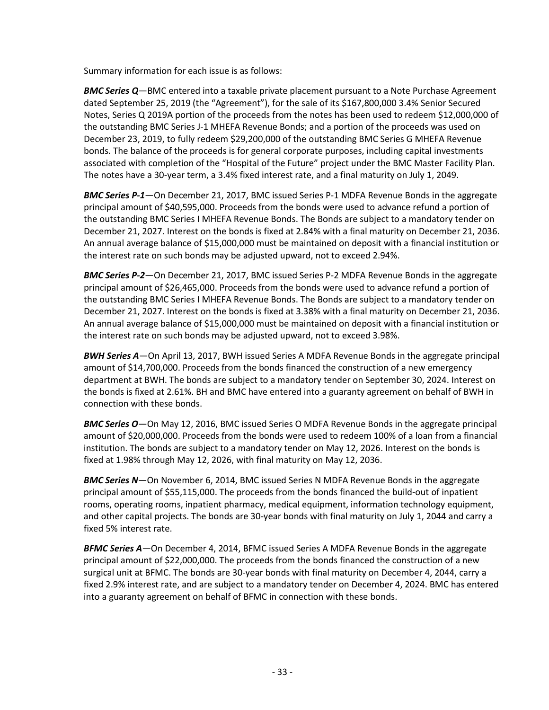Summary information for each issue is as follows:

*BMC Series Q*—BMC entered into a taxable private placement pursuant to a Note Purchase Agreement dated September 25, 2019 (the "Agreement"), for the sale of its \$167,800,000 3.4% Senior Secured Notes, Series Q 2019A portion of the proceeds from the notes has been used to redeem \$12,000,000 of the outstanding BMC Series J-1 MHEFA Revenue Bonds; and a portion of the proceeds was used on December 23, 2019, to fully redeem \$29,200,000 of the outstanding BMC Series G MHEFA Revenue bonds. The balance of the proceeds is for general corporate purposes, including capital investments associated with completion of the "Hospital of the Future" project under the BMC Master Facility Plan. The notes have a 30-year term, a 3.4% fixed interest rate, and a final maturity on July 1, 2049.

*BMC Series P-1*—On December 21, 2017, BMC issued Series P-1 MDFA Revenue Bonds in the aggregate principal amount of \$40,595,000. Proceeds from the bonds were used to advance refund a portion of the outstanding BMC Series I MHEFA Revenue Bonds. The Bonds are subject to a mandatory tender on December 21, 2027. Interest on the bonds is fixed at 2.84% with a final maturity on December 21, 2036. An annual average balance of \$15,000,000 must be maintained on deposit with a financial institution or the interest rate on such bonds may be adjusted upward, not to exceed 2.94%.

*BMC Series P-2*—On December 21, 2017, BMC issued Series P-2 MDFA Revenue Bonds in the aggregate principal amount of \$26,465,000. Proceeds from the bonds were used to advance refund a portion of the outstanding BMC Series I MHEFA Revenue Bonds. The Bonds are subject to a mandatory tender on December 21, 2027. Interest on the bonds is fixed at 3.38% with a final maturity on December 21, 2036. An annual average balance of \$15,000,000 must be maintained on deposit with a financial institution or the interest rate on such bonds may be adjusted upward, not to exceed 3.98%.

*BWH Series A*—On April 13, 2017, BWH issued Series A MDFA Revenue Bonds in the aggregate principal amount of \$14,700,000. Proceeds from the bonds financed the construction of a new emergency department at BWH. The bonds are subject to a mandatory tender on September 30, 2024. Interest on the bonds is fixed at 2.61%. BH and BMC have entered into a guaranty agreement on behalf of BWH in connection with these bonds.

*BMC Series O*—On May 12, 2016, BMC issued Series O MDFA Revenue Bonds in the aggregate principal amount of \$20,000,000. Proceeds from the bonds were used to redeem 100% of a loan from a financial institution. The bonds are subject to a mandatory tender on May 12, 2026. Interest on the bonds is fixed at 1.98% through May 12, 2026, with final maturity on May 12, 2036.

*BMC Series N*—On November 6, 2014, BMC issued Series N MDFA Revenue Bonds in the aggregate principal amount of \$55,115,000. The proceeds from the bonds financed the build-out of inpatient rooms, operating rooms, inpatient pharmacy, medical equipment, information technology equipment, and other capital projects. The bonds are 30-year bonds with final maturity on July 1, 2044 and carry a fixed 5% interest rate.

*BFMC Series A*—On December 4, 2014, BFMC issued Series A MDFA Revenue Bonds in the aggregate principal amount of \$22,000,000. The proceeds from the bonds financed the construction of a new surgical unit at BFMC. The bonds are 30-year bonds with final maturity on December 4, 2044, carry a fixed 2.9% interest rate, and are subject to a mandatory tender on December 4, 2024. BMC has entered into a guaranty agreement on behalf of BFMC in connection with these bonds.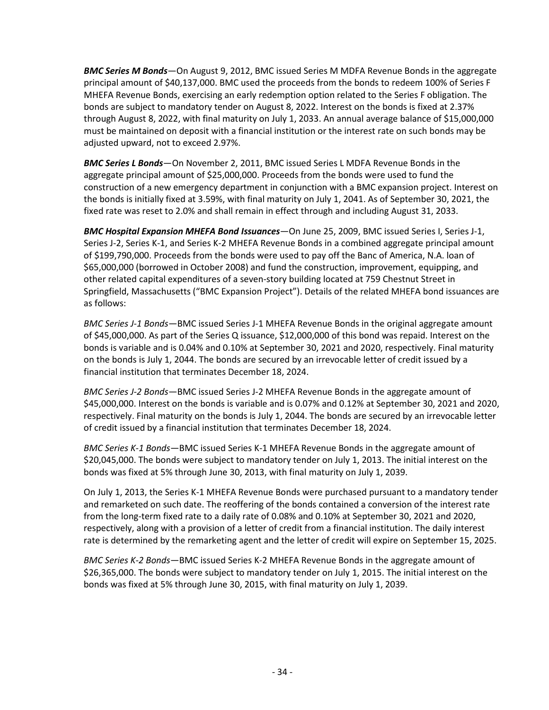*BMC Series M Bonds*—On August 9, 2012, BMC issued Series M MDFA Revenue Bonds in the aggregate principal amount of \$40,137,000. BMC used the proceeds from the bonds to redeem 100% of Series F MHEFA Revenue Bonds, exercising an early redemption option related to the Series F obligation. The bonds are subject to mandatory tender on August 8, 2022. Interest on the bonds is fixed at 2.37% through August 8, 2022, with final maturity on July 1, 2033. An annual average balance of \$15,000,000 must be maintained on deposit with a financial institution or the interest rate on such bonds may be adjusted upward, not to exceed 2.97%.

*BMC Series L Bonds*—On November 2, 2011, BMC issued Series L MDFA Revenue Bonds in the aggregate principal amount of \$25,000,000. Proceeds from the bonds were used to fund the construction of a new emergency department in conjunction with a BMC expansion project. Interest on the bonds is initially fixed at 3.59%, with final maturity on July 1, 2041. As of September 30, 2021, the fixed rate was reset to 2.0% and shall remain in effect through and including August 31, 2033.

*BMC Hospital Expansion MHEFA Bond Issuances*—On June 25, 2009, BMC issued Series I, Series J-1, Series J-2, Series K-1, and Series K-2 MHEFA Revenue Bonds in a combined aggregate principal amount of \$199,790,000. Proceeds from the bonds were used to pay off the Banc of America, N.A. loan of \$65,000,000 (borrowed in October 2008) and fund the construction, improvement, equipping, and other related capital expenditures of a seven-story building located at 759 Chestnut Street in Springfield, Massachusetts ("BMC Expansion Project"). Details of the related MHEFA bond issuances are as follows:

*BMC Series J-1 Bonds*—BMC issued Series J-1 MHEFA Revenue Bonds in the original aggregate amount of \$45,000,000. As part of the Series Q issuance, \$12,000,000 of this bond was repaid. Interest on the bonds is variable and is 0.04% and 0.10% at September 30, 2021 and 2020, respectively. Final maturity on the bonds is July 1, 2044. The bonds are secured by an irrevocable letter of credit issued by a financial institution that terminates December 18, 2024.

*BMC Series J-2 Bonds*—BMC issued Series J-2 MHEFA Revenue Bonds in the aggregate amount of \$45,000,000. Interest on the bonds is variable and is 0.07% and 0.12% at September 30, 2021 and 2020, respectively. Final maturity on the bonds is July 1, 2044. The bonds are secured by an irrevocable letter of credit issued by a financial institution that terminates December 18, 2024.

*BMC Series K-1 Bonds*—BMC issued Series K-1 MHEFA Revenue Bonds in the aggregate amount of \$20,045,000. The bonds were subject to mandatory tender on July 1, 2013. The initial interest on the bonds was fixed at 5% through June 30, 2013, with final maturity on July 1, 2039.

On July 1, 2013, the Series K-1 MHEFA Revenue Bonds were purchased pursuant to a mandatory tender and remarketed on such date. The reoffering of the bonds contained a conversion of the interest rate from the long-term fixed rate to a daily rate of 0.08% and 0.10% at September 30, 2021 and 2020, respectively, along with a provision of a letter of credit from a financial institution. The daily interest rate is determined by the remarketing agent and the letter of credit will expire on September 15, 2025.

*BMC Series K-2 Bonds*—BMC issued Series K-2 MHEFA Revenue Bonds in the aggregate amount of \$26,365,000. The bonds were subject to mandatory tender on July 1, 2015. The initial interest on the bonds was fixed at 5% through June 30, 2015, with final maturity on July 1, 2039.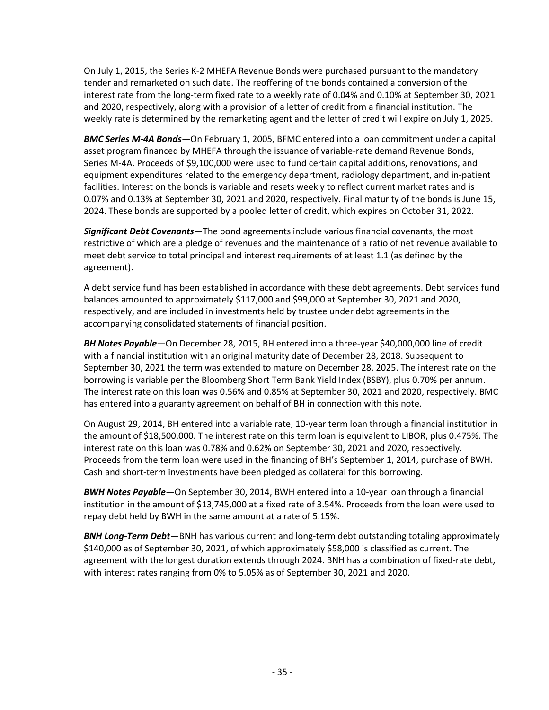On July 1, 2015, the Series K-2 MHEFA Revenue Bonds were purchased pursuant to the mandatory tender and remarketed on such date. The reoffering of the bonds contained a conversion of the interest rate from the long-term fixed rate to a weekly rate of 0.04% and 0.10% at September 30, 2021 and 2020, respectively, along with a provision of a letter of credit from a financial institution. The weekly rate is determined by the remarketing agent and the letter of credit will expire on July 1, 2025.

*BMC Series M-4A Bonds*—On February 1, 2005, BFMC entered into a loan commitment under a capital asset program financed by MHEFA through the issuance of variable-rate demand Revenue Bonds, Series M-4A. Proceeds of \$9,100,000 were used to fund certain capital additions, renovations, and equipment expenditures related to the emergency department, radiology department, and in-patient facilities. Interest on the bonds is variable and resets weekly to reflect current market rates and is 0.07% and 0.13% at September 30, 2021 and 2020, respectively. Final maturity of the bonds is June 15, 2024. These bonds are supported by a pooled letter of credit, which expires on October 31, 2022.

*Significant Debt Covenants*—The bond agreements include various financial covenants, the most restrictive of which are a pledge of revenues and the maintenance of a ratio of net revenue available to meet debt service to total principal and interest requirements of at least 1.1 (as defined by the agreement).

A debt service fund has been established in accordance with these debt agreements. Debt services fund balances amounted to approximately \$117,000 and \$99,000 at September 30, 2021 and 2020, respectively, and are included in investments held by trustee under debt agreements in the accompanying consolidated statements of financial position.

*BH Notes Payable*—On December 28, 2015, BH entered into a three-year \$40,000,000 line of credit with a financial institution with an original maturity date of December 28, 2018. Subsequent to September 30, 2021 the term was extended to mature on December 28, 2025. The interest rate on the borrowing is variable per the Bloomberg Short Term Bank Yield Index (BSBY), plus 0.70% per annum. The interest rate on this loan was 0.56% and 0.85% at September 30, 2021 and 2020, respectively. BMC has entered into a guaranty agreement on behalf of BH in connection with this note.

On August 29, 2014, BH entered into a variable rate, 10-year term loan through a financial institution in the amount of \$18,500,000. The interest rate on this term loan is equivalent to LIBOR, plus 0.475%. The interest rate on this loan was 0.78% and 0.62% on September 30, 2021 and 2020, respectively. Proceeds from the term loan were used in the financing of BH's September 1, 2014, purchase of BWH. Cash and short-term investments have been pledged as collateral for this borrowing.

*BWH Notes Payable*—On September 30, 2014, BWH entered into a 10-year loan through a financial institution in the amount of \$13,745,000 at a fixed rate of 3.54%. Proceeds from the loan were used to repay debt held by BWH in the same amount at a rate of 5.15%.

*BNH Long-Term Debt*—BNH has various current and long-term debt outstanding totaling approximately \$140,000 as of September 30, 2021, of which approximately \$58,000 is classified as current. The agreement with the longest duration extends through 2024. BNH has a combination of fixed-rate debt, with interest rates ranging from 0% to 5.05% as of September 30, 2021 and 2020.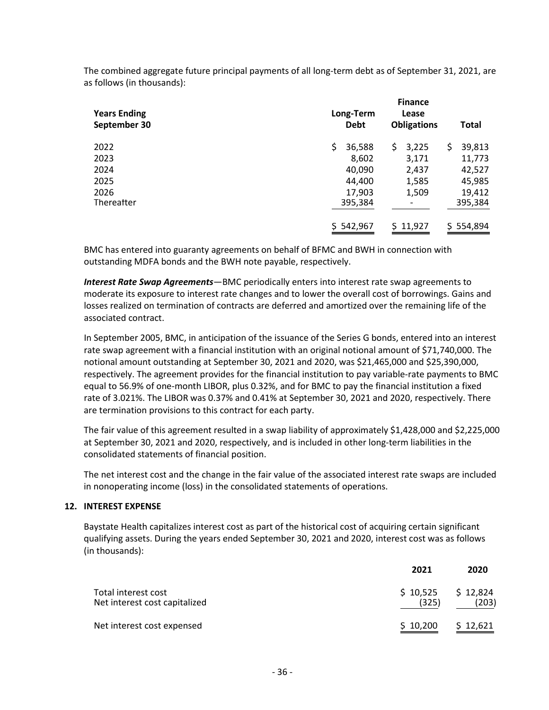The combined aggregate future principal payments of all long-term debt as of September 31, 2021, are as follows (in thousands):

| <b>Years Ending</b><br>September 30 | Long-Term<br><b>Debt</b> | <b>Finance</b><br>Lease<br><b>Obligations</b> | <b>Total</b> |
|-------------------------------------|--------------------------|-----------------------------------------------|--------------|
| 2022                                | \$<br>36,588             | \$.<br>3,225                                  | 39,813<br>\$ |
| 2023                                | 8,602                    | 3,171                                         | 11,773       |
| 2024                                | 40,090                   | 2,437                                         | 42,527       |
| 2025                                | 44,400                   | 1,585                                         | 45,985       |
| 2026                                | 17,903                   | 1,509                                         | 19,412       |
| Thereafter                          | 395,384                  |                                               | 395,384      |
|                                     | \$542,967                | \$11,927                                      | \$554,894    |

BMC has entered into guaranty agreements on behalf of BFMC and BWH in connection with outstanding MDFA bonds and the BWH note payable, respectively.

*Interest Rate Swap Agreements*—BMC periodically enters into interest rate swap agreements to moderate its exposure to interest rate changes and to lower the overall cost of borrowings. Gains and losses realized on termination of contracts are deferred and amortized over the remaining life of the associated contract.

In September 2005, BMC, in anticipation of the issuance of the Series G bonds, entered into an interest rate swap agreement with a financial institution with an original notional amount of \$71,740,000. The notional amount outstanding at September 30, 2021 and 2020, was \$21,465,000 and \$25,390,000, respectively. The agreement provides for the financial institution to pay variable-rate payments to BMC equal to 56.9% of one-month LIBOR, plus 0.32%, and for BMC to pay the financial institution a fixed rate of 3.021%. The LIBOR was 0.37% and 0.41% at September 30, 2021 and 2020, respectively. There are termination provisions to this contract for each party.

The fair value of this agreement resulted in a swap liability of approximately \$1,428,000 and \$2,225,000 at September 30, 2021 and 2020, respectively, and is included in other long-term liabilities in the consolidated statements of financial position.

The net interest cost and the change in the fair value of the associated interest rate swaps are included in nonoperating income (loss) in the consolidated statements of operations.

#### **12. INTEREST EXPENSE**

Baystate Health capitalizes interest cost as part of the historical cost of acquiring certain significant qualifying assets. During the years ended September 30, 2021 and 2020, interest cost was as follows (in thousands):

|                                                      | 2021              | 2020              |
|------------------------------------------------------|-------------------|-------------------|
| Total interest cost<br>Net interest cost capitalized | \$10,525<br>(325) | \$12,824<br>(203) |
| Net interest cost expensed                           | \$10,200          | \$12,621          |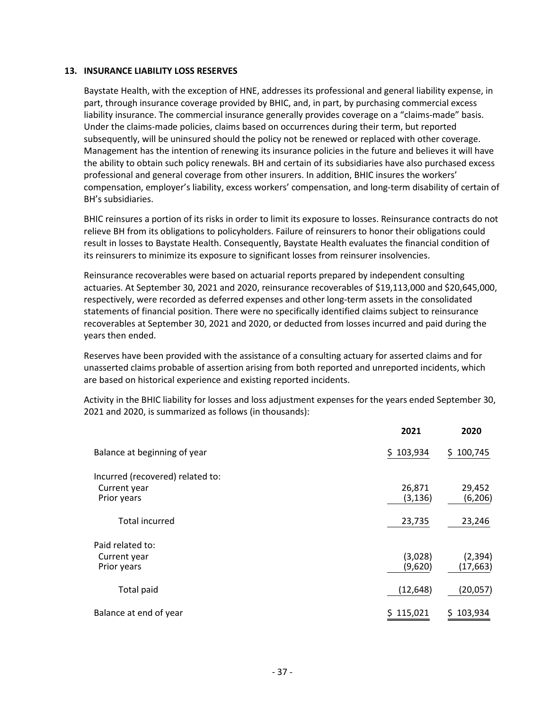#### **13. INSURANCE LIABILITY LOSS RESERVES**

Baystate Health, with the exception of HNE, addresses its professional and general liability expense, in part, through insurance coverage provided by BHIC, and, in part, by purchasing commercial excess liability insurance. The commercial insurance generally provides coverage on a "claims-made" basis. Under the claims-made policies, claims based on occurrences during their term, but reported subsequently, will be uninsured should the policy not be renewed or replaced with other coverage. Management has the intention of renewing its insurance policies in the future and believes it will have the ability to obtain such policy renewals. BH and certain of its subsidiaries have also purchased excess professional and general coverage from other insurers. In addition, BHIC insures the workers' compensation, employer's liability, excess workers' compensation, and long-term disability of certain of BH's subsidiaries.

BHIC reinsures a portion of its risks in order to limit its exposure to losses. Reinsurance contracts do not relieve BH from its obligations to policyholders. Failure of reinsurers to honor their obligations could result in losses to Baystate Health. Consequently, Baystate Health evaluates the financial condition of its reinsurers to minimize its exposure to significant losses from reinsurer insolvencies.

Reinsurance recoverables were based on actuarial reports prepared by independent consulting actuaries. At September 30, 2021 and 2020, reinsurance recoverables of \$19,113,000 and \$20,645,000, respectively, were recorded as deferred expenses and other long-term assets in the consolidated statements of financial position. There were no specifically identified claims subject to reinsurance recoverables at September 30, 2021 and 2020, or deducted from losses incurred and paid during the years then ended.

Reserves have been provided with the assistance of a consulting actuary for asserted claims and for unasserted claims probable of assertion arising from both reported and unreported incidents, which are based on historical experience and existing reported incidents.

Activity in the BHIC liability for losses and loss adjustment expenses for the years ended September 30, 2021 and 2020, is summarized as follows (in thousands):

|                                                  | 2021               | 2020                  |
|--------------------------------------------------|--------------------|-----------------------|
| Balance at beginning of year                     | \$103,934          | \$100,745             |
| Incurred (recovered) related to:<br>Current year | 26,871             | 29,452                |
| Prior years                                      | (3, 136)           | (6, 206)              |
| <b>Total incurred</b>                            | 23,735             | 23,246                |
| Paid related to:                                 |                    |                       |
| Current year<br>Prior years                      | (3,028)<br>(9,620) | (2, 394)<br>(17, 663) |
| Total paid                                       | (12, 648)          | (20,057)              |
| Balance at end of year                           | \$115,021          | 103,934<br>S.         |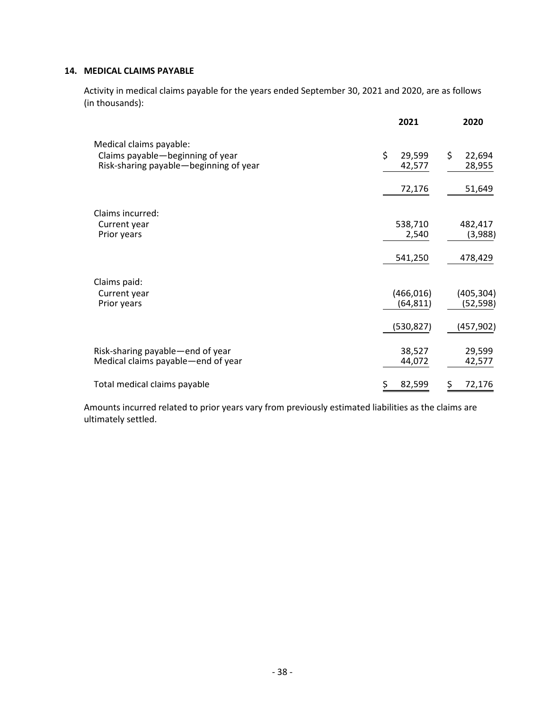#### **14. MEDICAL CLAIMS PAYABLE**

Activity in medical claims payable for the years ended September 30, 2021 and 2020, are as follows (in thousands):

|                                                                                                       | 2021                    | 2020                    |
|-------------------------------------------------------------------------------------------------------|-------------------------|-------------------------|
| Medical claims payable:<br>Claims payable-beginning of year<br>Risk-sharing payable-beginning of year | \$<br>29,599<br>42,577  | \$<br>22,694<br>28,955  |
|                                                                                                       | 72,176                  | 51,649                  |
| Claims incurred:<br>Current year<br>Prior years                                                       | 538,710<br>2,540        | 482,417<br>(3,988)      |
|                                                                                                       | 541,250                 | 478,429                 |
| Claims paid:<br>Current year<br>Prior years                                                           | (466, 016)<br>(64, 811) | (405, 304)<br>(52, 598) |
|                                                                                                       | (530, 827)              | (457,902)               |
| Risk-sharing payable-end of year<br>Medical claims payable—end of year                                | 38,527<br>44,072        | 29,599<br>42,577        |
| Total medical claims payable                                                                          | 82,599<br>Ş             | 72,176<br>Ş             |

Amounts incurred related to prior years vary from previously estimated liabilities as the claims are ultimately settled.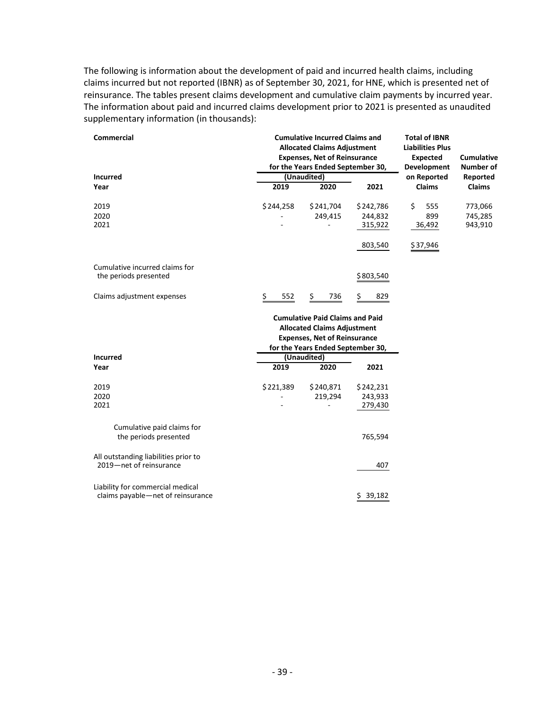The following is information about the development of paid and incurred health claims, including claims incurred but not reported (IBNR) as of September 30, 2021, for HNE, which is presented net of reinsurance. The tables present claims development and cumulative claim payments by incurred year. The information about paid and incurred claims development prior to 2021 is presented as unaudited supplementary information (in thousands):

| <b>Commercial</b>                    | <b>Cumulative Incurred Claims and</b><br><b>Allocated Claims Adjustment</b><br><b>Expenses, Net of Reinsurance</b><br>for the Years Ended September 30, |                                                                                                                                                          |              | <b>Total of IBNR</b><br><b>Liabilities Plus</b><br><b>Expected</b><br><b>Development</b> | Cumulative<br><b>Number of</b> |
|--------------------------------------|---------------------------------------------------------------------------------------------------------------------------------------------------------|----------------------------------------------------------------------------------------------------------------------------------------------------------|--------------|------------------------------------------------------------------------------------------|--------------------------------|
| <b>Incurred</b>                      |                                                                                                                                                         | (Unaudited)                                                                                                                                              |              | on Reported                                                                              | Reported                       |
| Year                                 | 2019                                                                                                                                                    | 2020                                                                                                                                                     | 2021         | <b>Claims</b>                                                                            | <b>Claims</b>                  |
| 2019                                 | \$244,258                                                                                                                                               | \$241,704                                                                                                                                                | \$242,786    | \$<br>555                                                                                | 773,066                        |
| 2020                                 |                                                                                                                                                         | 249,415                                                                                                                                                  | 244,832      | 899                                                                                      | 745,285                        |
| 2021                                 |                                                                                                                                                         |                                                                                                                                                          | 315,922      | 36,492                                                                                   | 943,910                        |
|                                      |                                                                                                                                                         |                                                                                                                                                          | 803,540      | \$37,946                                                                                 |                                |
| Cumulative incurred claims for       |                                                                                                                                                         |                                                                                                                                                          |              |                                                                                          |                                |
| the periods presented                |                                                                                                                                                         |                                                                                                                                                          | \$803,540    |                                                                                          |                                |
| Claims adjustment expenses           | \$<br>552                                                                                                                                               | \$<br>736                                                                                                                                                | \$<br>829    |                                                                                          |                                |
|                                      |                                                                                                                                                         | <b>Cumulative Paid Claims and Paid</b><br><b>Allocated Claims Adjustment</b><br><b>Expenses, Net of Reinsurance</b><br>for the Years Ended September 30, |              |                                                                                          |                                |
| <b>Incurred</b>                      |                                                                                                                                                         | (Unaudited)                                                                                                                                              |              |                                                                                          |                                |
| Year                                 | 2019                                                                                                                                                    | 2020                                                                                                                                                     | 2021         |                                                                                          |                                |
| 2019                                 | \$221,389                                                                                                                                               | \$240,871                                                                                                                                                | \$242,231    |                                                                                          |                                |
| 2020                                 |                                                                                                                                                         | 219,294                                                                                                                                                  | 243,933      |                                                                                          |                                |
| 2021                                 |                                                                                                                                                         |                                                                                                                                                          | 279,430      |                                                                                          |                                |
| Cumulative paid claims for           |                                                                                                                                                         |                                                                                                                                                          |              |                                                                                          |                                |
| the periods presented                |                                                                                                                                                         |                                                                                                                                                          | 765,594      |                                                                                          |                                |
| All outstanding liabilities prior to |                                                                                                                                                         |                                                                                                                                                          |              |                                                                                          |                                |
| 2019-net of reinsurance              |                                                                                                                                                         |                                                                                                                                                          | 407          |                                                                                          |                                |
| Liability for commercial medical     |                                                                                                                                                         |                                                                                                                                                          |              |                                                                                          |                                |
| claims payable-net of reinsurance    |                                                                                                                                                         |                                                                                                                                                          | 39,182<br>\$ |                                                                                          |                                |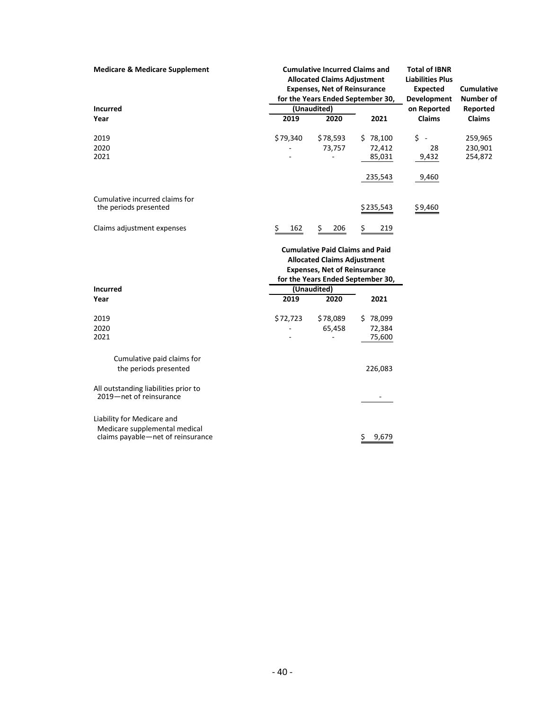| <b>Medicare &amp; Medicare Supplement</b>                       | <b>Cumulative Incurred Claims and</b><br><b>Allocated Claims Adjustment</b><br><b>Expenses, Net of Reinsurance</b><br>for the Years Ended September 30,<br>(Unaudited) |                                        | <b>Total of IBNR</b><br><b>Liabilities Plus</b><br><b>Expected</b><br>Development | <b>Cumulative</b><br><b>Number of</b> |               |
|-----------------------------------------------------------------|------------------------------------------------------------------------------------------------------------------------------------------------------------------------|----------------------------------------|-----------------------------------------------------------------------------------|---------------------------------------|---------------|
| <b>Incurred</b>                                                 |                                                                                                                                                                        |                                        |                                                                                   | on Reported                           | Reported      |
| Year                                                            | 2019                                                                                                                                                                   | 2020                                   | 2021                                                                              | <b>Claims</b>                         | <b>Claims</b> |
| 2019                                                            | \$79,340                                                                                                                                                               | \$78,593                               | \$78,100                                                                          | $\ddot{\phi}$ -                       | 259,965       |
| 2020                                                            |                                                                                                                                                                        | 73,757                                 | 72,412                                                                            | 28                                    | 230,901       |
| 2021                                                            |                                                                                                                                                                        |                                        | 85,031                                                                            | 9,432                                 | 254,872       |
|                                                                 |                                                                                                                                                                        |                                        | 235,543                                                                           | 9,460                                 |               |
| Cumulative incurred claims for                                  |                                                                                                                                                                        |                                        |                                                                                   |                                       |               |
| the periods presented                                           |                                                                                                                                                                        |                                        | \$235,543                                                                         | \$9,460                               |               |
| Claims adjustment expenses                                      | Ş.<br>162                                                                                                                                                              | 206<br>Ş.                              | \$.<br>219                                                                        |                                       |               |
|                                                                 |                                                                                                                                                                        | <b>Cumulative Paid Claims and Paid</b> |                                                                                   |                                       |               |
|                                                                 |                                                                                                                                                                        | <b>Allocated Claims Adjustment</b>     |                                                                                   |                                       |               |
|                                                                 |                                                                                                                                                                        | <b>Expenses, Net of Reinsurance</b>    |                                                                                   |                                       |               |
|                                                                 |                                                                                                                                                                        |                                        | for the Years Ended September 30,                                                 |                                       |               |
| <b>Incurred</b>                                                 |                                                                                                                                                                        | (Unaudited)                            |                                                                                   |                                       |               |
| Year                                                            | 2019                                                                                                                                                                   | 2020                                   | 2021                                                                              |                                       |               |
| 2019                                                            | \$72,723                                                                                                                                                               | \$78,089                               | \$78,099                                                                          |                                       |               |
| 2020                                                            |                                                                                                                                                                        | 65,458                                 | 72,384                                                                            |                                       |               |
| 2021                                                            |                                                                                                                                                                        |                                        | 75,600                                                                            |                                       |               |
| Cumulative paid claims for                                      |                                                                                                                                                                        |                                        |                                                                                   |                                       |               |
| the periods presented                                           |                                                                                                                                                                        |                                        | 226,083                                                                           |                                       |               |
| All outstanding liabilities prior to<br>2019-net of reinsurance |                                                                                                                                                                        |                                        |                                                                                   |                                       |               |
| Liability for Medicare and<br>Medicare supplemental medical     |                                                                                                                                                                        |                                        |                                                                                   |                                       |               |
| claims payable-net of reinsurance                               |                                                                                                                                                                        |                                        | \$<br>9,679                                                                       |                                       |               |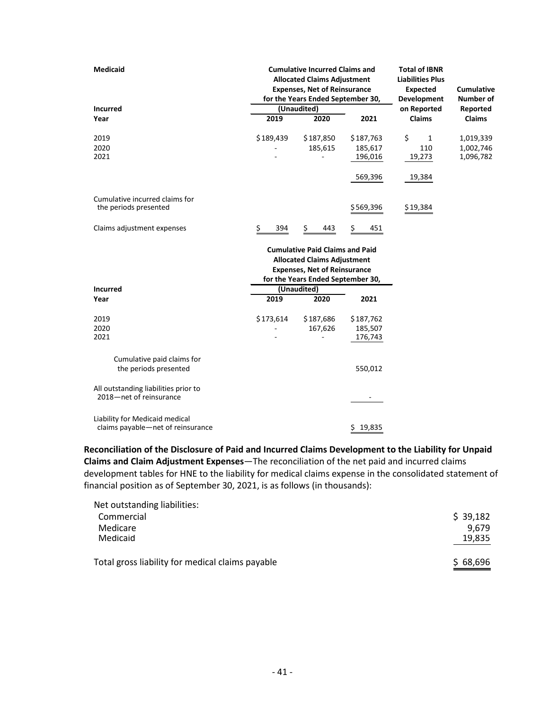| Medicaid                                                            | <b>Cumulative Incurred Claims and</b><br><b>Allocated Claims Adjustment</b><br><b>Expenses, Net of Reinsurance</b><br>for the Years Ended September 30, |                                                                                                                                                          |                    | <b>Total of IBNR</b><br><b>Liabilities Plus</b><br><b>Expected</b><br><b>Development</b> | Cumulative<br><b>Number of</b> |
|---------------------------------------------------------------------|---------------------------------------------------------------------------------------------------------------------------------------------------------|----------------------------------------------------------------------------------------------------------------------------------------------------------|--------------------|------------------------------------------------------------------------------------------|--------------------------------|
| <b>Incurred</b>                                                     |                                                                                                                                                         | (Unaudited)                                                                                                                                              |                    | on Reported                                                                              | Reported                       |
| Year                                                                | 2019                                                                                                                                                    | 2020                                                                                                                                                     | 2021               | <b>Claims</b>                                                                            | Claims                         |
| 2019                                                                | \$189,439                                                                                                                                               | \$187,850                                                                                                                                                | \$187,763          | \$<br>$\mathbf{1}$                                                                       | 1,019,339                      |
| 2020<br>2021                                                        |                                                                                                                                                         | 185,615                                                                                                                                                  | 185,617<br>196,016 | 110<br>19,273                                                                            | 1,002,746<br>1,096,782         |
|                                                                     |                                                                                                                                                         |                                                                                                                                                          | 569,396            | 19,384                                                                                   |                                |
| Cumulative incurred claims for<br>the periods presented             |                                                                                                                                                         |                                                                                                                                                          | \$569,396          | \$19,384                                                                                 |                                |
|                                                                     |                                                                                                                                                         |                                                                                                                                                          |                    |                                                                                          |                                |
| Claims adjustment expenses                                          | Ş<br>394                                                                                                                                                | \$.<br>443                                                                                                                                               | Ş<br>451           |                                                                                          |                                |
|                                                                     |                                                                                                                                                         | <b>Cumulative Paid Claims and Paid</b><br><b>Allocated Claims Adjustment</b><br><b>Expenses, Net of Reinsurance</b><br>for the Years Ended September 30, |                    |                                                                                          |                                |
| <b>Incurred</b>                                                     |                                                                                                                                                         | (Unaudited)                                                                                                                                              |                    |                                                                                          |                                |
| Year                                                                | 2019                                                                                                                                                    | 2020                                                                                                                                                     | 2021               |                                                                                          |                                |
| 2019                                                                | \$173,614                                                                                                                                               | \$187,686                                                                                                                                                | \$187,762          |                                                                                          |                                |
| 2020<br>2021                                                        |                                                                                                                                                         | 167,626                                                                                                                                                  | 185,507<br>176,743 |                                                                                          |                                |
| Cumulative paid claims for<br>the periods presented                 |                                                                                                                                                         |                                                                                                                                                          | 550,012            |                                                                                          |                                |
| All outstanding liabilities prior to<br>2018-net of reinsurance     |                                                                                                                                                         |                                                                                                                                                          |                    |                                                                                          |                                |
| Liability for Medicaid medical<br>claims payable-net of reinsurance |                                                                                                                                                         |                                                                                                                                                          | 19,835<br>\$       |                                                                                          |                                |

**Reconciliation of the Disclosure of Paid and Incurred Claims Development to the Liability for Unpaid Claims and Claim Adjustment Expenses**—The reconciliation of the net paid and incurred claims development tables for HNE to the liability for medical claims expense in the consolidated statement of financial position as of September 30, 2021, is as follows (in thousands):

| \$39,182 |
|----------|
| 9.679    |
| 19,835   |
| \$68,696 |
|          |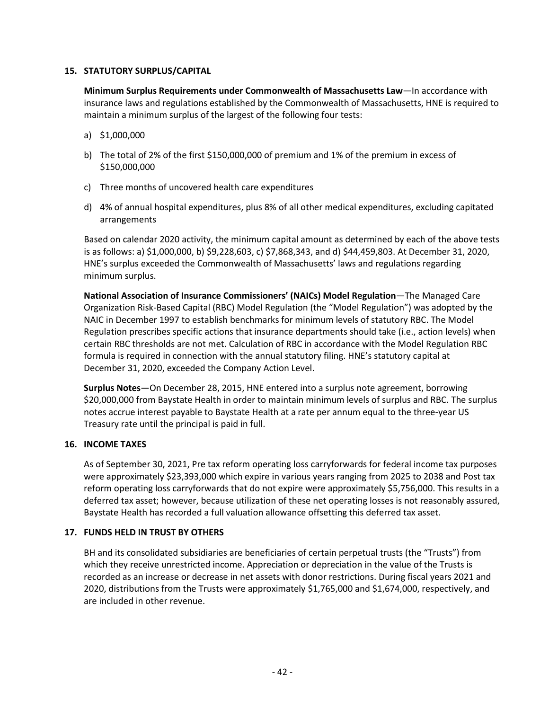#### **15. STATUTORY SURPLUS/CAPITAL**

**Minimum Surplus Requirements under Commonwealth of Massachusetts Law**—In accordance with insurance laws and regulations established by the Commonwealth of Massachusetts, HNE is required to maintain a minimum surplus of the largest of the following four tests:

- a) \$1,000,000
- b) The total of 2% of the first \$150,000,000 of premium and 1% of the premium in excess of \$150,000,000
- c) Three months of uncovered health care expenditures
- d) 4% of annual hospital expenditures, plus 8% of all other medical expenditures, excluding capitated arrangements

Based on calendar 2020 activity, the minimum capital amount as determined by each of the above tests is as follows: a) \$1,000,000, b) \$9,228,603, c) \$7,868,343, and d) \$44,459,803. At December 31, 2020, HNE's surplus exceeded the Commonwealth of Massachusetts' laws and regulations regarding minimum surplus.

**National Association of Insurance Commissioners' (NAICs) Model Regulation**—The Managed Care Organization Risk-Based Capital (RBC) Model Regulation (the "Model Regulation") was adopted by the NAIC in December 1997 to establish benchmarks for minimum levels of statutory RBC. The Model Regulation prescribes specific actions that insurance departments should take (i.e., action levels) when certain RBC thresholds are not met. Calculation of RBC in accordance with the Model Regulation RBC formula is required in connection with the annual statutory filing. HNE's statutory capital at December 31, 2020, exceeded the Company Action Level.

**Surplus Notes**—On December 28, 2015, HNE entered into a surplus note agreement, borrowing \$20,000,000 from Baystate Health in order to maintain minimum levels of surplus and RBC. The surplus notes accrue interest payable to Baystate Health at a rate per annum equal to the three-year US Treasury rate until the principal is paid in full.

#### **16. INCOME TAXES**

As of September 30, 2021, Pre tax reform operating loss carryforwards for federal income tax purposes were approximately \$23,393,000 which expire in various years ranging from 2025 to 2038 and Post tax reform operating loss carryforwards that do not expire were approximately \$5,756,000. This results in a deferred tax asset; however, because utilization of these net operating losses is not reasonably assured, Baystate Health has recorded a full valuation allowance offsetting this deferred tax asset.

#### **17. FUNDS HELD IN TRUST BY OTHERS**

BH and its consolidated subsidiaries are beneficiaries of certain perpetual trusts (the "Trusts") from which they receive unrestricted income. Appreciation or depreciation in the value of the Trusts is recorded as an increase or decrease in net assets with donor restrictions. During fiscal years 2021 and 2020, distributions from the Trusts were approximately \$1,765,000 and \$1,674,000, respectively, and are included in other revenue.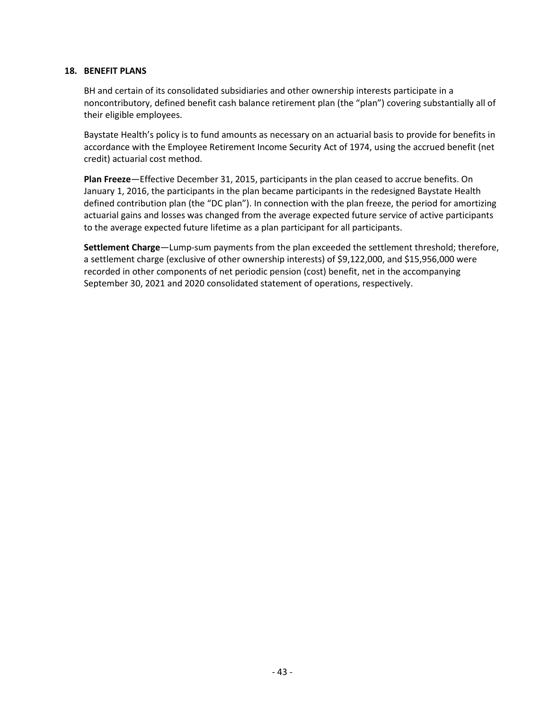#### **18. BENEFIT PLANS**

BH and certain of its consolidated subsidiaries and other ownership interests participate in a noncontributory, defined benefit cash balance retirement plan (the "plan") covering substantially all of their eligible employees.

Baystate Health's policy is to fund amounts as necessary on an actuarial basis to provide for benefits in accordance with the Employee Retirement Income Security Act of 1974, using the accrued benefit (net credit) actuarial cost method.

**Plan Freeze**—Effective December 31, 2015, participants in the plan ceased to accrue benefits. On January 1, 2016, the participants in the plan became participants in the redesigned Baystate Health defined contribution plan (the "DC plan"). In connection with the plan freeze, the period for amortizing actuarial gains and losses was changed from the average expected future service of active participants to the average expected future lifetime as a plan participant for all participants.

**Settlement Charge**—Lump-sum payments from the plan exceeded the settlement threshold; therefore, a settlement charge (exclusive of other ownership interests) of \$9,122,000, and \$15,956,000 were recorded in other components of net periodic pension (cost) benefit, net in the accompanying September 30, 2021 and 2020 consolidated statement of operations, respectively.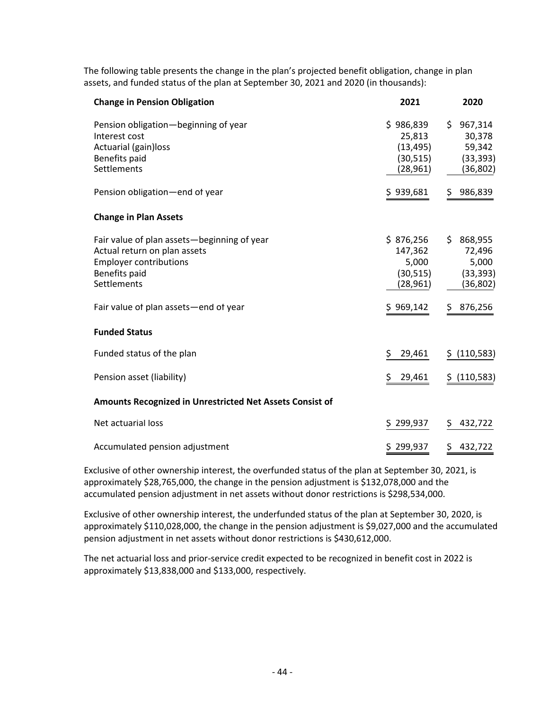The following table presents the change in the plan's projected benefit obligation, change in plan assets, and funded status of the plan at September 30, 2021 and 2020 (in thousands):

| <b>Change in Pension Obligation</b>                                                                                                          | 2021                                                       | 2020                                                    |
|----------------------------------------------------------------------------------------------------------------------------------------------|------------------------------------------------------------|---------------------------------------------------------|
| Pension obligation-beginning of year<br>Interest cost<br>Actuarial (gain) loss<br>Benefits paid<br>Settlements                               | \$986,839<br>25,813<br>(13, 495)<br>(30, 515)<br>(28, 961) | \$967,314<br>30,378<br>59,342<br>(33, 393)<br>(36, 802) |
| Pension obligation-end of year                                                                                                               | \$939,681                                                  | \$986,839                                               |
| <b>Change in Plan Assets</b>                                                                                                                 |                                                            |                                                         |
| Fair value of plan assets-beginning of year<br>Actual return on plan assets<br><b>Employer contributions</b><br>Benefits paid<br>Settlements | \$876,256<br>147,362<br>5,000<br>(30, 515)<br>(28, 961)    | \$868,955<br>72,496<br>5,000<br>(33, 393)<br>(36, 802)  |
| Fair value of plan assets - end of year                                                                                                      | \$969,142                                                  | \$ 876,256                                              |
| <b>Funded Status</b>                                                                                                                         |                                                            |                                                         |
| Funded status of the plan                                                                                                                    | \$<br>29,461                                               | \$ (110, 583)                                           |
| Pension asset (liability)                                                                                                                    | \$<br>29,461                                               | \$ (110,583)                                            |
| Amounts Recognized in Unrestricted Net Assets Consist of                                                                                     |                                                            |                                                         |
| Net actuarial loss                                                                                                                           | \$299,937                                                  | 432,722<br>Ş.                                           |
| Accumulated pension adjustment                                                                                                               | \$299,937                                                  | \$.<br>432,722                                          |
|                                                                                                                                              |                                                            |                                                         |

Exclusive of other ownership interest, the overfunded status of the plan at September 30, 2021, is approximately \$28,765,000, the change in the pension adjustment is \$132,078,000 and the accumulated pension adjustment in net assets without donor restrictions is \$298,534,000.

Exclusive of other ownership interest, the underfunded status of the plan at September 30, 2020, is approximately \$110,028,000, the change in the pension adjustment is \$9,027,000 and the accumulated pension adjustment in net assets without donor restrictions is \$430,612,000.

The net actuarial loss and prior-service credit expected to be recognized in benefit cost in 2022 is approximately \$13,838,000 and \$133,000, respectively.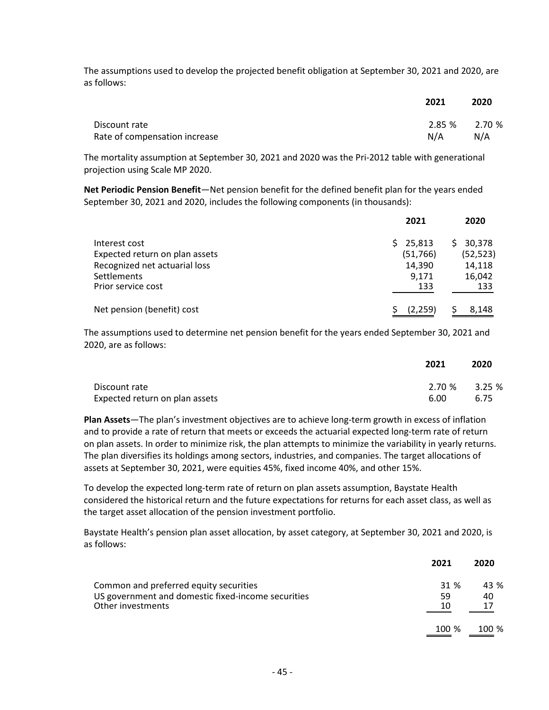The assumptions used to develop the projected benefit obligation at September 30, 2021 and 2020, are as follows:

|                               | 2021          | 2020 |
|-------------------------------|---------------|------|
| Discount rate                 | 2.85 % 2.70 % |      |
| Rate of compensation increase | N/A           | N/A  |

The mortality assumption at September 30, 2021 and 2020 was the Pri-2012 table with generational projection using Scale MP 2020.

**Net Periodic Pension Benefit**—Net pension benefit for the defined benefit plan for the years ended September 30, 2021 and 2020, includes the following components (in thousands):

|                                | 2021         | 2020      |
|--------------------------------|--------------|-----------|
| Interest cost                  | 25,813<br>S. | 30,378    |
| Expected return on plan assets | (51,766)     | (52, 523) |
| Recognized net actuarial loss  | 14,390       | 14,118    |
| Settlements                    | 9.171        | 16,042    |
| Prior service cost             | 133          | 133       |
| Net pension (benefit) cost     | (2,259)      | 8,148     |

The assumptions used to determine net pension benefit for the years ended September 30, 2021 and 2020, are as follows:

|                                | 2021            | 2020 |
|--------------------------------|-----------------|------|
| Discount rate                  | $2.70\%$ 3.25 % |      |
| Expected return on plan assets | 6.00            | 6.75 |

**Plan Assets**—The plan's investment objectives are to achieve long-term growth in excess of inflation and to provide a rate of return that meets or exceeds the actuarial expected long-term rate of return on plan assets. In order to minimize risk, the plan attempts to minimize the variability in yearly returns. The plan diversifies its holdings among sectors, industries, and companies. The target allocations of assets at September 30, 2021, were equities 45%, fixed income 40%, and other 15%.

To develop the expected long-term rate of return on plan assets assumption, Baystate Health considered the historical return and the future expectations for returns for each asset class, as well as the target asset allocation of the pension investment portfolio.

Baystate Health's pension plan asset allocation, by asset category, at September 30, 2021 and 2020, is as follows:

|                                                                         | 2021     | 2020             |
|-------------------------------------------------------------------------|----------|------------------|
| Common and preferred equity securities                                  | 31 %     | 43 %             |
| US government and domestic fixed-income securities<br>Other investments | 59<br>10 | 40<br>17         |
|                                                                         | $100 \%$ | 100 <sup>%</sup> |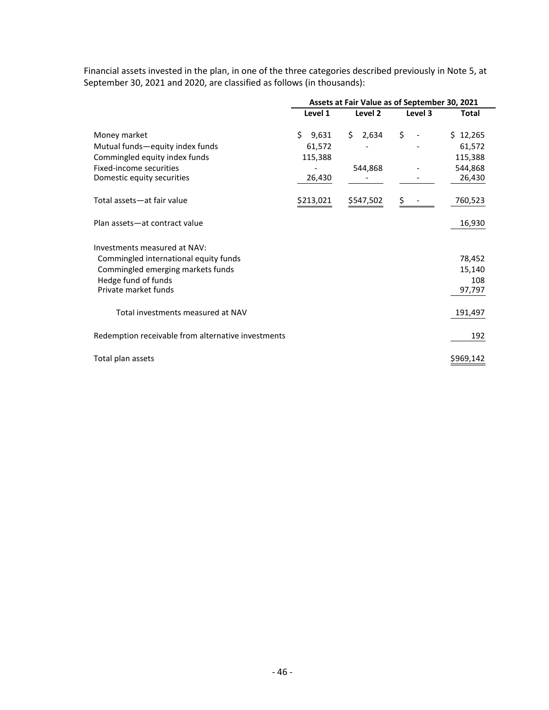|                                                    | Assets at Fair Value as of September 30, 2021 |             |         |           |  |
|----------------------------------------------------|-----------------------------------------------|-------------|---------|-----------|--|
|                                                    | Level 1                                       | Level 2     | Level 3 | Total     |  |
| Money market                                       | \$<br>9,631                                   | 2,634<br>Ś. | \$      | \$12,265  |  |
| Mutual funds-equity index funds                    | 61,572                                        |             |         | 61,572    |  |
| Commingled equity index funds                      | 115,388                                       |             |         | 115,388   |  |
| Fixed-income securities                            |                                               | 544,868     |         | 544,868   |  |
| Domestic equity securities                         | 26,430                                        |             |         | 26,430    |  |
| Total assets-at fair value                         | \$213,021                                     | \$547,502   |         | 760,523   |  |
| Plan assets-at contract value                      |                                               |             |         | 16,930    |  |
| Investments measured at NAV:                       |                                               |             |         |           |  |
| Commingled international equity funds              |                                               |             |         | 78,452    |  |
| Commingled emerging markets funds                  |                                               |             |         | 15,140    |  |
| Hedge fund of funds                                |                                               |             |         | 108       |  |
| Private market funds                               |                                               |             |         | 97,797    |  |
| Total investments measured at NAV                  |                                               |             |         | 191,497   |  |
| Redemption receivable from alternative investments |                                               |             |         | 192       |  |
| Total plan assets                                  |                                               |             |         | \$969,142 |  |

Financial assets invested in the plan, in one of the three categories described previously in Note 5, at September 30, 2021 and 2020, are classified as follows (in thousands):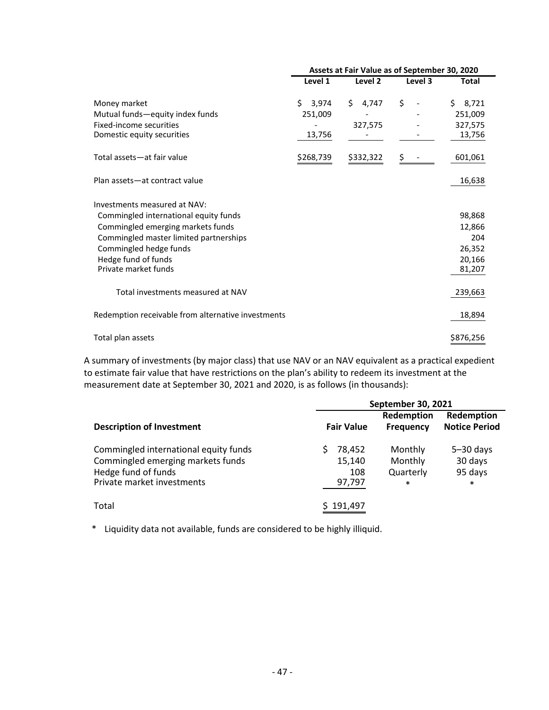|                                                                                                                                                                                                                               | Assets at Fair Value as of September 30, 2020 |                        |         |                                                       |
|-------------------------------------------------------------------------------------------------------------------------------------------------------------------------------------------------------------------------------|-----------------------------------------------|------------------------|---------|-------------------------------------------------------|
|                                                                                                                                                                                                                               | Level 1                                       | Level 2                | Level 3 | <b>Total</b>                                          |
| Money market<br>Mutual funds—equity index funds<br>Fixed-income securities<br>Domestic equity securities                                                                                                                      | Ś.<br>3,974<br>251,009<br>13,756              | Ś.<br>4,747<br>327,575 | \$      | \$3,721<br>251,009<br>327,575<br>13,756               |
| Total assets-at fair value                                                                                                                                                                                                    | \$268,739                                     | \$332,322              | Ş       | 601,061                                               |
| Plan assets-at contract value                                                                                                                                                                                                 |                                               |                        |         | 16,638                                                |
| Investments measured at NAV:<br>Commingled international equity funds<br>Commingled emerging markets funds<br>Commingled master limited partnerships<br>Commingled hedge funds<br>Hedge fund of funds<br>Private market funds |                                               |                        |         | 98,868<br>12,866<br>204<br>26,352<br>20,166<br>81,207 |
| Total investments measured at NAV                                                                                                                                                                                             |                                               |                        |         | 239,663                                               |
| Redemption receivable from alternative investments                                                                                                                                                                            |                                               |                        |         | 18,894                                                |
| Total plan assets                                                                                                                                                                                                             |                                               |                        |         | \$876,256                                             |

A summary of investments (by major class) that use NAV or an NAV equivalent as a practical expedient to estimate fair value that have restrictions on the plan's ability to redeem its investment at the measurement date at September 30, 2021 and 2020, is as follows (in thousands):

|                                                                                                                                 |                                   | <b>September 30, 2021</b>                 |                                               |
|---------------------------------------------------------------------------------------------------------------------------------|-----------------------------------|-------------------------------------------|-----------------------------------------------|
| <b>Description of Investment</b>                                                                                                | <b>Fair Value</b>                 | Redemption<br><b>Frequency</b>            | Redemption<br><b>Notice Period</b>            |
| Commingled international equity funds<br>Commingled emerging markets funds<br>Hedge fund of funds<br>Private market investments | 78,452<br>15,140<br>108<br>97,797 | Monthly<br>Monthly<br>Quarterly<br>$\ast$ | $5 - 30$ days<br>30 days<br>95 days<br>$\ast$ |
| Total                                                                                                                           | 191,497                           |                                           |                                               |

\* Liquidity data not available, funds are considered to be highly illiquid.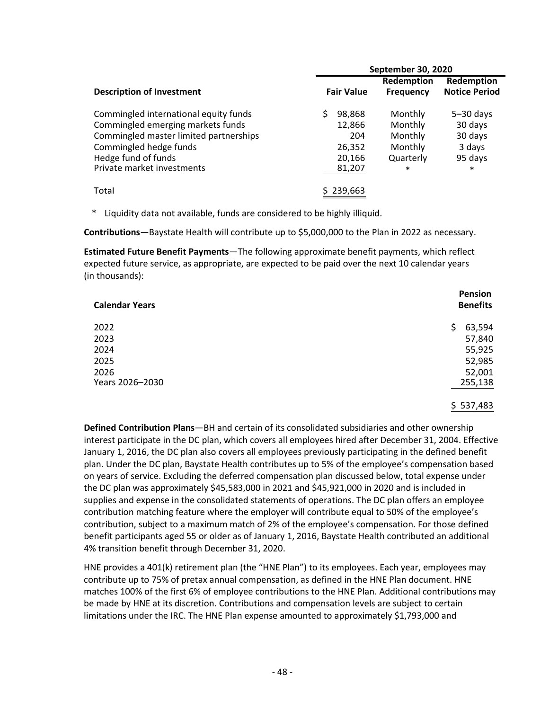|                                        | September 30, 2020 |                  |                      |  |
|----------------------------------------|--------------------|------------------|----------------------|--|
|                                        |                    | Redemption       | Redemption           |  |
| <b>Description of Investment</b>       | <b>Fair Value</b>  | <b>Frequency</b> | <b>Notice Period</b> |  |
| Commingled international equity funds  | 98,868             | Monthly          | $5 - 30$ days        |  |
| Commingled emerging markets funds      | 12,866             | Monthly          | 30 days              |  |
| Commingled master limited partnerships | 204                | Monthly          | 30 days              |  |
| Commingled hedge funds                 | 26,352             | Monthly          | 3 days               |  |
| Hedge fund of funds                    | 20,166             | Quarterly        | 95 days              |  |
| Private market investments             | 81,207             | $\ast$           | $\ast$               |  |
| Total                                  | \$239,663          |                  |                      |  |

\* Liquidity data not available, funds are considered to be highly illiquid.

**Contributions**—Baystate Health will contribute up to \$5,000,000 to the Plan in 2022 as necessary.

**Estimated Future Benefit Payments**—The following approximate benefit payments, which reflect expected future service, as appropriate, are expected to be paid over the next 10 calendar years (in thousands):

| <b>Calendar Years</b> | Pension<br><b>Benefits</b> |
|-----------------------|----------------------------|
| 2022                  | 63,594<br>\$               |
| 2023                  | 57,840                     |
| 2024                  | 55,925                     |
| 2025                  | 52,985                     |
| 2026                  | 52,001                     |
| Years 2026-2030       | 255,138                    |
|                       |                            |
|                       | \$537,483                  |

**Defined Contribution Plans**—BH and certain of its consolidated subsidiaries and other ownership interest participate in the DC plan, which covers all employees hired after December 31, 2004. Effective January 1, 2016, the DC plan also covers all employees previously participating in the defined benefit plan. Under the DC plan, Baystate Health contributes up to 5% of the employee's compensation based on years of service. Excluding the deferred compensation plan discussed below, total expense under the DC plan was approximately \$45,583,000 in 2021 and \$45,921,000 in 2020 and is included in supplies and expense in the consolidated statements of operations. The DC plan offers an employee contribution matching feature where the employer will contribute equal to 50% of the employee's contribution, subject to a maximum match of 2% of the employee's compensation. For those defined benefit participants aged 55 or older as of January 1, 2016, Baystate Health contributed an additional 4% transition benefit through December 31, 2020.

HNE provides a 401(k) retirement plan (the "HNE Plan") to its employees. Each year, employees may contribute up to 75% of pretax annual compensation, as defined in the HNE Plan document. HNE matches 100% of the first 6% of employee contributions to the HNE Plan. Additional contributions may be made by HNE at its discretion. Contributions and compensation levels are subject to certain limitations under the IRC. The HNE Plan expense amounted to approximately \$1,793,000 and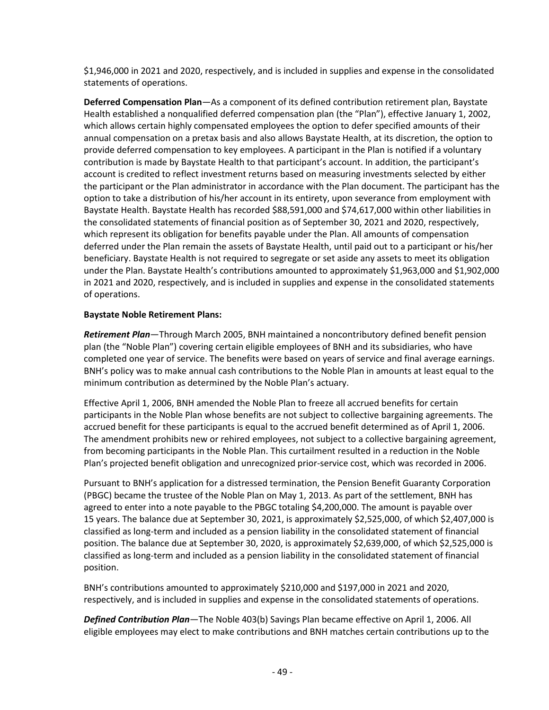\$1,946,000 in 2021 and 2020, respectively, and is included in supplies and expense in the consolidated statements of operations.

**Deferred Compensation Plan**—As a component of its defined contribution retirement plan, Baystate Health established a nonqualified deferred compensation plan (the "Plan"), effective January 1, 2002, which allows certain highly compensated employees the option to defer specified amounts of their annual compensation on a pretax basis and also allows Baystate Health, at its discretion, the option to provide deferred compensation to key employees. A participant in the Plan is notified if a voluntary contribution is made by Baystate Health to that participant's account. In addition, the participant's account is credited to reflect investment returns based on measuring investments selected by either the participant or the Plan administrator in accordance with the Plan document. The participant has the option to take a distribution of his/her account in its entirety, upon severance from employment with Baystate Health. Baystate Health has recorded \$88,591,000 and \$74,617,000 within other liabilities in the consolidated statements of financial position as of September 30, 2021 and 2020, respectively, which represent its obligation for benefits payable under the Plan. All amounts of compensation deferred under the Plan remain the assets of Baystate Health, until paid out to a participant or his/her beneficiary. Baystate Health is not required to segregate or set aside any assets to meet its obligation under the Plan. Baystate Health's contributions amounted to approximately \$1,963,000 and \$1,902,000 in 2021 and 2020, respectively, and is included in supplies and expense in the consolidated statements of operations.

#### **Baystate Noble Retirement Plans:**

*Retirement Plan*—Through March 2005, BNH maintained a noncontributory defined benefit pension plan (the "Noble Plan") covering certain eligible employees of BNH and its subsidiaries, who have completed one year of service. The benefits were based on years of service and final average earnings. BNH's policy was to make annual cash contributions to the Noble Plan in amounts at least equal to the minimum contribution as determined by the Noble Plan's actuary.

Effective April 1, 2006, BNH amended the Noble Plan to freeze all accrued benefits for certain participants in the Noble Plan whose benefits are not subject to collective bargaining agreements. The accrued benefit for these participants is equal to the accrued benefit determined as of April 1, 2006. The amendment prohibits new or rehired employees, not subject to a collective bargaining agreement, from becoming participants in the Noble Plan. This curtailment resulted in a reduction in the Noble Plan's projected benefit obligation and unrecognized prior-service cost, which was recorded in 2006.

Pursuant to BNH's application for a distressed termination, the Pension Benefit Guaranty Corporation (PBGC) became the trustee of the Noble Plan on May 1, 2013. As part of the settlement, BNH has agreed to enter into a note payable to the PBGC totaling \$4,200,000. The amount is payable over 15 years. The balance due at September 30, 2021, is approximately \$2,525,000, of which \$2,407,000 is classified as long-term and included as a pension liability in the consolidated statement of financial position. The balance due at September 30, 2020, is approximately \$2,639,000, of which \$2,525,000 is classified as long-term and included as a pension liability in the consolidated statement of financial position.

BNH's contributions amounted to approximately \$210,000 and \$197,000 in 2021 and 2020, respectively, and is included in supplies and expense in the consolidated statements of operations.

*Defined Contribution Plan*—The Noble 403(b) Savings Plan became effective on April 1, 2006. All eligible employees may elect to make contributions and BNH matches certain contributions up to the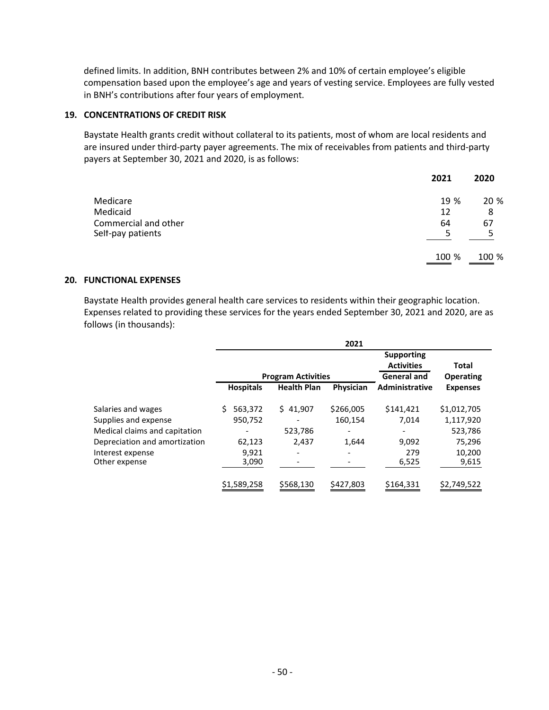defined limits. In addition, BNH contributes between 2% and 10% of certain employee's eligible compensation based upon the employee's age and years of vesting service. Employees are fully vested in BNH's contributions after four years of employment.

#### **19. CONCENTRATIONS OF CREDIT RISK**

Baystate Health grants credit without collateral to its patients, most of whom are local residents and are insured under third-party payer agreements. The mix of receivables from patients and third-party payers at September 30, 2021 and 2020, is as follows:

|                      | 2021  | 2020  |
|----------------------|-------|-------|
| Medicare             | 19 %  | 20 %  |
| Medicaid             | 12    | 8     |
| Commercial and other | 64    | 67    |
| Self-pay patients    | 5     | 5     |
|                      | 100 % | 100 % |

#### **20. FUNCTIONAL EXPENSES**

Baystate Health provides general health care services to residents within their geographic location. Expenses related to providing these services for the years ended September 30, 2021 and 2020, are as follows (in thousands):

|                                   |                  |                           | 2021      |                                                              |                           |
|-----------------------------------|------------------|---------------------------|-----------|--------------------------------------------------------------|---------------------------|
|                                   |                  | <b>Program Activities</b> |           | <b>Supporting</b><br><b>Activities</b><br><b>General and</b> | Total<br><b>Operating</b> |
|                                   | <b>Hospitals</b> | <b>Health Plan</b>        | Physician | Administrative                                               | <b>Expenses</b>           |
| Salaries and wages                | 563,372<br>S.    | \$41,907                  | \$266,005 | \$141,421                                                    | \$1,012,705               |
| Supplies and expense              | 950,752          |                           | 160,154   | 7,014                                                        | 1,117,920                 |
| Medical claims and capitation     |                  | 523,786                   | ۰         | $\qquad \qquad \blacksquare$                                 | 523,786                   |
| Depreciation and amortization     | 62,123           | 2,437                     | 1,644     | 9,092                                                        | 75,296                    |
| Interest expense<br>Other expense | 9,921<br>3,090   |                           |           | 279<br>6,525                                                 | 10,200<br>9,615           |
|                                   | \$1,589,258      | \$568,130                 | \$427,803 | \$164,331                                                    | \$2,749,522               |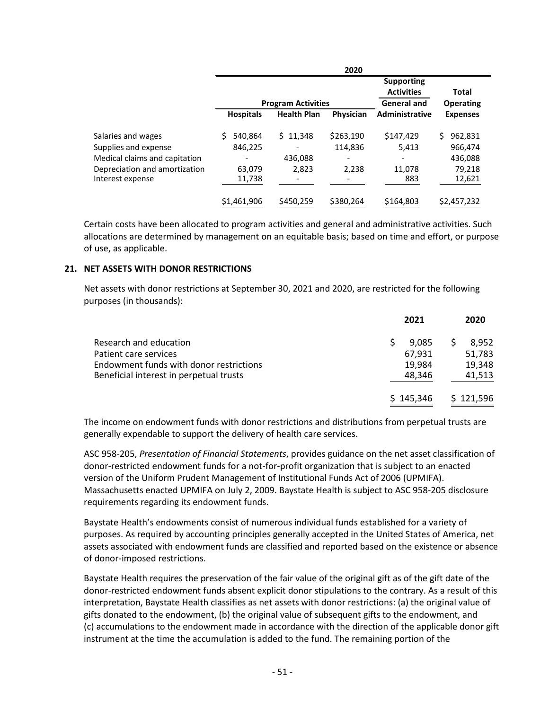|                                                   |                  |                           | 2020      |                                                              |                                  |
|---------------------------------------------------|------------------|---------------------------|-----------|--------------------------------------------------------------|----------------------------------|
|                                                   |                  | <b>Program Activities</b> |           | <b>Supporting</b><br><b>Activities</b><br><b>General and</b> | <b>Total</b><br><b>Operating</b> |
|                                                   | <b>Hospitals</b> | <b>Health Plan</b>        | Physician | <b>Administrative</b>                                        | <b>Expenses</b>                  |
| Salaries and wages                                | 540,864          | \$11,348                  | \$263,190 | \$147,429                                                    | Ś<br>962,831                     |
| Supplies and expense                              | 846,225          |                           | 114,836   | 5,413                                                        | 966,474                          |
| Medical claims and capitation                     |                  | 436,088                   |           | -                                                            | 436,088                          |
| Depreciation and amortization<br>Interest expense | 63,079<br>11,738 | 2,823<br>-                | 2,238     | 11,078<br>883                                                | 79,218<br>12,621                 |
|                                                   | \$1,461,906      | \$450,259                 | \$380,264 | \$164,803                                                    | \$2,457,232                      |

Certain costs have been allocated to program activities and general and administrative activities. Such allocations are determined by management on an equitable basis; based on time and effort, or purpose of use, as applicable.

#### **21. NET ASSETS WITH DONOR RESTRICTIONS**

Net assets with donor restrictions at September 30, 2021 and 2020, are restricted for the following purposes (in thousands):

|                                         | 2021      | 2020      |
|-----------------------------------------|-----------|-----------|
| Research and education                  | 9.085     | 8.952     |
| Patient care services                   | 67,931    | 51,783    |
| Endowment funds with donor restrictions | 19,984    | 19,348    |
| Beneficial interest in perpetual trusts | 48,346    | 41,513    |
|                                         | \$145,346 | \$121,596 |

The income on endowment funds with donor restrictions and distributions from perpetual trusts are generally expendable to support the delivery of health care services.

ASC 958-205, *Presentation of Financial Statements*, provides guidance on the net asset classification of donor-restricted endowment funds for a not-for-profit organization that is subject to an enacted version of the Uniform Prudent Management of Institutional Funds Act of 2006 (UPMIFA). Massachusetts enacted UPMIFA on July 2, 2009. Baystate Health is subject to ASC 958-205 disclosure requirements regarding its endowment funds.

Baystate Health's endowments consist of numerous individual funds established for a variety of purposes. As required by accounting principles generally accepted in the United States of America, net assets associated with endowment funds are classified and reported based on the existence or absence of donor-imposed restrictions.

Baystate Health requires the preservation of the fair value of the original gift as of the gift date of the donor-restricted endowment funds absent explicit donor stipulations to the contrary. As a result of this interpretation, Baystate Health classifies as net assets with donor restrictions: (a) the original value of gifts donated to the endowment, (b) the original value of subsequent gifts to the endowment, and (c) accumulations to the endowment made in accordance with the direction of the applicable donor gift instrument at the time the accumulation is added to the fund. The remaining portion of the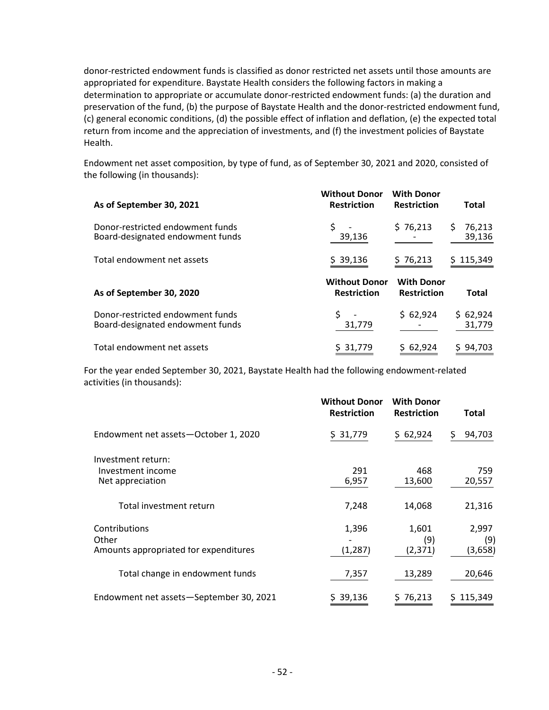donor-restricted endowment funds is classified as donor restricted net assets until those amounts are appropriated for expenditure. Baystate Health considers the following factors in making a determination to appropriate or accumulate donor-restricted endowment funds: (a) the duration and preservation of the fund, (b) the purpose of Baystate Health and the donor-restricted endowment fund, (c) general economic conditions, (d) the possible effect of inflation and deflation, (e) the expected total return from income and the appreciation of investments, and (f) the investment policies of Baystate Health.

Endowment net asset composition, by type of fund, as of September 30, 2021 and 2020, consisted of the following (in thousands):

| As of September 30, 2021                                             | <b>Without Donor</b><br><b>Restriction</b> | <b>With Donor</b><br><b>Restriction</b> | <b>Total</b>           |
|----------------------------------------------------------------------|--------------------------------------------|-----------------------------------------|------------------------|
| Donor-restricted endowment funds<br>Board-designated endowment funds | 39,136                                     | \$76,213                                | 76,213<br>S.<br>39,136 |
| Total endowment net assets                                           | \$39,136                                   | \$76,213                                | \$115,349              |
| As of September 30, 2020                                             | <b>Without Donor</b><br><b>Restriction</b> | <b>With Donor</b><br><b>Restriction</b> | Total                  |
| Donor-restricted endowment funds<br>Board-designated endowment funds | 31,779                                     | \$62,924                                | \$62,924<br>31,779     |
| Total endowment net assets                                           | \$ 31,779                                  | \$62,924                                | \$94,703               |

For the year ended September 30, 2021, Baystate Health had the following endowment-related activities (in thousands):

|                                         | <b>Without Donor</b><br><b>Restriction</b> | <b>With Donor</b><br><b>Restriction</b> | Total        |
|-----------------------------------------|--------------------------------------------|-----------------------------------------|--------------|
| Endowment net assets-October 1, 2020    | \$ 31,779                                  | \$62,924                                | 94,703<br>Ş. |
| Investment return:                      |                                            |                                         |              |
| Investment income                       | 291                                        | 468                                     | 759          |
| Net appreciation                        | 6,957                                      | 13,600                                  | 20,557       |
| Total investment return                 | 7,248                                      | 14,068                                  | 21,316       |
| Contributions<br>Other                  | 1,396                                      | 1,601<br>(9)                            | 2,997<br>(9) |
| Amounts appropriated for expenditures   | (1, 287)                                   | (2, 371)                                | (3,658)      |
| Total change in endowment funds         | 7,357                                      | 13,289                                  | 20,646       |
| Endowment net assets-September 30, 2021 | \$39,136                                   | 576,213                                 | \$115,349    |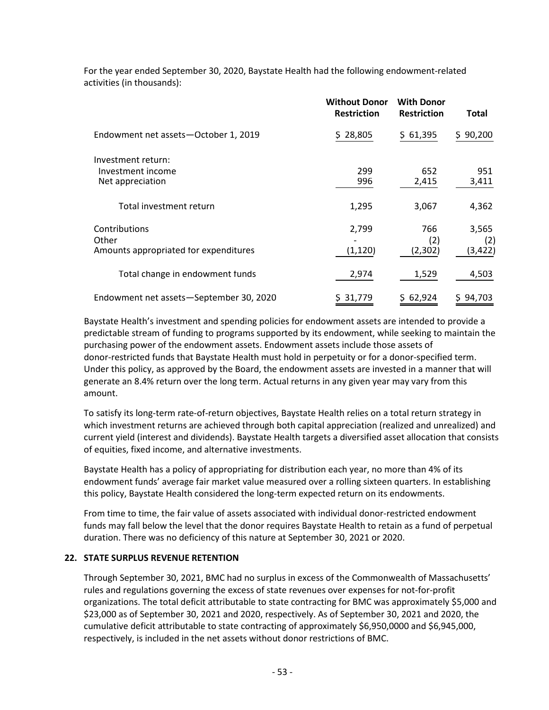|                                                                 | <b>Without Donor</b><br><b>Restriction</b> | <b>With Donor</b><br><b>Restriction</b> | <b>Total</b>             |
|-----------------------------------------------------------------|--------------------------------------------|-----------------------------------------|--------------------------|
| Endowment net assets-October 1, 2019                            | \$28,805                                   | \$61,395                                | \$90,200                 |
| Investment return:<br>Investment income<br>Net appreciation     | 299<br>996                                 | 652<br>2,415                            | 951<br>3,411             |
| Total investment return                                         | 1,295                                      | 3,067                                   | 4,362                    |
| Contributions<br>Other<br>Amounts appropriated for expenditures | 2,799<br>(1, 120)                          | 766<br>(2)<br>(2, 302)                  | 3,565<br>(2)<br>(3, 422) |
| Total change in endowment funds                                 | 2,974                                      | 1,529                                   | 4,503                    |
| Endowment net assets-September 30, 2020                         | \$ 31,779                                  | \$62,924                                | \$94,703                 |

For the year ended September 30, 2020, Baystate Health had the following endowment-related activities (in thousands):

Baystate Health's investment and spending policies for endowment assets are intended to provide a predictable stream of funding to programs supported by its endowment, while seeking to maintain the purchasing power of the endowment assets. Endowment assets include those assets of donor-restricted funds that Baystate Health must hold in perpetuity or for a donor-specified term. Under this policy, as approved by the Board, the endowment assets are invested in a manner that will generate an 8.4% return over the long term. Actual returns in any given year may vary from this amount.

To satisfy its long-term rate-of-return objectives, Baystate Health relies on a total return strategy in which investment returns are achieved through both capital appreciation (realized and unrealized) and current yield (interest and dividends). Baystate Health targets a diversified asset allocation that consists of equities, fixed income, and alternative investments.

Baystate Health has a policy of appropriating for distribution each year, no more than 4% of its endowment funds' average fair market value measured over a rolling sixteen quarters. In establishing this policy, Baystate Health considered the long-term expected return on its endowments.

From time to time, the fair value of assets associated with individual donor-restricted endowment funds may fall below the level that the donor requires Baystate Health to retain as a fund of perpetual duration. There was no deficiency of this nature at September 30, 2021 or 2020.

#### **22. STATE SURPLUS REVENUE RETENTION**

Through September 30, 2021, BMC had no surplus in excess of the Commonwealth of Massachusetts' rules and regulations governing the excess of state revenues over expenses for not-for-profit organizations. The total deficit attributable to state contracting for BMC was approximately \$5,000 and \$23,000 as of September 30, 2021 and 2020, respectively. As of September 30, 2021 and 2020, the cumulative deficit attributable to state contracting of approximately \$6,950,0000 and \$6,945,000, respectively, is included in the net assets without donor restrictions of BMC.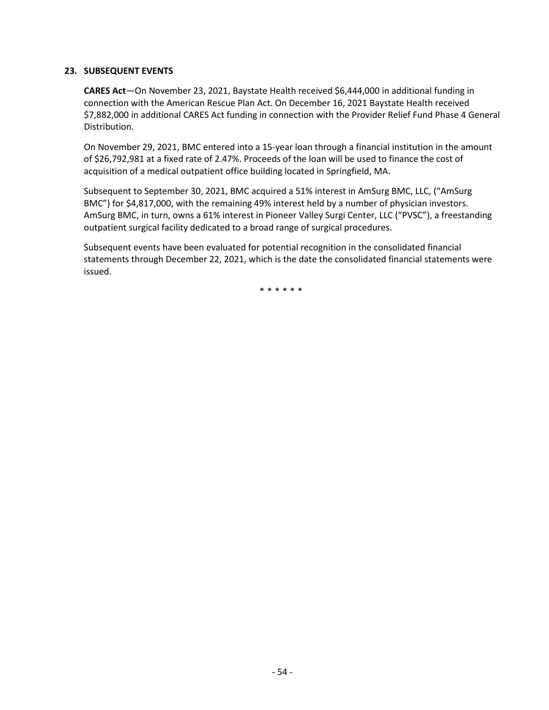#### **23. SUBSEQUENT EVENTS**

**CARES Act**—On November 23, 2021, Baystate Health received \$6,444,000 in additional funding in connection with the American Rescue Plan Act. On December 16, 2021 Baystate Health received \$7,882,000 in additional CARES Act funding in connection with the Provider Relief Fund Phase 4 General Distribution.

On November 29, 2021, BMC entered into a 15-year loan through a financial institution in the amount of \$26,792,981 at a fixed rate of 2.47%. Proceeds of the loan will be used to finance the cost of acquisition of a medical outpatient office building located in Springfield, MA.

Subsequent to September 30, 2021, BMC acquired a 51% interest in AmSurg BMC, LLC, ("AmSurg BMC") for \$4,817,000, with the remaining 49% interest held by a number of physician investors. AmSurg BMC, in turn, owns a 61% interest in Pioneer Valley Surgi Center, LLC ("PVSC"), a freestanding outpatient surgical facility dedicated to a broad range of surgical procedures.

Subsequent events have been evaluated for potential recognition in the consolidated financial statements through December 22, 2021, which is the date the consolidated financial statements were issued.

\*\*\*\*\*\*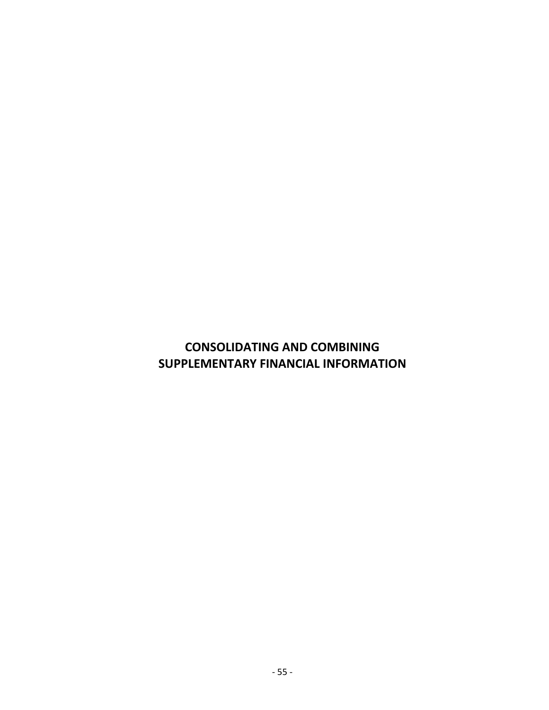## **CONSOLIDATING AND COMBINING SUPPLEMENTARY FINANCIAL INFORMATION**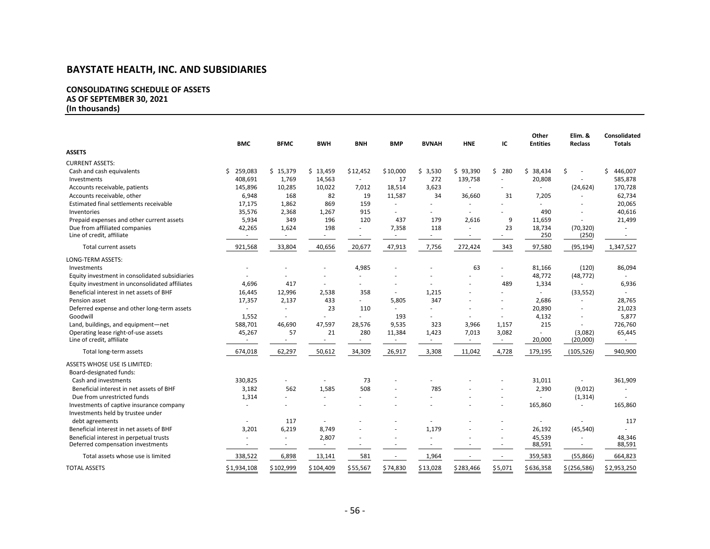#### **CONSOLIDATING SCHEDULE OF ASSETS AS OF SEPTEMBER 30, 2021**

**(In thousands)**

|                                                | <b>BMC</b>    | <b>BFMC</b> | <b>BWH</b> | <b>BNH</b>               | <b>BMP</b> | <b>BVNAH</b> | <b>HNE</b>               | IC                       | Other<br><b>Entities</b> | Elim. &<br><b>Reclass</b> | Consolidated<br><b>Totals</b> |
|------------------------------------------------|---------------|-------------|------------|--------------------------|------------|--------------|--------------------------|--------------------------|--------------------------|---------------------------|-------------------------------|
| <b>ASSETS</b>                                  |               |             |            |                          |            |              |                          |                          |                          |                           |                               |
| <b>CURRENT ASSETS:</b>                         |               |             |            |                          |            |              |                          |                          |                          |                           |                               |
| Cash and cash equivalents                      | 259,083<br>Ś. | \$15,379    | \$13,459   | \$12,452                 | \$10,000   | \$3,530      | \$93,390                 | \$280                    | Ś.<br>38,434             | Ś<br>÷.                   | Ś.<br>446,007                 |
| Investments                                    | 408,691       | 1,769       | 14,563     | ÷.                       | 17         | 272          | 139,758                  |                          | 20,808                   |                           | 585,878                       |
| Accounts receivable, patients                  | 145,896       | 10,285      | 10,022     | 7,012                    | 18,514     | 3,623        | ÷,                       |                          | ×.                       | (24, 624)                 | 170,728                       |
| Accounts receivable, other                     | 6,948         | 168         | 82         | 19                       | 11,587     | 34           | 36,660                   | 31                       | 7,205                    | $\overline{a}$            | 62,734                        |
| Estimated final settlements receivable         | 17,175        | 1,862       | 869        | 159                      |            |              | ٠                        |                          |                          |                           | 20,065                        |
| Inventories                                    | 35,576        | 2,368       | 1,267      | 915                      |            |              |                          |                          | 490                      |                           | 40,616                        |
| Prepaid expenses and other current assets      | 5,934         | 349         | 196        | 120                      | 437        | 179          | 2,616                    | 9                        | 11,659                   | ×.                        | 21,499                        |
| Due from affiliated companies                  | 42,265        | 1,624       | 198        | ä,                       | 7,358      | 118          | ä,                       | 23                       | 18,734                   | (70, 320)                 |                               |
| Line of credit, affiliate                      |               |             |            | $\overline{\phantom{a}}$ |            | ٠            | $\overline{\phantom{a}}$ |                          | 250                      | (250)                     | $\sim$                        |
| Total current assets                           | 921,568       | 33,804      | 40,656     | 20,677                   | 47,913     | 7,756        | 272,424                  | 343                      | 97,580                   | (95, 194)                 | 1,347,527                     |
| <b>LONG-TERM ASSETS:</b>                       |               |             |            |                          |            |              |                          |                          |                          |                           |                               |
| Investments                                    |               |             |            | 4,985                    |            |              | 63                       |                          | 81,166                   | (120)                     | 86,094                        |
| Equity investment in consolidated subsidiaries |               |             |            | ٠                        |            |              |                          |                          | 48,772                   | (48, 772)                 |                               |
| Equity investment in unconsolidated affiliates | 4,696         | 417         |            |                          |            |              |                          | 489                      | 1,334                    | $\sim$                    | 6,936                         |
| Beneficial interest in net assets of BHF       | 16,445        | 12,996      | 2,538      | 358                      | $\sim$     | 1,215        |                          |                          |                          | (33, 552)                 |                               |
| Pension asset                                  | 17,357        | 2,137       | 433        | ÷.                       | 5,805      | 347          |                          | $\sim$                   | 2,686                    | ÷,                        | 28,765                        |
| Deferred expense and other long-term assets    |               |             | 23         | 110                      |            |              |                          |                          | 20,890                   |                           | 21,023                        |
| Goodwill                                       | 1,552         | ×.          | ×.         | ä,                       | 193        |              |                          | $\overline{\phantom{a}}$ | 4,132                    |                           | 5,877                         |
| Land, buildings, and equipment-net             | 588,701       | 46,690      | 47,597     | 28,576                   | 9,535      | 323          | 3,966                    | 1,157                    | 215                      | $\sim$                    | 726,760                       |
| Operating lease right-of-use assets            | 45,267        | 57          | 21         | 280                      | 11,384     | 1,423        | 7,013                    | 3,082                    |                          | (3,082)                   | 65,445                        |
| Line of credit, affiliate                      | $\sim$        | $\sim$      | $\sim$     | $\sim$                   | $\sim$     | $\sim$       | $\sim$                   | ۰.                       | 20,000                   | (20,000)                  | $\sim$                        |
| Total long-term assets                         | 674,018       | 62,297      | 50,612     | 34,309                   | 26,917     | 3,308        | 11,042                   | 4,728                    | 179,195                  | (105, 526)                | 940,900                       |
| ASSETS WHOSE USE IS LIMITED:                   |               |             |            |                          |            |              |                          |                          |                          |                           |                               |
| Board-designated funds:                        |               |             |            |                          |            |              |                          |                          |                          |                           |                               |
| Cash and investments                           | 330,825       |             |            | 73                       |            |              |                          |                          | 31,011                   | $\sim$                    | 361,909                       |
| Beneficial interest in net assets of BHF       | 3,182         | 562         | 1,585      | 508                      |            | 785          |                          |                          | 2,390                    | (9,012)                   |                               |
| Due from unrestricted funds                    | 1,314         |             | ×.         |                          |            | ä,           |                          | $\sim$                   |                          | (1, 314)                  |                               |
| Investments of captive insurance company       |               |             |            |                          |            |              |                          |                          | 165,860                  | $\sim$                    | 165,860                       |
| Investments held by trustee under              |               |             |            |                          |            |              |                          |                          |                          |                           |                               |
| debt agreements                                |               | 117         |            |                          |            |              |                          |                          |                          |                           | 117                           |
| Beneficial interest in net assets of BHF       | 3,201         | 6,219       | 8,749      |                          |            | 1,179        |                          |                          | 26,192                   | (45, 540)                 |                               |
| Beneficial interest in perpetual trusts        |               |             | 2,807      |                          |            |              |                          |                          | 45,539                   |                           | 48,346                        |
| Deferred compensation investments              |               |             |            | ٠                        |            | ٠            |                          |                          | 88,591                   | ٠                         | 88,591                        |
| Total assets whose use is limited              | 338,522       | 6,898       | 13,141     | 581                      | $\sim$     | 1,964        |                          | $\overline{\phantom{a}}$ | 359,583                  | (55,866)                  | 664,823                       |
| <b>TOTAL ASSETS</b>                            | \$1,934,108   | \$102,999   | \$104,409  | \$55,567                 | \$74,830   | \$13,028     | \$283,466                | \$5,071                  | \$636,358                | \$(256,586)               | \$2,953,250                   |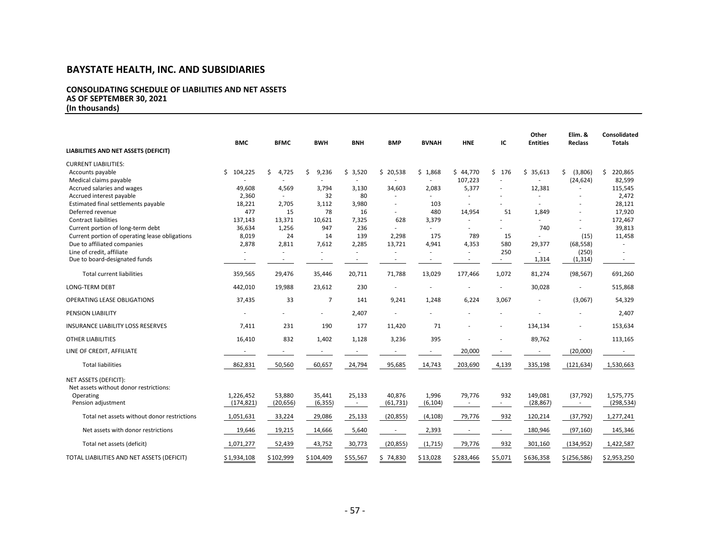#### **CONSOLIDATING SCHEDULE OF LIABILITIES AND NET ASSETS AS OF SEPTEMBER 30, 2021 (In thousands)**

|                                                                 | <b>BMC</b>              | <b>BFMC</b>              | <b>BWH</b>         | <b>BNH</b>       | <b>BMP</b>               | <b>BVNAH</b>             | <b>HNE</b>               | IC        | Other<br><b>Entities</b> | Elim. &<br><b>Reclass</b> | Consolidated<br><b>Totals</b> |
|-----------------------------------------------------------------|-------------------------|--------------------------|--------------------|------------------|--------------------------|--------------------------|--------------------------|-----------|--------------------------|---------------------------|-------------------------------|
| LIABILITIES AND NET ASSETS (DEFICIT)                            |                         |                          |                    |                  |                          |                          |                          |           |                          |                           |                               |
| <b>CURRENT LIABILITIES:</b>                                     |                         |                          |                    |                  |                          |                          |                          |           |                          |                           |                               |
| Accounts payable                                                | \$104,225               | \$<br>4,725              | \$<br>9,236        | \$3,520          | \$20,538                 | \$1,868                  | \$44,770                 | Ś.<br>176 | \$35,613                 | (3,806)<br>Ŝ.             | \$220,865                     |
| Medical claims payable                                          |                         |                          |                    |                  |                          |                          | 107,223                  |           |                          | (24, 624)                 | 82,599                        |
| Accrued salaries and wages                                      | 49,608                  | 4,569                    | 3,794              | 3,130            | 34,603                   | 2,083                    | 5,377                    | ٠         | 12,381                   |                           | 115,545                       |
| Accrued interest payable                                        | 2,360                   |                          | 32                 | 80               |                          |                          |                          |           |                          |                           | 2,472                         |
| Estimated final settlements payable                             | 18,221                  | 2,705                    | 3,112              | 3,980            |                          | 103                      | $\sim$                   |           |                          |                           | 28,121                        |
| Deferred revenue                                                | 477                     | 15                       | 78                 | 16               |                          | 480                      | 14,954                   | 51        | 1,849                    |                           | 17,920                        |
| <b>Contract liabilities</b>                                     | 137,143                 | 13,371                   | 10,621             | 7,325            | 628                      | 3,379                    |                          |           |                          |                           | 172,467                       |
| Current portion of long-term debt                               | 36,634                  | 1,256                    | 947                | 236              |                          | ٠                        |                          |           | 740                      |                           | 39,813                        |
| Current portion of operating lease obligations                  | 8,019                   | 24                       | 14                 | 139              | 2,298                    | 175                      | 789                      | 15        |                          | (15)                      | 11,458                        |
| Due to affiliated companies                                     | 2,878                   | 2,811                    | 7,612              | 2,285            | 13,721                   | 4,941                    | 4,353                    | 580       | 29,377                   | (68, 558)                 | $\sim$                        |
| Line of credit, affiliate                                       |                         |                          |                    |                  |                          |                          |                          | 250       |                          | (250)                     |                               |
| Due to board-designated funds                                   |                         | $\overline{\phantom{a}}$ | $\sim$             | $\sim$           | $\overline{\phantom{a}}$ | $\overline{\phantom{a}}$ | $\overline{\phantom{a}}$ | $\sim$    | 1,314                    | (1, 314)                  | $\sim$                        |
| <b>Total current liabilities</b>                                | 359,565                 | 29,476                   | 35,446             | 20,711           | 71,788                   | 13,029                   | 177,466                  | 1,072     | 81,274                   | (98, 567)                 | 691,260                       |
| <b>LONG-TERM DEBT</b>                                           | 442,010                 | 19,988                   | 23,612             | 230              |                          |                          |                          |           | 30,028                   |                           | 515,868                       |
| OPERATING LEASE OBLIGATIONS                                     | 37,435                  | 33                       | $\overline{7}$     | 141              | 9,241                    | 1,248                    | 6,224                    | 3,067     |                          | (3,067)                   | 54,329                        |
| PENSION LIABILITY                                               |                         |                          |                    | 2,407            |                          |                          |                          |           |                          |                           | 2,407                         |
| INSURANCE LIABILITY LOSS RESERVES                               | 7,411                   | 231                      | 190                | 177              | 11,420                   | 71                       |                          |           | 134,134                  |                           | 153,634                       |
| <b>OTHER LIABILITIES</b>                                        | 16,410                  | 832                      | 1,402              | 1,128            | 3,236                    | 395                      |                          |           | 89,762                   |                           | 113,165                       |
| LINE OF CREDIT, AFFILIATE                                       |                         |                          |                    |                  |                          |                          | 20,000                   |           |                          | (20,000)                  |                               |
| <b>Total liabilities</b>                                        | 862,831                 | 50,560                   | 60,657             | 24,794           | 95,685                   | 14,743                   | 203,690                  | 4,139     | 335,198                  | (121, 634)                | 1,530,663                     |
| NET ASSETS (DEFICIT):<br>Net assets without donor restrictions: |                         |                          |                    |                  |                          |                          |                          |           |                          |                           |                               |
| Operating<br>Pension adjustment                                 | 1,226,452<br>(174, 821) | 53,880<br>(20, 656)      | 35,441<br>(6, 355) | 25,133<br>$\sim$ | 40,876<br>(61, 731)      | 1,996<br>(6, 104)        | 79,776                   | 932       | 149,081<br>(28, 867)     | (37, 792)<br>$\sim$       | 1,575,775<br>(298, 534)       |
| Total net assets without donor restrictions                     | 1,051,631               | 33,224                   | 29,086             | 25,133           | (20, 855)                | (4, 108)                 | 79,776                   | 932       | 120,214                  | (37, 792)                 | 1,277,241                     |
| Net assets with donor restrictions                              | 19,646                  | 19,215                   | 14,666             | 5,640            | $\overline{\phantom{a}}$ | 2,393                    |                          |           | 180,946                  | (97, 160)                 | 145,346                       |
| Total net assets (deficit)                                      | 1,071,277               | 52,439                   | 43,752             | 30,773           | (20, 855)                | (1, 715)                 | 79,776                   | 932       | 301,160                  | (134, 952)                | 1,422,587                     |
| TOTAL LIABILITIES AND NET ASSETS (DEFICIT)                      | \$1,934,108             | \$102,999                | \$104,409          | \$55,567         | \$74,830                 | \$13,028                 | \$283,466                | \$5,071   | \$636,358                | \$(256, 586)              | \$2,953,250                   |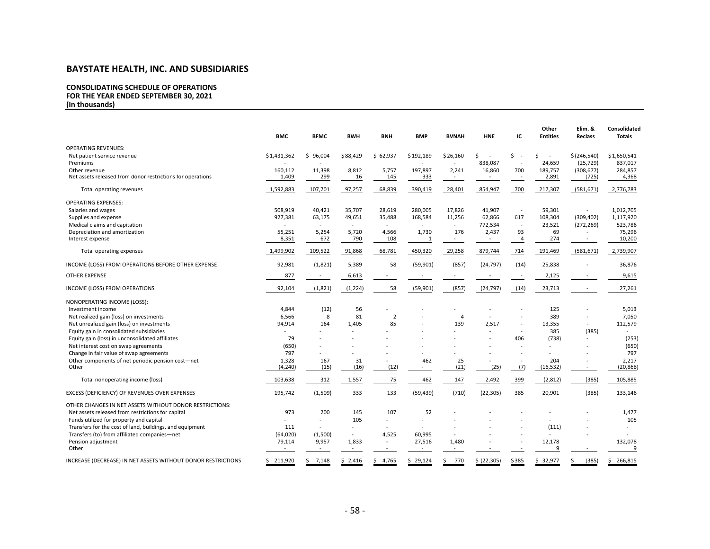#### **CONSOLIDATING SCHEDULE OF OPERATIONS FOR THE YEAR ENDED SEPTEMBER 30, 2021 (In thousands)**

**Other Elim. & Consolidated BMC BFMC BWH BNH BMP BVNAH HNE IC Entities Reclass Totals** OPERATING REVENUES: Net patient service revenue 10 10 51,650,541 \$1,431,362 \$ 96,004 \$88,429 \$ 62,937 \$192,189 \$26,160 \$ - \$ - \$ \$<br>Premiums 838,087 - 24.659 (25.729) 837,017 Premiums 24,659 (25,729) 837,017 (25,729 837,017 - 24,659 (25,729 837,017 - 24,659 (25,729 837,017 Other revenue 2003 160,112 16,398 8,812 5,757 197,897 2,241 16,860 700 189,757 (308,677) 284,857 Net assets released from donor restrictions for operations 1,409 299 16 145 333 - - - 2,891 (725) 4,368 Total operating revenues 1,592,883 107,701 97,257 68,839 390,419 28,401 854,947 700 217,307 (581,671) 2,776,783 OPERATING EXPENSES: Salaries and wages **508,919** 508,919 40,421 35,707 28,619 280,005 17,826 41,907 - 59,301 - 1,012,705 Supplies and expense 927,381 63,175 49,651 35,488 168,584 11,256 62,866 617 108,304 (309,402) 1,117,920 Medical claims and capitation and capitation and the state of the state of the state of the state of the state of the state of the state of the state of the state of the state of the state of the state of the state of the Pepreciation and amortization 1.0 10,200 1.730 5,251 5,254 5,720 4,566 1,730 176 2,437 93 69 - 75,296<br>
10,200 108 1 - 4 274 - 10,200 1.08 1 - 4 274 - 10,200 Interest expense and the state of the state of the state of the state and state and state of the state of the state of the state of the state of the state of the state of the state of the state of the state of the state of Total operating expenses 1,499,902 109,522 91,868 68,781 450,320 29,258 879,744 714 191,469 (581,671) 2,739,907 INCOME (LOSS) FROM OPERATIONS BEFORE OTHER EXPENSE 92,981 (1,821) 5,389 58 (59,901) (857) (24,797) (14) 25,838 - 36,876 OTHER EXPENSE 877 - 6,613 - - - - - 2,125 - 9,615 INCOME (LOSS) FROM OPERATIONS 92,104 (1,821) (1,224) 58 (59,901) (857) (24,797) (14) 23,713 - 27,261 NONOPERATING INCOME (LOSS): Investment income 4,844 (12) 56 - - - - - 125 - 5,013 Net realized gain (loss) on investments and the state of the state of the state of the state of the state of the state of the state of the state of the state of the state of the state of the state of the state of the state Net unrealized gain (loss) on investments and the state of the state of the state of the state of the state of the state of the state of the state of the state of the state of the state of the state of the state of the sta Equity gain in consolidated subsidiaries and the subsidiaries of the subsidiaries and the subsidiaries of the subsidiaries of the subsidiaries of the subsidiaries of the subsidiaries of the subsidiaries of the subsidiaries Equity gain (loss) in unconsolidated affiliates and the consolidated affiliates (253) (253) (253) Net interest cost on swap agreements (650) (650)<br>Change in fair value of swap agreements (650) (1970) (1970) (1970) (1970) (1970) (1970) (1970) (1979) (1979) ( Change in fair value of swap agreements<br>Change in fair value of swap agreements are not to the comparison of the comparison of the components of net ericodic pension cost—net the components of the components of net are a c Other components of net periodic pension cost—net 1,328 167 31 - 462 25 - 204 - 2,217<br>
2004 - 2,217 - 204 - 2,217 (16,532) - 20,868) Other (4,240) (15) (16) (12) - (21) (25) (7) (16,532) - (20,868) Total nonoperating income (loss) 103,638 312 1,557 75 462 147 2,492 399 (2,812) (385) 105,885 EXCESS (DEFICIENCY) OF REVENUES OVER EXPENSES 195,742 (1,509) 333 133 (59,439) (710) (22,305) 385 20,901 (385) 133,146 OTHER CHANGES IN NET ASSETS WITHOUT DONOR RESTRICTIONS: Net assets released from restrictions for capital and the set of the capital 107 107 107 108 and the set of the capital 1,477 105 and the capital 1,477 and the capital 105 and the capital 105 and the capital 105 and the ca Funds utilized for property and capital and capital and capital results of the capital of the cost of land capital and capital results of the cost of land, buildings, and equipment and the cost of land, and equipment and t Transfers for the cost of land, buildings, and equipment 111 - - - - - - - (111) - - Transfers (to) from affiliated companies—net (64,020) (1,500) - 4,525 60,995 - - - - - - Pension adjustment 1986 132,078 132,078 132,078 1,9957 1,833 - 27,516 1,480 - 12,178 132,078 Other - - - - - - - - 9 - 9 INCREASE (DECREASE) IN NET ASSETS WITHOUT DONOR RESTRICTIONS \$ 211,920 \$ 7,148 \$ 2,416 \$ 4,765 \$ 29,124 \$ 770 \$ (22,305) \$385 \$ 32,977 \$ (385) \$ 266,815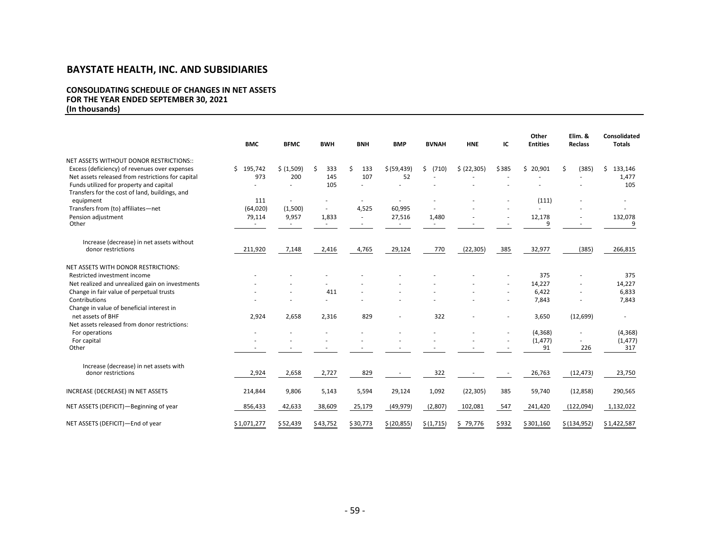#### **CONSOLIDATING SCHEDULE OF CHANGES IN NET ASSETS FOR THE YEAR ENDED SEPTEMBER 30, 2021 (In thousands)**

|                                                                                              | <b>BMC</b>  | <b>BFMC</b> | <b>BWH</b> | <b>BNH</b> | <b>BMP</b>               | <b>BVNAH</b> | <b>HNE</b>   | ΙC                       | Other<br><b>Entities</b> | Elim. &<br>Reclass | <b>Consolidated</b><br><b>Totals</b> |
|----------------------------------------------------------------------------------------------|-------------|-------------|------------|------------|--------------------------|--------------|--------------|--------------------------|--------------------------|--------------------|--------------------------------------|
| NET ASSETS WITHOUT DONOR RESTRICTIONS::                                                      |             |             |            |            |                          |              |              |                          |                          |                    |                                      |
| Excess (deficiency) of revenues over expenses                                                | \$195,742   | \$ (1,509)  | Ś<br>333   | Ś<br>133   | \$ (59, 439)             | (710)<br>Ŝ.  | \$ (22, 305) | \$385                    | \$20,901                 | Ŝ.<br>(385)        | 133,146<br>Ś.                        |
| Net assets released from restrictions for capital<br>Funds utilized for property and capital | 973         | 200         | 145<br>105 | 107        | 52                       |              |              |                          |                          |                    | 1,477<br>105                         |
| Transfers for the cost of land, buildings, and                                               |             |             |            |            |                          |              |              |                          |                          |                    |                                      |
| equipment                                                                                    | 111         |             |            |            |                          |              |              |                          | (111)                    |                    |                                      |
| Transfers from (to) affiliates-net                                                           | (64, 020)   | (1,500)     |            | 4,525      | 60,995                   |              |              |                          |                          |                    |                                      |
| Pension adjustment                                                                           | 79,114      | 9,957       | 1,833      |            | 27,516                   | 1,480        |              |                          | 12,178                   |                    | 132,078                              |
| Other                                                                                        |             |             |            |            | $\sim$                   | ٠            |              |                          | 9                        |                    | 9                                    |
|                                                                                              |             |             |            |            |                          |              |              |                          |                          |                    |                                      |
| Increase (decrease) in net assets without                                                    |             |             |            |            |                          |              |              |                          |                          |                    |                                      |
| donor restrictions                                                                           | 211,920     | 7,148       | 2,416      | 4,765      | 29,124                   | 770          | (22, 305)    | 385                      | 32,977                   | (385)              | 266,815                              |
|                                                                                              |             |             |            |            |                          |              |              |                          |                          |                    |                                      |
| NET ASSETS WITH DONOR RESTRICTIONS:                                                          |             |             |            |            |                          |              |              |                          |                          |                    |                                      |
| Restricted investment income                                                                 |             |             |            |            |                          |              |              |                          | 375                      |                    | 375                                  |
| Net realized and unrealized gain on investments                                              |             |             |            |            |                          |              |              |                          | 14,227                   |                    | 14,227                               |
| Change in fair value of perpetual trusts                                                     |             |             | 411        |            |                          |              |              |                          | 6,422                    |                    | 6,833                                |
| Contributions                                                                                |             |             |            |            |                          |              |              |                          | 7,843                    |                    | 7,843                                |
| Change in value of beneficial interest in                                                    |             |             |            |            |                          |              |              |                          |                          |                    |                                      |
| net assets of BHF<br>Net assets released from donor restrictions:                            | 2,924       | 2,658       | 2,316      | 829        | ä,                       | 322          |              |                          | 3,650                    | (12, 699)          | $\sim$                               |
| For operations                                                                               |             |             |            |            |                          |              |              | $\overline{\phantom{a}}$ | (4, 368)                 |                    | (4, 368)                             |
| For capital                                                                                  |             |             |            |            |                          |              |              |                          | (1, 477)                 |                    | (1, 477)                             |
| Other                                                                                        |             |             |            |            |                          |              |              |                          | 91                       | 226                | 317                                  |
|                                                                                              |             |             |            |            |                          |              |              |                          |                          |                    |                                      |
| Increase (decrease) in net assets with                                                       |             |             |            |            |                          |              |              |                          |                          |                    |                                      |
| donor restrictions                                                                           | 2,924       | 2,658       | 2,727      | 829        | $\overline{\phantom{a}}$ | 322          |              |                          | 26,763                   | (12, 473)          | 23,750                               |
|                                                                                              |             |             |            |            |                          |              |              |                          |                          |                    |                                      |
| INCREASE (DECREASE) IN NET ASSETS                                                            | 214,844     | 9,806       | 5,143      | 5,594      | 29,124                   | 1,092        | (22, 305)    | 385                      | 59,740                   | (12, 858)          | 290,565                              |
|                                                                                              |             |             |            |            |                          |              |              |                          |                          |                    |                                      |
| NET ASSETS (DEFICIT)-Beginning of year                                                       | 856,433     | 42,633      | 38,609     | 25,179     | (49, 979)                | (2,807)      | 102,081      | 547                      | 241,420                  | (122,094)          | 1,132,022                            |
|                                                                                              |             |             |            |            |                          |              |              |                          |                          |                    |                                      |
| NET ASSETS (DEFICIT)-End of year                                                             | \$1,071,277 | \$52,439    | \$43,752   | \$30,773   | \$(20, 855)              | \$(1,715)    | \$79,776     | \$932                    | \$301,160                | \$(134, 952)       | \$1,422,587                          |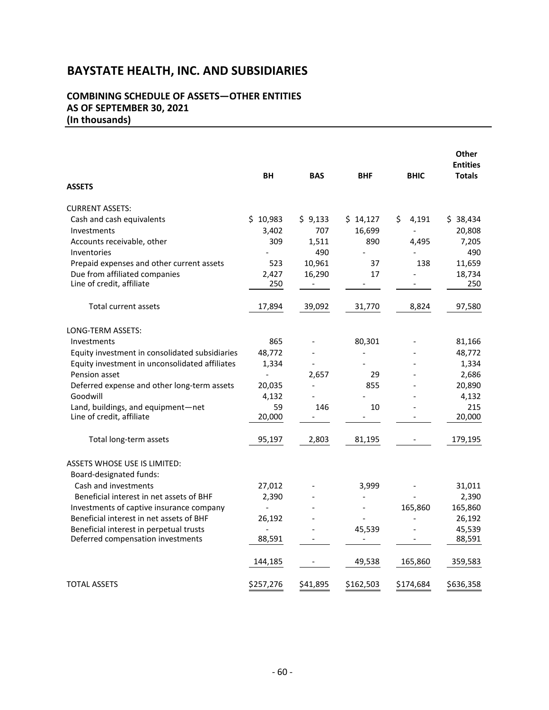#### **COMBINING SCHEDULE OF ASSETS—OTHER ENTITIES AS OF SEPTEMBER 30, 2021 (In thousands)**

|                                                |                |                          |                              |             | <b>Other</b><br><b>Entities</b> |
|------------------------------------------------|----------------|--------------------------|------------------------------|-------------|---------------------------------|
| <b>ASSETS</b>                                  | BH             | <b>BAS</b>               | <b>BHF</b>                   | <b>BHIC</b> | <b>Totals</b>                   |
| <b>CURRENT ASSETS:</b>                         |                |                          |                              |             |                                 |
| Cash and cash equivalents                      | \$10,983       | \$9,133                  | \$14,127                     | Ś.<br>4,191 | \$38,434                        |
| Investments                                    | 3,402          | 707                      | 16,699                       |             | 20,808                          |
| Accounts receivable, other                     | 309            | 1,511                    | 890                          | 4,495       | 7,205                           |
| Inventories                                    |                | 490                      |                              |             | 490                             |
| Prepaid expenses and other current assets      | 523            | 10,961                   | 37                           | 138         | 11,659                          |
| Due from affiliated companies                  | 2,427          | 16,290                   | 17                           |             | 18,734                          |
| Line of credit, affiliate                      | 250            | $\overline{\phantom{a}}$ |                              |             | 250                             |
| <b>Total current assets</b>                    | 17,894         | 39,092                   | 31,770                       | 8,824       | 97,580                          |
| LONG-TERM ASSETS:                              |                |                          |                              |             |                                 |
| Investments                                    | 865            |                          | 80,301                       |             | 81,166                          |
| Equity investment in consolidated subsidiaries | 48,772         |                          | $\qquad \qquad \blacksquare$ |             | 48,772                          |
| Equity investment in unconsolidated affiliates | 1,334          |                          |                              |             | 1,334                           |
| Pension asset                                  | $\overline{a}$ | 2,657                    | 29                           |             | 2,686                           |
| Deferred expense and other long-term assets    | 20,035         |                          | 855                          |             | 20,890                          |
| Goodwill                                       | 4,132          |                          |                              |             | 4,132                           |
| Land, buildings, and equipment-net             | 59             | 146                      | 10                           |             | 215                             |
| Line of credit, affiliate                      | 20,000         |                          |                              |             | 20,000                          |
| Total long-term assets                         | 95,197         | 2,803                    | 81,195                       |             | 179,195                         |
| <b>ASSETS WHOSE USE IS LIMITED:</b>            |                |                          |                              |             |                                 |
| Board-designated funds:                        |                |                          |                              |             |                                 |
| Cash and investments                           | 27,012         |                          | 3,999                        |             | 31,011                          |
| Beneficial interest in net assets of BHF       | 2,390          |                          |                              |             | 2,390                           |
| Investments of captive insurance company       | $\blacksquare$ |                          | $\overline{\phantom{a}}$     | 165,860     | 165,860                         |
| Beneficial interest in net assets of BHF       | 26,192         |                          |                              |             | 26,192                          |
| Beneficial interest in perpetual trusts        | $\overline{a}$ |                          | 45,539                       |             | 45,539                          |
| Deferred compensation investments              | 88,591         |                          |                              |             | 88,591                          |
|                                                | 144,185        |                          | 49,538                       | 165,860     | 359,583                         |
| <b>TOTAL ASSETS</b>                            | \$257,276      | \$41,895                 | \$162,503                    | \$174,684   | \$636,358                       |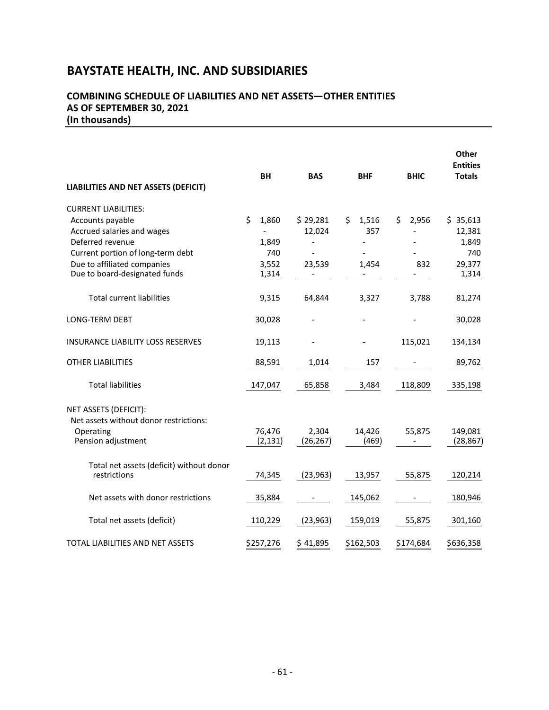#### **COMBINING SCHEDULE OF LIABILITIES AND NET ASSETS—OTHER ENTITIES AS OF SEPTEMBER 30, 2021 (In thousands)**

| LIABILITIES AND NET ASSETS (DEFICIT)     | <b>BH</b>   | <b>BAS</b>               | <b>BHF</b>  | <b>BHIC</b> | Other<br><b>Entities</b><br><b>Totals</b> |
|------------------------------------------|-------------|--------------------------|-------------|-------------|-------------------------------------------|
| <b>CURRENT LIABILITIES:</b>              |             |                          |             |             |                                           |
| Accounts payable                         | \$<br>1,860 | \$29,281                 | \$<br>1,516 | \$<br>2,956 | \$35,613                                  |
| Accrued salaries and wages               |             | 12,024                   | 357         |             | 12,381                                    |
| Deferred revenue                         | 1,849       |                          |             |             | 1,849                                     |
| Current portion of long-term debt        | 740         |                          |             |             | 740                                       |
| Due to affiliated companies              | 3,552       | 23,539                   | 1,454       | 832         | 29,377                                    |
| Due to board-designated funds            | 1,314       | $\overline{\phantom{0}}$ |             |             | 1,314                                     |
| <b>Total current liabilities</b>         | 9,315       | 64,844                   | 3,327       | 3,788       | 81,274                                    |
| LONG-TERM DEBT                           | 30,028      |                          |             |             | 30,028                                    |
| <b>INSURANCE LIABILITY LOSS RESERVES</b> | 19,113      |                          |             | 115,021     | 134,134                                   |
| <b>OTHER LIABILITIES</b>                 | 88,591      | 1,014                    | 157         |             | 89,762                                    |
| <b>Total liabilities</b>                 | 147,047     | 65,858                   | 3,484       | 118,809     | 335,198                                   |
| NET ASSETS (DEFICIT):                    |             |                          |             |             |                                           |
| Net assets without donor restrictions:   |             |                          |             |             |                                           |
| Operating                                | 76,476      | 2,304                    | 14,426      | 55,875      | 149,081                                   |
| Pension adjustment                       | (2, 131)    | (26, 267)                | (469)       |             | (28, 867)                                 |
| Total net assets (deficit) without donor |             |                          |             |             |                                           |
| restrictions                             | 74,345      | (23, 963)                | 13,957      | 55,875      | 120,214                                   |
| Net assets with donor restrictions       | 35,884      |                          | 145,062     |             | 180,946                                   |
| Total net assets (deficit)               | 110,229     | (23, 963)                | 159,019     | 55,875      | 301,160                                   |
| TOTAL LIABILITIES AND NET ASSETS         | \$257,276   | \$41,895                 | \$162,503   | \$174,684   | \$636,358                                 |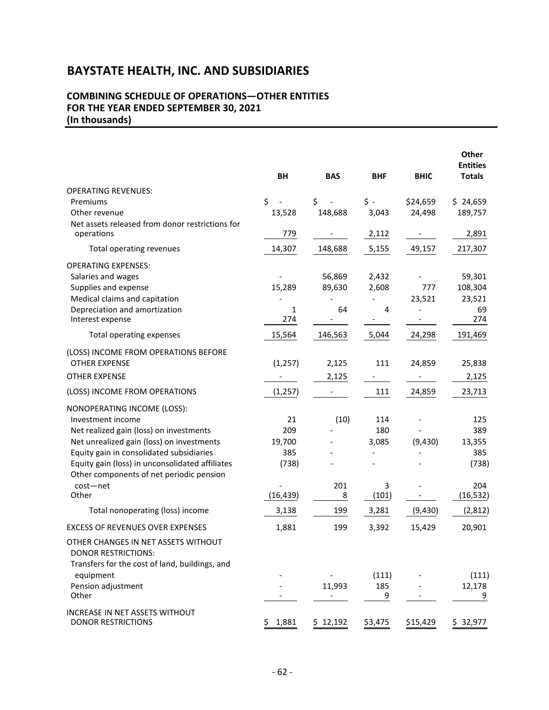#### **COMBINING SCHEDULE OF OPERATIONS—OTHER ENTITIES FOR THE YEAR ENDED SEPTEMBER 30, 2021 (In thousands)**

|                                                                                                                     | <b>BH</b>   | <b>BAS</b>                         | <b>BHF</b>          | <b>BHIC</b>                  | Other<br><b>Entities</b><br><b>Totals</b> |
|---------------------------------------------------------------------------------------------------------------------|-------------|------------------------------------|---------------------|------------------------------|-------------------------------------------|
| <b>OPERATING REVENUES:</b>                                                                                          |             |                                    |                     |                              |                                           |
| Premiums                                                                                                            | \$          | \$                                 | $\zeta$ -           | \$24,659                     | \$24,659                                  |
| Other revenue                                                                                                       | 13,528      | 148,688                            | 3,043               | 24,498                       | 189,757                                   |
| Net assets released from donor restrictions for<br>operations                                                       | 779         | $\overline{\phantom{a}}$           | 2,112               | $\qquad \qquad \blacksquare$ | 2,891                                     |
| Total operating revenues                                                                                            | 14,307      | 148,688                            | 5,155               | 49,157                       | 217,307                                   |
| <b>OPERATING EXPENSES:</b>                                                                                          |             |                                    |                     |                              |                                           |
| Salaries and wages                                                                                                  |             | 56,869                             | 2,432               |                              | 59,301                                    |
| Supplies and expense                                                                                                | 15,289      | 89,630                             | 2,608               | 777                          | 108,304                                   |
| Medical claims and capitation                                                                                       |             |                                    |                     | 23,521                       | 23,521                                    |
| Depreciation and amortization<br>Interest expense                                                                   | 1<br>274    | 64<br>$\qquad \qquad \blacksquare$ | $\overline{4}$<br>- |                              | 69<br>274                                 |
| Total operating expenses                                                                                            | 15,564      | 146,563                            | 5,044               | 24,298                       | 191,469                                   |
| (LOSS) INCOME FROM OPERATIONS BEFORE                                                                                |             |                                    |                     |                              |                                           |
| <b>OTHER EXPENSE</b>                                                                                                | (1, 257)    | 2,125                              | 111                 | 24,859                       | 25,838                                    |
| <b>OTHER EXPENSE</b>                                                                                                |             | 2,125                              |                     |                              | 2,125                                     |
| (LOSS) INCOME FROM OPERATIONS                                                                                       | (1, 257)    |                                    | 111                 | 24,859                       | 23,713                                    |
| NONOPERATING INCOME (LOSS):                                                                                         |             |                                    |                     |                              |                                           |
| Investment income                                                                                                   | 21          | (10)                               | 114                 |                              | 125                                       |
| Net realized gain (loss) on investments                                                                             | 209         |                                    | 180                 |                              | 389                                       |
| Net unrealized gain (loss) on investments                                                                           | 19,700      |                                    | 3,085               | (9,430)                      | 13,355                                    |
| Equity gain in consolidated subsidiaries                                                                            | 385         |                                    |                     |                              | 385                                       |
| Equity gain (loss) in unconsolidated affiliates                                                                     | (738)       |                                    |                     |                              | (738)                                     |
| Other components of net periodic pension                                                                            |             |                                    |                     |                              |                                           |
| cost-net<br>Other                                                                                                   | (16, 439)   | 201<br>8                           | 3<br>(101)          |                              | 204<br>(16, 532)                          |
| Total nonoperating (loss) income                                                                                    | 3,138       | 199                                | 3,281               | (9, 430)                     | (2,812)                                   |
| <b>EXCESS OF REVENUES OVER EXPENSES</b>                                                                             | 1,881       | 199                                | 3,392               | 15,429                       | 20,901                                    |
|                                                                                                                     |             |                                    |                     |                              |                                           |
| OTHER CHANGES IN NET ASSETS WITHOUT<br><b>DONOR RESTRICTIONS:</b><br>Transfers for the cost of land, buildings, and |             |                                    |                     |                              |                                           |
| equipment                                                                                                           |             |                                    | (111)               |                              | (111)                                     |
| Pension adjustment<br>Other                                                                                         |             | 11,993                             | 185<br>9            |                              | 12,178<br>9                               |
| INCREASE IN NET ASSETS WITHOUT<br><b>DONOR RESTRICTIONS</b>                                                         | 1,881<br>\$ | \$12,192                           | \$3,475             | \$15,429                     | \$32,977                                  |